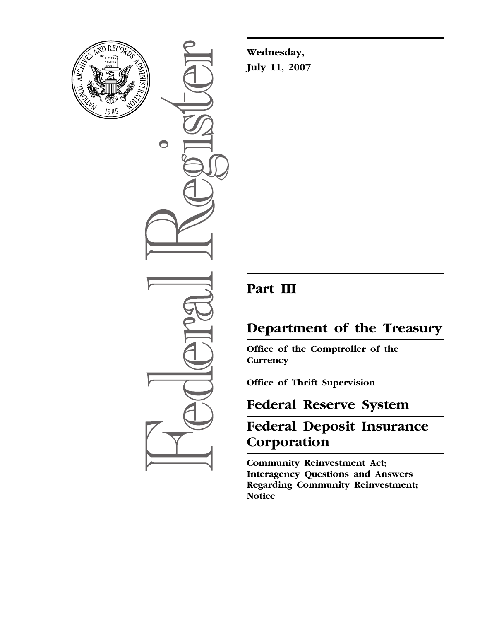

 $\bigcirc$ 

**Wednesday, July 11, 2007** 

## **Part III**

# **Department of the Treasury**

**Office of the Comptroller of the Currency** 

**Office of Thrift Supervision** 

## **Federal Reserve System**

# **Federal Deposit Insurance Corporation**

**Community Reinvestment Act; Interagency Questions and Answers Regarding Community Reinvestment; Notice**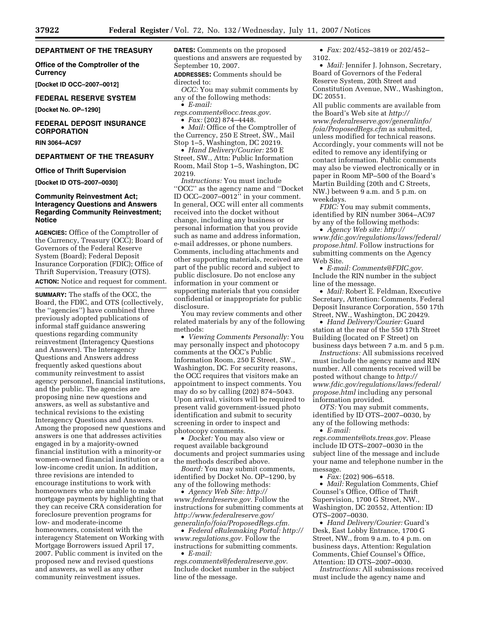#### **DEPARTMENT OF THE TREASURY**

**Office of the Comptroller of the Currency** 

**[Docket ID OCC–2007–0012]** 

#### **FEDERAL RESERVE SYSTEM**

**[Docket No. OP–1290]** 

#### **FEDERAL DEPOSIT INSURANCE CORPORATION**

**RIN 3064–AC97** 

#### **DEPARTMENT OF THE TREASURY**

#### **Office of Thrift Supervision**

**[Docket ID OTS–2007–0030]** 

#### **Community Reinvestment Act; Interagency Questions and Answers Regarding Community Reinvestment; Notice**

**AGENCIES:** Office of the Comptroller of the Currency, Treasury (OCC); Board of Governors of the Federal Reserve System (Board); Federal Deposit Insurance Corporation (FDIC); Office of Thrift Supervision, Treasury (OTS). **ACTION:** Notice and request for comment.

**SUMMARY:** The staffs of the OCC, the Board, the FDIC, and OTS (collectively, the ''agencies'') have combined three previously adopted publications of informal staff guidance answering questions regarding community reinvestment (Interagency Questions and Answers). The Interagency Questions and Answers address frequently asked questions about community reinvestment to assist agency personnel, financial institutions, and the public. The agencies are proposing nine new questions and answers, as well as substantive and technical revisions to the existing Interagency Questions and Answers. Among the proposed new questions and answers is one that addresses activities engaged in by a majority-owned financial institution with a minority-or women-owned financial institution or a low-income credit union. In addition, three revisions are intended to encourage institutions to work with homeowners who are unable to make mortgage payments by highlighting that they can receive CRA consideration for foreclosure prevention programs for low- and moderate-income homeowners, consistent with the interagency Statement on Working with Mortgage Borrowers issued April 17, 2007. Public comment is invited on the proposed new and revised questions and answers, as well as any other community reinvestment issues.

**DATES:** Comments on the proposed questions and answers are requested by September 10, 2007.

**ADDRESSES:** Comments should be directed to:

*OCC:* You may submit comments by any of the following methods: • *E-mail:* 

*regs.comments@occ.treas.gov.* 

• *Fax:* (202) 874–4448.

• *Mail:* Office of the Comptroller of the Currency, 250 E Street, SW., Mail Stop 1–5, Washington, DC 20219.

• *Hand Delivery/Courier:* 250 E Street, SW., Attn: Public Information Room, Mail Stop 1–5, Washington, DC 20219.

*Instructions:* You must include ''OCC'' as the agency name and ''Docket ID OCC–2007–0012'' in your comment. In general, OCC will enter all comments received into the docket without change, including any business or personal information that you provide such as name and address information, e-mail addresses, or phone numbers. Comments, including attachments and other supporting materials, received are part of the public record and subject to public disclosure. Do not enclose any information in your comment or supporting materials that you consider confidential or inappropriate for public disclosure.

You may review comments and other related materials by any of the following methods:

• *Viewing Comments Personally:* You may personally inspect and photocopy comments at the OCC's Public Information Room, 250 E Street, SW., Washington, DC. For security reasons, the OCC requires that visitors make an appointment to inspect comments. You may do so by calling (202) 874–5043. Upon arrival, visitors will be required to present valid government-issued photo identification and submit to security screening in order to inspect and photocopy comments.

• *Docket:* You may also view or request available background documents and project summaries using the methods described above.

*Board:* You may submit comments, identified by Docket No. OP–1290, by any of the following methods:

• *Agency Web Site: http:// www.federalreserve.gov.* Follow the instructions for submitting comments at *http://www.federalreserve.gov/ generalinfo/foia/ProposedRegs.cfm.* 

• *Federal eRulemaking Portal: http:// www.regulations.gov.* Follow the instructions for submitting comments. • *E-mail:* 

*regs.comments@federalreserve.gov.*  Include docket number in the subject line of the message.

• *Fax:* 202/452–3819 or 202/452– 3102.

• *Mail:* Jennifer J. Johnson, Secretary, Board of Governors of the Federal Reserve System, 20th Street and Constitution Avenue, NW., Washington, DC 20551.

All public comments are available from the Board's Web site at *http:// www.federalreserve.gov/generalinfo/ foia/ProposedRegs.cfm* as submitted, unless modified for technical reasons. Accordingly, your comments will not be edited to remove any identifying or contact information. Public comments may also be viewed electronically or in paper in Room MP–500 of the Board's Martin Building (20th and C Streets, NW.) between 9 a.m. and 5 p.m. on weekdays.

*FDIC:* You may submit comments, identified by RIN number 3064–AC97 by any of the following methods:

• *Agency Web site: http:// www.fdic.gov/regulations/laws/federal/ propose.html.* Follow instructions for submitting comments on the Agency Web Site.

• *E-mail: Comments@FDIC.gov.*  Include the RIN number in the subject line of the message.

• *Mail:* Robert E. Feldman, Executive Secretary, Attention: Comments, Federal Deposit Insurance Corporation, 550 17th Street, NW., Washington, DC 20429.

• *Hand Delivery/Courier:* Guard station at the rear of the 550 17th Street Building (located on F Street) on business days between 7 a.m. and 5 p.m.

*Instructions:* All submissions received must include the agency name and RIN number. All comments received will be posted without change to *http:// www.fdic.gov/regulations/laws/federal/ propose.html* including any personal information provided.

*OTS:* You may submit comments, identified by ID OTS–2007–0030, by any of the following methods:

• *E-mail:* 

*regs.comments@ots.treas.gov.* Please include ID OTS–2007–0030 in the subject line of the message and include your name and telephone number in the message.

• *Fax:* (202) 906–6518.

• *Mail:* Regulation Comments, Chief Counsel's Office, Office of Thrift Supervision, 1700 G Street, NW., Washington, DC 20552, Attention: ID OTS–2007–0030.

• *Hand Delivery/Courier:* Guard's Desk, East Lobby Entrance, 1700 G Street, NW., from 9 a.m. to 4 p.m. on business days, Attention: Regulation Comments, Chief Counsel's Office, Attention: ID OTS–2007–0030.

*Instructions:* All submissions received must include the agency name and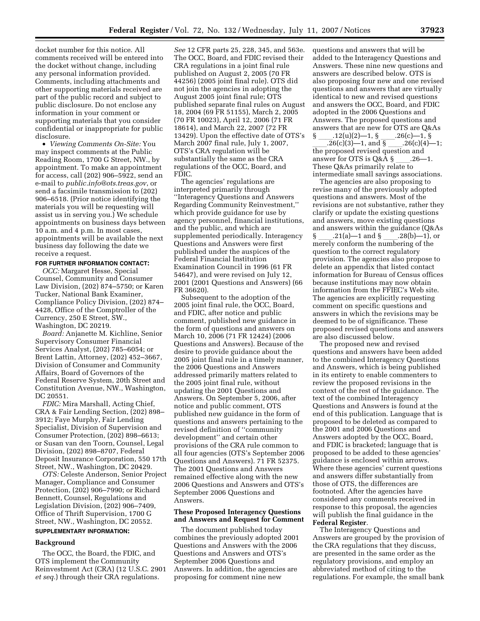docket number for this notice. All comments received will be entered into the docket without change, including any personal information provided. Comments, including attachments and other supporting materials received are part of the public record and subject to public disclosure. Do not enclose any information in your comment or supporting materials that you consider confidential or inappropriate for public disclosure.

• *Viewing Comments On-Site:* You may inspect comments at the Public Reading Room, 1700 G Street, NW., by appointment. To make an appointment for access, call (202) 906–5922, send an e-mail to *public.info@ots.treas.gov*, or send a facsimile transmission to (202) 906–6518. (Prior notice identifying the materials you will be requesting will assist us in serving you.) We schedule appointments on business days between 10 a.m. and 4 p.m. In most cases, appointments will be available the next business day following the date we receive a request.

#### **FOR FURTHER INFORMATION CONTACT:**

*OCC:* Margaret Hesse, Special Counsel, Community and Consumer Law Division, (202) 874–5750; or Karen Tucker, National Bank Examiner, Compliance Policy Division, (202) 874– 4428, Office of the Comptroller of the Currency, 250 E Street, SW., Washington, DC 20219.

*Board:* Anjanette M. Kichline, Senior Supervisory Consumer Financial Services Analyst, (202) 785–6054; or Brent Lattin, Attorney, (202) 452–3667, Division of Consumer and Community Affairs, Board of Governors of the Federal Reserve System, 20th Street and Constitution Avenue, NW., Washington, DC 20551.

*FDIC:* Mira Marshall, Acting Chief, CRA & Fair Lending Section, (202) 898– 3912; Faye Murphy, Fair Lending Specialist, Division of Supervision and Consumer Protection, (202) 898–6613; or Susan van den Toorn, Counsel, Legal Division, (202) 898–8707, Federal Deposit Insurance Corporation, 550 17th Street, NW., Washington, DC 20429.

*OTS:* Celeste Anderson, Senior Project Manager, Compliance and Consumer Protection, (202) 906–7990; or Richard Bennett, Counsel, Regulations and Legislation Division, (202) 906–7409, Office of Thrift Supervision, 1700 G Street, NW., Washington, DC 20552.

### **SUPPLEMENTARY INFORMATION:**

#### **Background**

The OCC, the Board, the FDIC, and OTS implement the Community Reinvestment Act (CRA) (12 U.S.C. 2901 *et seq.*) through their CRA regulations.

*See* 12 CFR parts 25, 228, 345, and 563e. The OCC, Board, and FDIC revised their CRA regulations in a joint final rule published on August 2, 2005 (70 FR 44256) (2005 joint final rule). OTS did not join the agencies in adopting the August 2005 joint final rule; OTS published separate final rules on August 18, 2004 (69 FR 51155), March 2, 2005 (70 FR 10023), April 12, 2006 (71 FR 18614), and March 22, 2007 (72 FR 13429). Upon the effective date of OTS's March 2007 final rule, July 1, 2007, OTS's CRA regulation will be substantially the same as the CRA regulations of the OCC, Board, and FDIC.

The agencies' regulations are interpreted primarily through ''Interagency Questions and Answers Regarding Community Reinvestment,'' which provide guidance for use by agency personnel, financial institutions, and the public, and which are supplemented periodically. Interagency Questions and Answers were first published under the auspices of the Federal Financial Institution Examination Council in 1996 (61 FR 54647), and were revised on July 12, 2001 (2001 Questions and Answers) (66 FR 36620).

Subsequent to the adoption of the 2005 joint final rule, the OCC, Board, and FDIC, after notice and public comment, published new guidance in the form of questions and answers on March 10, 2006 (71 FR 12424) (2006 Questions and Answers). Because of the desire to provide guidance about the 2005 joint final rule in a timely manner, the 2006 Questions and Answers addressed primarily matters related to the 2005 joint final rule, without updating the 2001 Questions and Answers. On September 5, 2006, after notice and public comment, OTS published new guidance in the form of questions and answers pertaining to the revised definition of ''community development'' and certain other provisions of the CRA rule common to all four agencies (OTS's September 2006 Questions and Answers). 71 FR 52375. The 2001 Questions and Answers remained effective along with the new 2006 Questions and Answers and OTS's September 2006 Questions and Answers.

#### **These Proposed Interagency Questions and Answers and Request for Comment**

The document published today combines the previously adopted 2001 Questions and Answers with the 2006 Questions and Answers and OTS's September 2006 Questions and Answers. In addition, the agencies are proposing for comment nine new

questions and answers that will be added to the Interagency Questions and Answers. These nine new questions and answers are described below. OTS is also proposing four new and one revised questions and answers that are virtually identical to new and revised questions and answers the OCC, Board, and FDIC adopted in the 2006 Questions and Answers. The proposed questions and answers that are new for OTS are Q&As  $\frac{\{-8, 12(u)(2)-1, 8, \ldots, 26(c)-1, 8\}}{0.26(c)(3)-1, \text{ and } 8, \ldots, 26(c)(4)-1, \text{ and } 8, \ldots, 26(c)(4)-1, \ldots\}$ \_\_\_\_.26(c)(3)—1, and § \_\_\_\_.26(c)(4)—1;<br>the proposed revised question and answer for OTS is  $Q&A\$ § .26—1. These Q&As primarily relate to

intermediate small savings associations. The agencies are also proposing to revise many of the previously adopted questions and answers. Most of the revisions are not substantive, rather they clarify or update the existing questions and answers, move existing questions and answers within the guidance  $(Q&As \S$  .21(a)—1 and § .28(b)—1), or § \_\_\_\_.21(a)—1 and § \_\_\_\_.28(b)—1), or<br>merely conform the numbering of the question to the correct regulatory provision. The agencies also propose to delete an appendix that listed contact information for Bureau of Census offices because institutions may now obtain information from the FFIEC's Web site. The agencies are explicitly requesting comment on specific questions and answers in which the revisions may be deemed to be of significance. These proposed revised questions and answers are also discussed below.

The proposed new and revised questions and answers have been added to the combined Interagency Questions and Answers, which is being published in its entirety to enable commenters to review the proposed revisions in the context of the rest of the guidance. The text of the combined Interagency Questions and Answers is found at the end of this publication. Language that is proposed to be deleted as compared to the 2001 and 2006 Questions and Answers adopted by the OCC, Board, and FDIC is bracketed; language that is proposed to be added to these agencies' guidance is enclosed within arrows. Where these agencies' current questions and answers differ substantially from those of OTS, the differences are footnoted. After the agencies have considered any comments received in response to this proposal, the agencies will publish the final guidance in the **Federal Register**.

The Interagency Questions and Answers are grouped by the provision of the CRA regulations that they discuss, are presented in the same order as the regulatory provisions, and employ an abbreviated method of citing to the regulations. For example, the small bank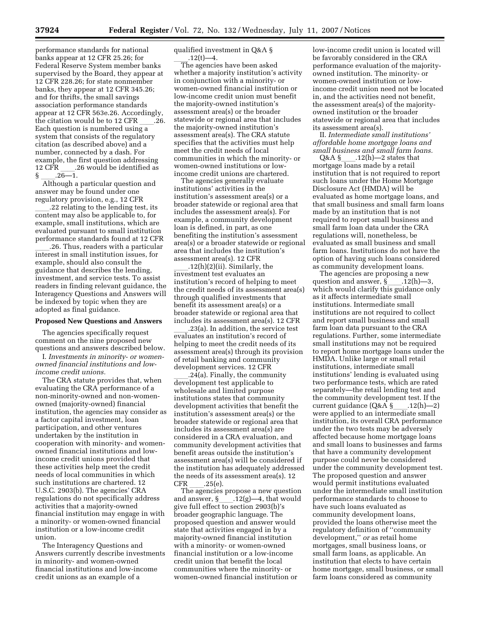performance standards for national banks appear at 12 CFR 25.26; for Federal Reserve System member banks supervised by the Board, they appear at 12 CFR 228.26; for state nonmember banks, they appear at 12 CFR 345.26; and for thrifts, the small savings association performance standards appear at 12 CFR 563e.26. Accordingly, the citation would be to  $12$  CFR  $\_\_\_\$ .26. Each question is numbered using a system that consists of the regulatory citation (as described above) and a number, connected by a dash. For example, the first question addressing<br>12 CFR .26 would be identified as R  $\frac{1}{26-1}$ . 26 would be identified as

 $\frac{\S}{\S}$  \_\_\_\_.26—1.<br>Although a particular question and answer may be found under one regulatory provision, e.g., 12 CFR

.22 relating to the lending test, its content may also be applicable to, for example, small institutions, which are evaluated pursuant to small institution performance standards found at 12 CFR

.26. Thus, readers with a particular interest in small institution issues, for example, should also consult the guidance that describes the lending, investment, and service tests. To assist readers in finding relevant guidance, the Interagency Questions and Answers will be indexed by topic when they are adopted as final guidance.

#### **Proposed New Questions and Answers**

The agencies specifically request comment on the nine proposed new questions and answers described below.

I. *Investments in minority- or womenowned financial institutions and lowincome credit unions.* 

The CRA statute provides that, when evaluating the CRA performance of a non-minority-owned and non-womenowned (majority-owned) financial institution, the agencies may consider as a factor capital investment, loan participation, and other ventures undertaken by the institution in cooperation with minority- and womenowned financial institutions and lowincome credit unions provided that these activities help meet the credit needs of local communities in which such institutions are chartered. 12 U.S.C. 2903(b). The agencies' CRA regulations do not specifically address activities that a majority-owned financial institution may engage in with a minority- or women-owned financial institution or a low-income credit union.

The Interagency Questions and Answers currently describe investments in minority- and women-owned financial institutions and low-income credit unions as an example of a

qualified investment in Q&A §

 $\frac{12(t)-4}{t}$ . The agencies have been asked whether a majority institution's activity in conjunction with a minority- or women-owned financial institution or low-income credit union must benefit the majority-owned institution's assessment area(s) or the broader statewide or regional area that includes the majority-owned institution's assessment area(s). The CRA statute specifies that the activities must help meet the credit needs of local communities in which the minority- or women-owned institutions or lowincome credit unions are chartered.

The agencies generally evaluate institutions' activities in the institution's assessment area(s) or a broader statewide or regional area that includes the assessment area(s). For example, a community development loan is defined, in part, as one benefiting the institution's assessment area(s) or a broader statewide or regional area that includes the institution's assessment area(s). 12 CFR

 $.12(h)(2)(ii)$ . Similarly, the investment test evaluates an institution's record of helping to meet the credit needs of its assessment area(s) through qualified investments that benefit its assessment area(s) or a broader statewide or regional area that includes its assessment area(s). 12 CFR

.23(a). In addition, the service test evaluates an institution's record of helping to meet the credit needs of its assessment area(s) through its provision of retail banking and community development services. 12 CFR

.24(a). Finally, the community development test applicable to wholesale and limited purpose institutions states that community development activities that benefit the institution's assessment area(s) or the broader statewide or regional area that includes its assessment area(s) are considered in a CRA evaluation, and community development activities that benefit areas outside the institution's assessment area(s) will be considered if the institution has adequately addressed the needs of its assessment area(s). 12

CFR \_\_\_\_.25(e).<br>The agencies propose a new question and answer,  $\S$  .12(g)—4, that would give full effect to section 2903(b)'s broader geographic language. The proposed question and answer would state that activities engaged in by a majority-owned financial institution with a minority- or women-owned financial institution or a low-income credit union that benefit the local communities where the minority- or women-owned financial institution or

low-income credit union is located will be favorably considered in the CRA performance evaluation of the majorityowned institution. The minority- or women-owned institution or lowincome credit union need not be located in, and the activities need not benefit, the assessment area(s) of the majorityowned institution or the broader statewide or regional area that includes its assessment area(s).

II. *Intermediate small institutions' affordable home mortgage loans and small business and small farm loans.* 

 $12(h)$ —2 states that mortgage loans made by a retail institution that is not required to report such loans under the Home Mortgage Disclosure Act (HMDA) will be evaluated as home mortgage loans, and that small business and small farm loans made by an institution that is not required to report small business and small farm loan data under the CRA regulations will, nonetheless, be evaluated as small business and small farm loans. Institutions do not have the option of having such loans considered as community development loans.

The agencies are proposing a new question and answer, § \_\_\_\_.12(h)-3, which would clarify this guidance only as it affects intermediate small institutions. Intermediate small institutions are not required to collect and report small business and small farm loan data pursuant to the CRA regulations. Further, some intermediate small institutions may not be required to report home mortgage loans under the HMDA. Unlike large or small retail institutions, intermediate small institutions' lending is evaluated using two performance tests, which are rated separately—the retail lending test and the community development test. If the current guidance (Q&A §\_\_\_\_.12(h)—2)<br>were applied to an intermediate small institution, its overall CRA performance under the two tests may be adversely affected because home mortgage loans and small loans to businesses and farms that have a community development purpose could never be considered under the community development test. The proposed question and answer would permit institutions evaluated under the intermediate small institution performance standards to choose to have such loans evaluated as community development loans, provided the loans otherwise meet the regulatory definition of ''community development,'' *or* as retail home mortgages, small business loans, or small farm loans, as applicable. An institution that elects to have certain home mortgage, small business, or small farm loans considered as community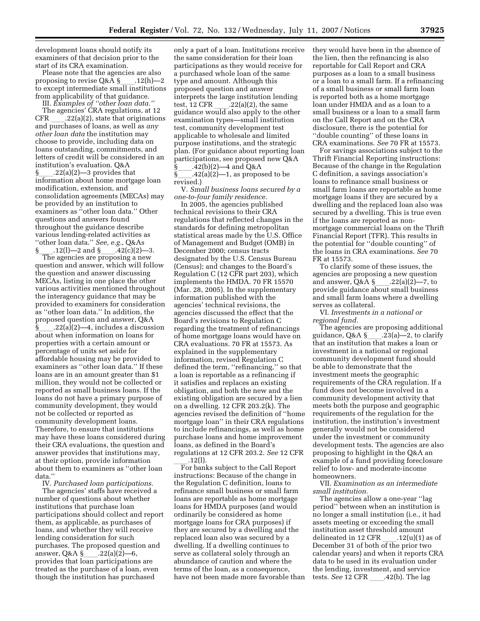development loans should notify its examiners of that decision prior to the start of its CRA examination.

Please note that the agencies are also<br>proposing to revise  $Q&A\$  .12(h)-2 proposing to revise Q&A §\_\_\_\_.12(h)—2<br>to except intermediate small institutions from applicability of that guidance.

III. *Examples of ''other loan data.''* The agencies' CRA regulations, at 12 CFR  $.22(a)(2)$ , state that originations and purchases of loans, as well as *any other loan data* the institution may choose to provide, including data on loans outstanding, commitments, and letters of credit will be considered in an institution's evaluation. Q&A

§\_\_\_\_.22(a)(2)—3 provides that<br>information about home mortgage loan modification, extension, and consolidation agreements (MECAs) may be provided by an institution to examiners as ''other loan data.'' Other questions and answers found throughout the guidance describe various lending-related activities as "other loan data." *See, e.g.*, Q&As<br>§ \_\_\_\_.12(1)—2 and § \_\_\_\_.42(c)(2)—3.

 $\S$  \_\_\_\_.12(l)—2 and  $\S$  \_\_\_\_.42(c)(2)—3.<br>The agencies are proposing a new question and answer, which will follow the question and answer discussing MECAs, listing in one place the other various activities mentioned throughout the interagency guidance that may be provided to examiners for consideration as ''other loan data.'' In addition, the proposed question and answer, Q&A  $.22(a)(2)$ —4, includes a discussion about when information on loans for properties with a certain amount or percentage of units set aside for affordable housing may be provided to examiners as ''other loan data.'' If these loans are in an amount greater than \$1 million, they would not be collected or reported as small business loans. If the loans do not have a primary purpose of community development, they would not be collected or reported as community development loans. Therefore, to ensure that institutions may have these loans considered during their CRA evaluations, the question and answer provides that institutions may, at their option, provide information about them to examiners as ''other loan data.''

IV. *Purchased loan participations.* 

The agencies' staffs have received a number of questions about whether institutions that purchase loan participations should collect and report them, as applicable, as purchases of loans, and whether they will receive lending consideration for such purchases. The proposed question and answer, Q&A §\_\_\_\_.22(a)(2)—6,<br>provides that loan participations are treated as the purchase of a loan, even though the institution has purchased

only a part of a loan. Institutions receive the same consideration for their loan participations as they would receive for a purchased whole loan of the same type and amount. Although this proposed question and answer interprets the large institution lending test, 12 CFR \_\_\_\_.22(a)(2), the same<br>guidance would also apply to the other examination types—small institution test, community development test applicable to wholesale and limited purpose institutions, and the strategic plan. (For guidance about reporting loan participations, see proposed new Q&A  $\S$  .42(b)(2)—4 and Q&A<br> $\S$  .42(a)(2)—1, as propos

 $\left( -42(a)(2)-1, \text{ as proposed to be}\right)$ revised.)

V. *Small business loans secured by a one-to-four family residence.* 

In 2005, the agencies published technical revisions to their CRA regulations that reflected changes in the standards for defining metropolitan statistical areas made by the U.S. Office of Management and Budget (OMB) in December 2000; census tracts designated by the U.S. Census Bureau (Census); and changes to the Board's Regulation C (12 CFR part 203), which implements the HMDA. 70 FR 15570 (Mar. 28, 2005). In the supplementary information published with the agencies' technical revisions, the agencies discussed the effect that the Board's revisions to Regulation C regarding the treatment of refinancings of home mortgage loans would have on CRA evaluations. 70 FR at 15573. As explained in the supplementary information, revised Regulation C defined the term, "refinancing," so that a loan is reportable as a refinancing if it satisfies and replaces an existing obligation, and both the new and the existing obligation are secured by a lien on a dwelling. 12 CFR 203.2(k). The agencies revised the definition of ''home mortgage loan'' in their CRA regulations to include refinancings, as well as home purchase loans and home improvement loans, as defined in the Board's regulations at 12 CFR 203.2. *See* 12 CFR

\_\_\_\_\_.12(l).<br>For banks subject to the Call Report instructions: Because of the change in the Regulation C definition, loans to refinance small business or small farm loans are reportable as home mortgage loans for HMDA purposes (and would ordinarily be considered as home mortgage loans for CRA purposes) if they are secured by a dwelling and the replaced loan also was secured by a dwelling. If a dwelling continues to serve as collateral solely through an abundance of caution and where the terms of the loan, as a consequence, have not been made more favorable than they would have been in the absence of the lien, then the refinancing is also reportable for Call Report and CRA purposes as a loan to a small business or a loan to a small farm. If a refinancing of a small business or small farm loan is reported both as a home mortgage loan under HMDA and as a loan to a small business or a loan to a small farm on the Call Report and on the CRA disclosure, there is the potential for ''double counting'' of these loans in CRA examinations. *See* 70 FR at 15573.

For savings associations subject to the Thrift Financial Reporting instructions: Because of the change in the Regulation C definition, a savings association's loans to refinance small business or small farm loans are reportable as home mortgage loans if they are secured by a dwelling and the replaced loan also was secured by a dwelling. This is true even if the loans are reported as nonmortgage commercial loans on the Thrift Financial Report (TFR). This results in the potential for ''double counting'' of the loans in CRA examinations. *See* 70 FR at 15573.

To clarify some of these issues, the agencies are proposing a new question and answer,  $Q & A \succeq .22(a)(2) - 7$ , to provide guidance about small business and small farm loans where a dwelling serves as collateral.

VI. *Investments in a national or regional fund.* 

The agencies are proposing additional guidance, Q&A §\_\_\_\_.23(a)-2, to clarify that an institution that makes a loan or investment in a national or regional community development fund should be able to demonstrate that the investment meets the geographic requirements of the CRA regulation. If a fund does not become involved in a community development activity that meets both the purpose and geographic requirements of the regulation for the institution, the institution's investment generally would not be considered under the investment or community development tests. The agencies are also proposing to highlight in the Q&A an example of a fund providing foreclosure relief to low- and moderate-income homeowners.

VII. *Examination as an intermediate small institution.* 

The agencies allow a one-year ''lag period'' between when an institution is no longer a small institution (i.e., it had assets meeting or exceeding the small institution asset threshold amount delineated in 12 CFR \_\_\_\_.12(u)(1) as of<br>December 31 of both of the prior two calendar years) and when it reports CRA data to be used in its evaluation under the lending, investment, and service tests. *See* 12 CFR .42(b). The lag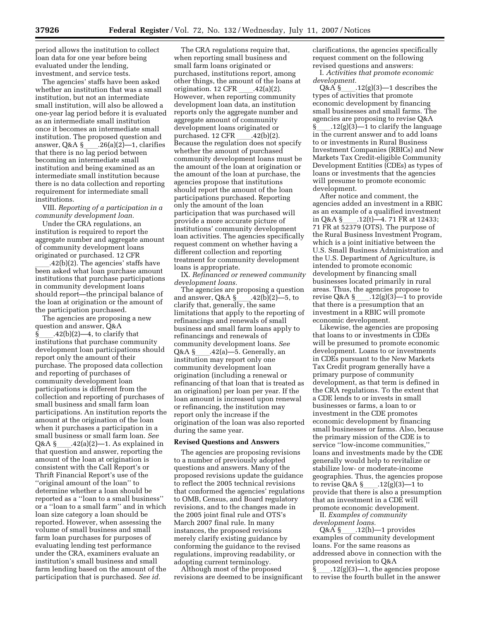period allows the institution to collect loan data for one year before being evaluated under the lending, investment, and service tests.

The agencies' staffs have been asked whether an institution that was a small institution, but not an intermediate small institution, will also be allowed a one-year lag period before it is evaluated as an intermediate small institution once it becomes an intermediate small institution. The proposed question and answer, Q&A § $_226(a)(2)-1$ , clarifies that there is no lag period between becoming an intermediate small institution and being examined as an intermediate small institution because there is no data collection and reporting requirement for intermediate small institutions.

VIII. *Reporting of a participation in a community development loan.* 

Under the CRA regulations, an institution is required to report the aggregate number and aggregate amount of community development loans originated or purchased. 12 CFR

 $.42(b)(2)$ . The agencies' staffs have been asked what loan purchase amount institutions that purchase participations in community development loans should report—the principal balance of the loan at origination or the amount of the participation purchased.

The agencies are proposing a new question and answer, Q&A  $.42(b)(2)$ —4, to clarify that institutions that purchase community development loan participations should report only the amount of their purchase. The proposed data collection and reporting of purchases of community development loan participations is different from the collection and reporting of purchases of small business and small farm loan participations. An institution reports the amount at the origination of the loan when it purchases a participation in a small business or small farm loan. *See*  Q&A §\_\_\_\_.42(a)(2)—1. As explained in<br>that question and answer, reporting the amount of the loan at origination is consistent with the Call Report's or Thrift Financial Report's use of the ''original amount of the loan'' to determine whether a loan should be reported as a ''loan to a small business'' or a ''loan to a small farm'' and in which loan size category a loan should be reported. However, when assessing the volume of small business and small farm loan purchases for purposes of evaluating lending test performance under the CRA, examiners evaluate an institution's small business and small farm lending based on the amount of the participation that is purchased. *See id.* 

The CRA regulations require that, when reporting small business and small farm loans originated or purchased, institutions report, among other things, the amount of the loans at origination.  $12 \text{ CFR}$  ...  $42(a)(2)$ . origination. 12 CFR \_\_\_\_.42(a)(2).<br>However, when reporting community development loan data, an institution reports only the aggregate number and aggregate amount of community development loans originated or purchased. 12 CFR \_\_\_\_.42(b)(2).<br>Because the regulation does not specify whether the amount of purchased community development loans must be the amount of the loan at origination or the amount of the loan at purchase, the agencies propose that institutions should report the amount of the loan participations purchased. Reporting only the amount of the loan participation that was purchased will provide a more accurate picture of institutions' community development loan activities. The agencies specifically request comment on whether having a different collection and reporting treatment for community development loans is appropriate.

IX. *Refinanced or renewed community development loans.* 

The agencies are proposing a question and answer, Q&A §\_\_\_.42(b)(2)—5, to<br>clarify that, generally, the same limitations that apply to the reporting of refinancings and renewals of small business and small farm loans apply to refinancings and renewals of community development loans. *See*  Q&A § $-42(a)$ -5. Generally, an institution may report only one community development loan origination (including a renewal or refinancing of that loan that is treated as an origination) per loan per year. If the loan amount is increased upon renewal or refinancing, the institution may report only the increase if the origination of the loan was also reported during the same year.

#### **Revised Questions and Answers**

The agencies are proposing revisions to a number of previously adopted questions and answers. Many of the proposed revisions update the guidance to reflect the 2005 technical revisions that conformed the agencies' regulations to OMB, Census, and Board regulatory revisions, and to the changes made in the 2005 joint final rule and OTS's March 2007 final rule. In many instances, the proposed revisions merely clarify existing guidance by conforming the guidance to the revised regulations, improving readability, or adopting current terminology.

Although most of the proposed revisions are deemed to be insignificant clarifications, the agencies specifically request comment on the following revised questions and answers:

I. *Activities that promote economic development.* 

 $Q & A \$  .12(g)(3)—1 describes the types of activities that promote economic development by financing small businesses and small farms. The agencies are proposing to revise Q&A  $\S$ , 12(g)(3)—1 to clarify the language in the current answer and to add loans to or investments in Rural Business Investment Companies (RBICs) and New Markets Tax Credit-eligible Community Development Entities (CDEs) as types of loans or investments that the agencies will presume to promote economic development.

After notice and comment, the agencies added an investment in a RBIC as an example of a qualified investment<br>in Q&A §  $.12(t)$ —4. 71 FR at 12433; in Q&A §\_\_\_\_.12(t)—4. 71 FR at 12433;<br>71 FR at 52379 (OTS). The purpose of the Rural Business Investment Program, which is a joint initiative between the U.S. Small Business Administration and the U.S. Department of Agriculture, is intended to promote economic development by financing small businesses located primarily in rural areas. Thus, the agencies propose to revise Q&A §\_\_\_\_.12(g)(3)—1 to provide<br>that there is a presumption that an investment in a RBIC will promote economic development.

Likewise, the agencies are proposing that loans to or investments in CDEs will be presumed to promote economic development. Loans to or investments in CDEs pursuant to the New Markets Tax Credit program generally have a primary purpose of community development, as that term is defined in the CRA regulations. To the extent that a CDE lends to or invests in small businesses or farms, a loan to or investment in the CDE promotes economic development by financing small businesses or farms. Also, because the primary mission of the CDE is to service ''low-income communities,'' loans and investments made by the CDE generally would help to revitalize or stabilize low- or moderate-income geographies. Thus, the agencies propose to revise Q&A §\_\_\_\_.12(g)(3)—1 to<br>provide that there is also a presumption that an investment in a CDE will promote economic development.

II. *Examples of community development loans.* 

 $Q & A \$  \_\_\_\_.12(h)—1 provides examples of community development loans. For the same reasons as addressed above in connection with the proposed revision to Q&A  $\S$  .12(g)(3)—1, the agencies propose to revise the fourth bullet in the answer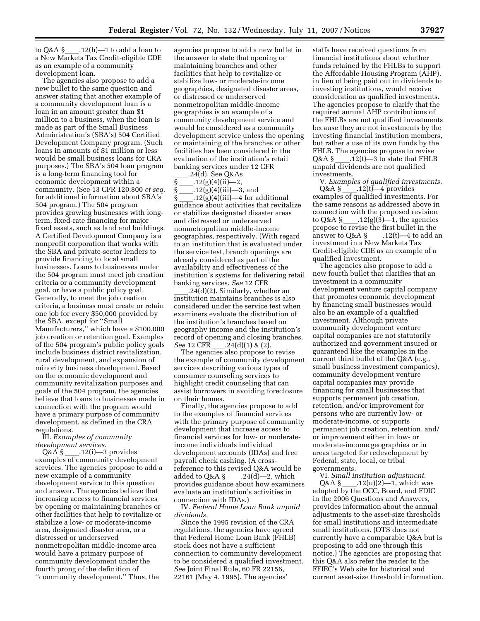to Q&A §\_\_\_\_.12(h)—1 to add a loan to<br>a New Markets Tax Credit-eligible CDE as an example of a community development loan.

The agencies also propose to add a new bullet to the same question and answer stating that another example of a community development loan is a loan in an amount greater than \$1 million to a business, when the loan is made as part of the Small Business Administration's (SBA's) 504 Certified Development Company program. (Such loans in amounts of \$1 million or less would be small business loans for CRA purposes.) The SBA's 504 loan program is a long-term financing tool for economic development within a community. (See 13 CFR 120.800 *et seq.*  for additional information about SBA's 504 program.) The 504 program provides growing businesses with longterm, fixed-rate financing for major fixed assets, such as land and buildings. A Certified Development Company is a nonprofit corporation that works with the SBA and private-sector lenders to provide financing to local small businesses. Loans to businesses under the 504 program must meet job creation criteria or a community development goal, or have a public policy goal. Generally, to meet the job creation criteria, a business must create or retain one job for every \$50,000 provided by the SBA, except for ''Small Manufacturers,'' which have a \$100,000 job creation or retention goal. Examples of the 504 program's public policy goals include business district revitalization, rural development, and expansion of minority business development. Based on the economic development and community revitalization purposes and goals of the 504 program, the agencies believe that loans to businesses made in connection with the program would have a primary purpose of community development, as defined in the CRA regulations.

III. *Examples of community development services.* 

 $Q&A\ \S$  \_\_\_\_.12(i)—3 provides examples of community development services. The agencies propose to add a new example of a community development service to this question and answer. The agencies believe that increasing access to financial services by opening or maintaining branches or other facilities that help to revitalize or stabilize a low- or moderate-income area, designated disaster area, or a distressed or underserved nonmetropolitan middle-income area would have a primary purpose of community development under the fourth prong of the definition of ''community development.'' Thus, the

agencies propose to add a new bullet in the answer to state that opening or maintaining branches and other facilities that help to revitalize or stabilize low- or moderate-income geographies, designated disaster areas, or distressed or underserved nonmetropolitan middle-income geographies is an example of a community development service and would be considered as a community development service unless the opening or maintaining of the branches or other facilities has been considered in the evaluation of the institution's retail banking services under 12 CFR

.24(d). See Q&As

§ ll.12(g)(4)(ii)—2,

§ ll.12(g)(4)(iii)—3, and § \_\_\_\_.12(g)(4)(iii)—4 for additional<br>guidance about activities that revitalize or stabilize designated disaster areas and distressed or underserved nonmetropolitan middle-income geographies, respectively. (With regard to an institution that is evaluated under the service test, branch openings are already considered as part of the availability and effectiveness of the institution's systems for delivering retail banking services. *See* 12 CFR

 $24(d)(2)$ . Similarly, whether an institution maintains branches is also considered under the service test when examiners evaluate the distribution of the institution's branches based on geography income and the institution's record of opening and closing branches.

*See* 12 CFR\_\_\_\_.24(d)(1) & (2).<br>The agencies also propose to revise the example of community development services describing various types of consumer counseling services to highlight credit counseling that can assist borrowers in avoiding foreclosure on their homes.

Finally, the agencies propose to add to the examples of financial services with the primary purpose of community development that increase access to financial services for low- or moderateincome individuals individual development accounts (IDAs) and free payroll check cashing. (A crossreference to this revised Q&A would be<br>added to Q&A § .24(d)—2, which added to Q&A § \_\_\_\_.24(d)—2, which<br>provides guidance about how examiners evaluate an institution's activities in connection with IDAs.)

IV. *Federal Home Loan Bank unpaid dividends.* 

Since the 1995 revision of the CRA regulations, the agencies have agreed that Federal Home Loan Bank (FHLB) stock does not have a sufficient connection to community development to be considered a qualified investment. *See* Joint Final Rule, 60 FR 22156, 22161 (May 4, 1995). The agencies'

staffs have received questions from financial institutions about whether funds retained by the FHLBs to support the Affordable Housing Program (AHP), in lieu of being paid out in dividends to investing institutions, would receive consideration as qualified investments. The agencies propose to clarify that the required annual AHP contributions of the FHLBs are not qualified investments because they are not investments by the investing financial institution members, but rather a use of its own funds by the FHLB. The agencies propose to revise Q&A § \_\_\_\_.12(t)—3 to state that FHLB<br>unpaid dividends are not qualified investments.

V. *Examples of qualified investments.*   $Q&A\ \S$  \_\_\_\_.12(t)—4 provides<br>examples of qualified investments. For the same reasons as addressed above in connection with the proposed revision to Q&A § \_\_\_\_.12(g)(3)—1, the agencies<br>propose to revise the first bullet in the answer to Q&A § \_\_\_.12(t)—4 to add an<br>investment in a New Markets Tax Credit-eligible CDE as an example of a qualified investment.

The agencies also propose to add a new fourth bullet that clarifies that an investment in a community development venture capital company that promotes economic development by financing small businesses would also be an example of a qualified investment. Although private community development venture capital companies are not statutorily authorized and government insured or guaranteed like the examples in the current third bullet of the Q&A (e.g., small business investment companies), community development venture capital companies may provide financing for small businesses that supports permanent job creation, retention, and/or improvement for persons who are currently low- or moderate-income, or supports permanent job creation, retention, and/ or improvement either in low- or moderate-income geographies or in areas targeted for redevelopment by Federal, state, local, or tribal governments.

VI. *Small institution adjustment.*  Q&A  $\sum_{12}(u)(2)$ —1, which was adopted by the OCC, Board, and FDIC in the 2006 Questions and Answers, provides information about the annual adjustments to the asset-size thresholds for small institutions and intermediate small institutions. (OTS does not currently have a comparable Q&A but is proposing to add one through this notice.) The agencies are proposing that this Q&A also refer the reader to the FFIEC's Web site for historical and current asset-size threshold information.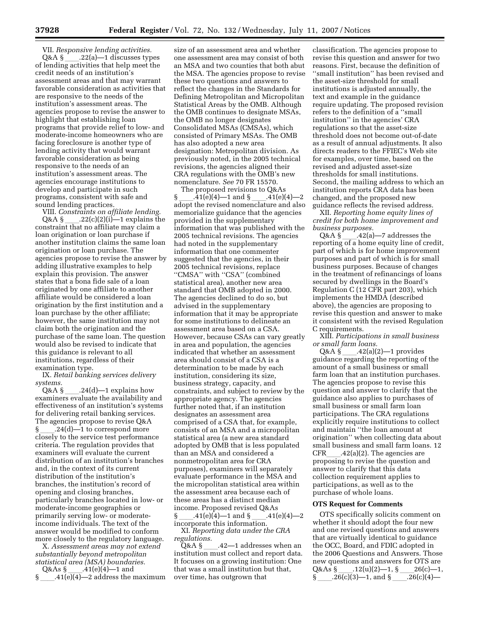VII. *Responsive lending activities.*   $Q&A\$  \_\_\_\_.22(a)—1 discusses types of lending activities that help meet the credit needs of an institution's assessment areas and that may warrant favorable consideration as activities that are responsive to the needs of the institution's assessment areas. The agencies propose to revise the answer to highlight that establishing loan programs that provide relief to low- and moderate-income homeowners who are facing foreclosure is another type of lending activity that would warrant favorable consideration as being responsive to the needs of an institution's assessment areas. The agencies encourage institutions to develop and participate in such programs, consistent with safe and sound lending practices.

VIII. *Constraints on affiliate lending.*  Q&A §  $\_\_$ .22(c)(2)(i)—1 explains the constraint that no affiliate may claim a loan origination or loan purchase if another institution claims the same loan origination or loan purchase. The agencies propose to revise the answer by adding illustrative examples to help explain this provision. The answer states that a bona fide sale of a loan originated by one affiliate to another affiliate would be considered a loan origination by the first institution and a loan purchase by the other affiliate; however, the same institution may not claim both the origination and the purchase of the same loan. The question would also be revised to indicate that this guidance is relevant to all institutions, regardless of their examination type.

IX. *Retail banking services delivery systems.* 

Q&A §  $\_\_$ .24(d)—1 explains how examiners evaluate the availability and effectiveness of an institution's systems for delivering retail banking services. The agencies propose to revise Q&A § \_\_\_\_.24(d)—1 to correspond more<br>closely to the service test performance criteria. The regulation provides that examiners will evaluate the current distribution of an institution's branches and, in the context of its current distribution of the institution's branches, the institution's record of opening and closing branches, particularly branches located in low- or moderate-income geographies or primarily serving low- or moderateincome individuals. The text of the answer would be modified to conform more closely to the regulatory language.

X. *Assessment areas may not extend substantially beyond metropolitan statistical area (MSA) boundaries.*   $Q&As \S$  .41(e)(4)—1 and

 $.41(e)(4)$ —2 address the maximum

size of an assessment area and whether one assessment area may consist of both an MSA and two counties that both abut the MSA. The agencies propose to revise these two questions and answers to reflect the changes in the Standards for Defining Metropolitan and Micropolitan Statistical Areas by the OMB. Although the OMB continues to designate MSAs, the OMB no longer designates Consolidated MSAs (CMSAs), which consisted of Primary MSAs. The OMB has also adopted a new area designation: Metropolitan division. As previously noted, in the 2005 technical revisions, the agencies aligned their CRA regulations with the OMB's new nomenclature. *See* 70 FR 15570.

The proposed revisions to  $Q&As$ <br>.41(e)(4)—1 and § .41(e)(4)—2  $\frac{\gamma_{\text{max}}}{\gamma_{\text{1}}} = \frac{41(e)(4)-1}{1}$  and  $\frac{\gamma_{\text{max}}}{\gamma_{\text{2}}} = \frac{41(e)(4)-2}{1}$ memorialize guidance that the agencies provided in the supplementary information that was published with the 2005 technical revisions. The agencies had noted in the supplementary information that one commenter suggested that the agencies, in their 2005 technical revisions, replace ''CMSA'' with ''CSA'' (combined statistical area), another new area standard that OMB adopted in 2000. The agencies declined to do so, but advised in the supplementary information that it may be appropriate for some institutions to delineate an assessment area based on a CSA. However, because CSAs can vary greatly in area and population, the agencies indicated that whether an assessment area should consist of a CSA is a determination to be made by each institution, considering its size, business strategy, capacity, and constraints, and subject to review by the appropriate agency. The agencies further noted that, if an institution designates an assessment area comprised of a CSA that, for example, consists of an MSA and a micropolitan statistical area (a new area standard adopted by OMB that is less populated than an MSA and considered a nonmetropolitan area for CRA purposes), examiners will separately evaluate performance in the MSA and the micropolitan statistical area within the assessment area because each of these areas has a distinct median income. Proposed revised Q&As

§ \_\_\_\_.41(e)(4)—1 and § \_\_\_\_.41(e)(4)—2<br>incorporate this information.

XI. *Reporting data under the CRA regulations.* 

Q&A §  $\_\_$ .42—1 addresses when an institution must collect and report data. It focuses on a growing institution: One that was a small institution but that, over time, has outgrown that

classification. The agencies propose to revise this question and answer for two reasons. First, because the definition of ''small institution'' has been revised and the asset-size threshold for small institutions is adjusted annually, the text and example in the guidance require updating. The proposed revision refers to the definition of a ''small institution'' in the agencies' CRA regulations so that the asset-size threshold does not become out-of-date as a result of annual adjustments. It also directs readers to the FFIEC's Web site for examples, over time, based on the revised and adjusted asset-size thresholds for small institutions. Second, the mailing address to which an institution reports CRA data has been changed, and the proposed new guidance reflects the revised address.

XII. *Reporting home equity lines of credit for both home improvement and business purposes.*<br>Q&A § .42(a)—7 addresses the

Q&A §  $\_\_$ .42(a)—7 addresses the reporting of a home equity line of credit, part of which is for home improvement purposes and part of which is for small business purposes. Because of changes in the treatment of refinancings of loans secured by dwellings in the Board's Regulation C (12 CFR part 203), which implements the HMDA (described above), the agencies are proposing to revise this question and answer to make it consistent with the revised Regulation C requirements.

XIII. *Participations in small business or small farm loans.* 

 $Q&A\$ § .42(a)(2)—1 provides guidance regarding the reporting of the amount of a small business or small farm loan that an institution purchases. The agencies propose to revise this question and answer to clarify that the guidance also applies to purchases of small business or small farm loan participations. The CRA regulations explicitly require institutions to collect and maintain ''the loan amount at origination'' when collecting data about small business and small farm loans. 12 CFR\_\_\_\_.42(a)(2). The agencies are<br>proposing to revise the question and answer to clarify that this data collection requirement applies to participations, as well as to the purchase of whole loans.

#### **OTS Request for Comments**

OTS specifically solicits comment on whether it should adopt the four new and one revised questions and answers that are virtually identical to guidance the OCC, Board, and FDIC adopted in the 2006 Questions and Answers. Those new questions and answers for OTS are  $Q&As \frac{S}{26(c)(3)}$  .12(u)(2)–1,  $\frac{S}{26(c)(4)}$ <br>S 26(c)(3)–1 and S 26(c)(4)– § \_\_\_\_\_.26(c)(3)—1, and § \_\_\_\_\_.26(c)(4)—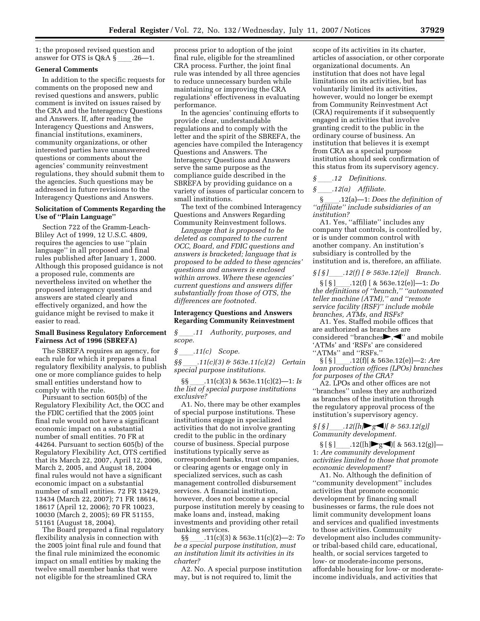1; the proposed revised question and answer for OTS is Q&A § ll.26—1.

#### **General Comments**

In addition to the specific requests for comments on the proposed new and revised questions and answers, public comment is invited on issues raised by the CRA and the Interagency Questions and Answers. If, after reading the Interagency Questions and Answers, financial institutions, examiners, community organizations, or other interested parties have unanswered questions or comments about the agencies' community reinvestment regulations, they should submit them to the agencies. Such questions may be addressed in future revisions to the Interagency Questions and Answers.

#### **Solicitation of Comments Regarding the Use of ''Plain Language''**

Section 722 of the Gramm-Leach-Bliley Act of 1999, 12 U.S.C. 4809, requires the agencies to use ''plain language'' in all proposed and final rules published after January 1, 2000. Although this proposed guidance is not a proposed rule, comments are nevertheless invited on whether the proposed interagency questions and answers are stated clearly and effectively organized, and how the guidance might be revised to make it easier to read.

#### **Small Business Regulatory Enforcement Fairness Act of 1996 (SBREFA)**

The SBREFA requires an agency, for each rule for which it prepares a final regulatory flexibility analysis, to publish one or more compliance guides to help small entities understand how to comply with the rule.

Pursuant to section 605(b) of the Regulatory Flexibility Act, the OCC and the FDIC certified that the 2005 joint final rule would not have a significant economic impact on a substantial number of small entities. 70 FR at 44264. Pursuant to section 605(b) of the Regulatory Flexibility Act, OTS certified that its March 22, 2007, April 12, 2006, March 2, 2005, and August 18, 2004 final rules would not have a significant economic impact on a substantial number of small entities. 72 FR 13429, 13434 (March 22, 2007); 71 FR 18614, 18617 (April 12, 2006); 70 FR 10023, 10030 (March 2, 2005); 69 FR 51155, 51161 (August 18, 2004).

The Board prepared a final regulatory flexibility analysis in connection with the 2005 joint final rule and found that the final rule minimized the economic impact on small entities by making the twelve small member banks that were not eligible for the streamlined CRA

process prior to adoption of the joint final rule, eligible for the streamlined CRA process. Further, the joint final rule was intended by all three agencies to reduce unnecessary burden while maintaining or improving the CRA regulations' effectiveness in evaluating performance.

In the agencies' continuing efforts to provide clear, understandable regulations and to comply with the letter and the spirit of the SBREFA, the agencies have compiled the Interagency Questions and Answers. The Interagency Questions and Answers serve the same purpose as the compliance guide described in the SBREFA by providing guidance on a variety of issues of particular concern to small institutions.

The text of the combined Interagency Questions and Answers Regarding Community Reinvestment follows.

*Language that is proposed to be deleted as compared to the current OCC, Board, and FDIC questions and answers is bracketed; language that is proposed to be added to these agencies' questions and answers is enclosed within arrows. Where these agencies' current questions and answers differ substantially from those of OTS, the differences are footnoted.* 

#### **Interagency Questions and Answers Regarding Community Reinvestment**

*§* ll*.11 Authority, purposes, and scope.* 

*§ \_\_\_\_.11(c) Scope.*<br>*§§ .11(c)(3) & 56 §§* ll*.11(c)(3) & 563e.11(c)(2) Certain special purpose institutions.* 

§§ ll.11(c)(3) & 563e.11(c)(2)—1: *Is the list of special purpose institutions exclusive?* 

A1. No, there may be other examples of special purpose institutions. These institutions engage in specialized activities that do not involve granting credit to the public in the ordinary course of business. Special purpose institutions typically serve as correspondent banks, trust companies, or clearing agents or engage only in specialized services, such as cash management controlled disbursement services. A financial institution, however, does not become a special purpose institution merely by ceasing to make loans and, instead, making investments and providing other retail banking services.

§§ ll.11(c)(3) & 563e.11(c)(2)—2: *To be a special purpose institution, must an institution limit its activities in its charter?* 

A2. No. A special purpose institution may, but is not required to, limit the

scope of its activities in its charter, articles of association, or other corporate organizational documents. An institution that does not have legal limitations on its activities, but has voluntarily limited its activities, however, would no longer be exempt from Community Reinvestment Act (CRA) requirements if it subsequently engaged in activities that involve granting credit to the public in the ordinary course of business. An institution that believes it is exempt from CRA as a special purpose institution should seek confirmation of this status from its supervisory agency.

*§* ll*.12 Definitions.* 

*§* \_\_\_\_.12(a) Affiliate.<br>§ .12(a)—1: Does the definition of § ll.12(a)—1: *Does the definition of ''affiliate'' include subsidiaries of an institution?* 

A1. Yes, ''affiliate'' includes any company that controls, is controlled by, or is under common control with another company. An institution's subsidiary is controlled by the institution and is, therefore, an affiliate.

*§ [ § ]*ll*.12(f) [ & 563e.12(e)] Branch.*  § [ § ]ll.12(f) [ & 563e.12(e)]—1: *Do the definitions of ''branch,'' ''automated teller machine (ATM),'' and ''remote service facility (RSF)'' include mobile branches, ATMs, and RSFs?* 

A1. Yes. Staffed mobile offices that are authorized as branches are considered "branches", with and mobile 'ATMs' and 'RSFs' are considered "ATMs" and "RSFs."<br> $\S[\S]$  .12(f)[ & 563e.12(e)]—2: Are

§ [ § ]ll.12(f)[ & 563e.12(e)]—2: *Are loan production offices (LPOs) branches for purposes of the CRA?* 

A2. LPOs and other offices are not ''branches'' unless they are authorized as branches of the institution through the regulatory approval process of the institution's supervisory agency.

 $\frac{12}{[\hbar]\cdot g}$   $\frac{12}{[\hbar]\cdot g}$   $\frac{12}{[\hbar \cdot g]}$ *Community development.* 

 $\S[\S]$  .12([h]files 1 & 563.12(g)]— 1: *Are community development activities limited to those that promote economic development?* 

A1. No. Although the definition of ''community development'' includes activities that promote economic development by financing small businesses or farms, the rule does not limit community development loans and services and qualified investments to those activities. Community development also includes communityor tribal-based child care, educational, health, or social services targeted to low- or moderate-income persons, affordable housing for low- or moderateincome individuals, and activities that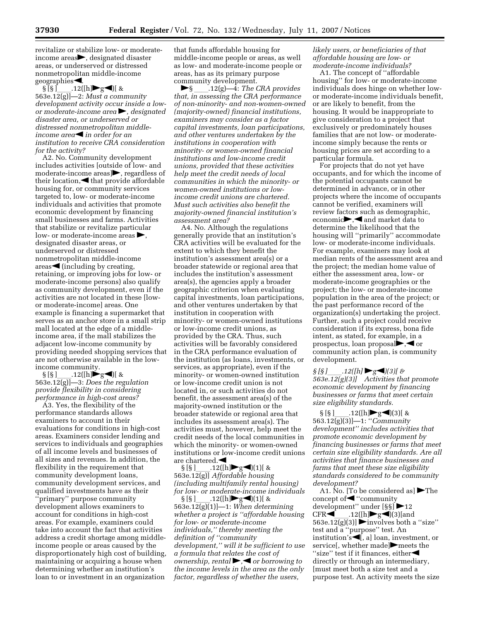revitalize or stabilize low- or moderateincome areas  $\rightarrow$ , designated disaster areas, or underserved or distressed nonmetropolitan middle-income geographies  $\blacktriangleleft$ .<br>§ [§ ] .12([h]  $\blacktriangleright$  g  $\blacktriangleleft$  ][ &

§ [§ ]\_\_\_\_.12([h]▶g◀)[ &<br>563e.12(g)]—2: *Must a community development activity occur inside a lowor moderate-income area* , designated *disaster area, or underserved or distressed nonmetropolitan middleincome area*<sup>in</sup> *order for an institution to receive CRA consideration for the activity?* 

A2. No. Community development includes activities [outside of low- and moderate-income areas  $\blacktriangleright$ , regardless of their location,  $\blacktriangleleft$  that provide affordable housing for, or community services targeted to, low- or moderate-income individuals and activities that promote economic development by financing small businesses and farms. Activities that stabilize or revitalize particular low- or moderate-income areas  $\blacktriangleright$ , designated disaster areas, or underserved or distressed nonmetropolitan middle-income  $area \leq (including by creating,$ retaining, or improving jobs for low- or moderate-income persons) also qualify as community development, even if the activities are not located in these [lowor moderate-income] areas. One example is financing a supermarket that serves as an anchor store in a small strip mall located at the edge of a middleincome area, if the mall stabilizes the adjacent low-income community by providing needed shopping services that are not otherwise available in the low-

income community.<br>§ [§ ]  $.12([h]\blacktriangleright g\blacktriangleleft]$  [ &  $\S [S]$  .12([h]**b**g**]**[ & 563e.12(g)]—3: *Does the regulation provide flexibility in considering performance in high-cost areas?* 

A3. Yes, the flexibility of the performance standards allows examiners to account in their evaluations for conditions in high-cost areas. Examiners consider lending and services to individuals and geographies of all income levels and businesses of all sizes and revenues. In addition, the flexibility in the requirement that community development loans, community development services, and qualified investments have as their ''primary'' purpose community development allows examiners to account for conditions in high-cost areas. For example, examiners could take into account the fact that activities address a credit shortage among middleincome people or areas caused by the disproportionately high cost of building, maintaining or acquiring a house when determining whether an institution's loan to or investment in an organization

that funds affordable housing for middle-income people or areas, as well as low- and moderate-income people or areas, has as its primary purpose community development.<br>
S.  $.12(g) - 4$ : The C

fl§ ll.12(g)—4: *The CRA provides that, in assessing the CRA performance of non-minority- and non-women-owned (majority-owned) financial institutions, examiners may consider as a factor capital investments, loan participations, and other ventures undertaken by the institutions in cooperation with minority- or women-owned financial institutions and low-income credit unions, provided that these activities help meet the credit needs of local communities in which the minority- or women-owned institutions or lowincome credit unions are chartered. Must such activities also benefit the majority-owned financial institution's assessment area?* 

A4. No. Although the regulations generally provide that an institution's CRA activities will be evaluated for the extent to which they benefit the institution's assessment area(s) or a broader statewide or regional area that includes the institution's assessment area(s), the agencies apply a broader geographic criterion when evaluating capital investments, loan participations, and other ventures undertaken by that institution in cooperation with minority- or women-owned institutions or low-income credit unions, as provided by the CRA. Thus, such activities will be favorably considered in the CRA performance evaluation of the institution (as loans, investments, or services, as appropriate), even if the minority- or women-owned institution or low-income credit union is not located in, or such activities do not benefit, the assessment area(s) of the majority-owned institution or the broader statewide or regional area that includes its assessment area(s). The activities must, however, help meet the credit needs of the local communities in which the minority- or women-owned institutions or low-income credit unions are chartered.fi

§ [§ ]\_\_\_\_.12([h]▶g◀)(1)[ &<br>563e.12(g)] *Affordable housing (including multifamily rental housing) for low- or moderate-income individuals*   $\S [S]$  .12([h]**b**g**d**)(1)[ & 563e.12(g)(1)]—1: *When determining whether a project is ''affordable housing for low- or moderate-income individuals,'' thereby meeting the definition of ''community development,'' will it be sufficient to use a formula that relates the cost of ownership, rental*  $\rightarrow$  *or borrowing to the income levels in the area as the only factor, regardless of whether the users,* 

*likely users, or beneficiaries of that affordable housing are low- or moderate-income individuals?* 

A1. The concept of ''affordable housing'' for low- or moderate-income individuals does hinge on whether lowor moderate-income individuals benefit, or are likely to benefit, from the housing. It would be inappropriate to give consideration to a project that exclusively or predominately houses families that are not low- or moderateincome simply because the rents or housing prices are set according to a particular formula.

For projects that do not yet have occupants, and for which the income of the potential occupants cannot be determined in advance, or in other projects where the income of occupants cannot be verified, examiners will review factors such as demographic, economic $\blacktriangleright, \blacktriangleleft$  and market data to determine the likelihood that the housing will ''primarily'' accommodate low- or moderate-income individuals. For example, examiners may look at median rents of the assessment area and the project; the median home value of either the assessment area, low- or moderate-income geographies or the project; the low- or moderate-income population in the area of the project; or the past performance record of the organization(s) undertaking the project. Further, such a project could receive consideration if its express, bona fide intent, as stated, for example, in a prospectus, loan proposal $\blacktriangleright, \blacktriangleleft$  or community action plan, is community development.

*§ [§* ]\_\_\_\_.12([h] ▶g◀)(3)[ & *563e.12(g)(3)]* Activities that promote *economic development by financing businesses or farms that meet certain size eligibility standards.* 

§ [§ ]ll.12([h]flgfi)(3)[ & 563.12(g)(3)]—1: ''*Community development'' includes activities that promote economic development by financing businesses or farms that meet certain size eligibility standards. Are all activities that finance businesses and farms that meet these size eligibility standards considered to be community development?* 

A1. No. [To be considered as]  $\blacktriangleright$  The concept of  $\blacktriangle$  "community" development" under [§§] > 12 CFR◀\_\_.12([h]▶g◀)(3)[and<br>563e.12(g)(3)] ▶involves both a ''size'' test and a ''purpose'' test. An institution's  $\blacksquare$ , a] loan, investment, or service[, whether made] $\blacktriangleright$  meets the " $size"$  test if it finances, either directly or through an intermediary, [must meet both a size test and a purpose test. An activity meets the size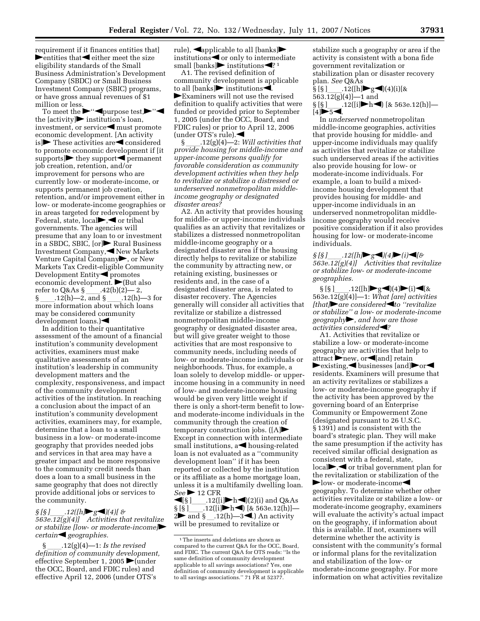requirement if it finances entities that]  $\blacktriangleright$  entities that  $\blacktriangleleft$  either meet the size eligibility standards of the Small Business Administration's Development Company (SBDC) or Small Business Investment Company (SBIC) programs, or have gross annual revenues of \$1 million or less.

To meet the  $\blacktriangleright$ " $\blacktriangleleft$ purpose test, $\blacktriangleright$ " $\blacktriangleleft$ the  $[activity]$  institution's loan, investment, or service $\blacktriangleleft$  must promote economic development. [An activity is  $\blacktriangleright$  These activities are **s**considered to promote economic development if [it supports] $\blacktriangleright$  they support  $\blacktriangleleft$  permanent job creation, retention, and/or improvement for persons who are currently low- or moderate-income, or supports permanent job creation, retention, and/or improvement either in low- or moderate-income geographies or in areas targeted for redevelopment by Federal, state,  $local \rightarrow \bullet$  or tribal governments. The agencies will presume that any loan to or investment in a SBDC, SBIC,  $[or]$  Rural Business Investment Company, New Markets Venture Capital Company<sup>1</sup>, or New Markets Tax Credit-eligible Community Development Entity<sup>q</sup> promotes economic development.  $\blacktriangleright$  (But also refer to Q&As  $\frac{1}{2}$ .42(b)(2)—2,<br>§ .12(h)—2, and § .12(h)—3 for § \_\_\_\_.12(h)—2, and § \_\_\_\_.12(h)—3 for<br>more information about which loans may be considered community  $develoment loans.$ 

In addition to their quantitative assessment of the amount of a financial institution's community development activities, examiners must make qualitative assessments of an institution's leadership in community development matters and the complexity, responsiveness, and impact of the community development activities of the institution. In reaching a conclusion about the impact of an institution's community development activities, examiners may, for example, determine that a loan to a small business in a low- or moderate-income geography that provides needed jobs and services in that area may have a greater impact and be more responsive to the community credit needs than does a loan to a small business in the same geography that does not directly provide additional jobs or services to the community.

*§ [§ ]*\_\_\_\_.12([h**]►**  $g$ **■**)(4)[ & *563e.12(g)(4)]* Activities that revitalize *or stabilize [low- or moderate-income] certaingeographies.* 

§ ll.12(g)(4)—1: *Is the revised definition of community development,*  effective September 1, 2005  $\blacktriangleright$  (under the OCC, Board, and FDIC rules) and effective April 12, 2006 (under OTS's

rule),  $\blacktriangleleft$ applicable to all [banks] $\blacktriangleright$ institutions  $\blacktriangleleft$  or only to intermediate small [banks] institutions $\blacktriangleleft$ ? 1

A1. The revised definition of community development is applicable to all  $[\text{banks}]$  institutions. **Examiners will not use the revised** definition to qualify activities that were funded or provided prior to September 1, 2005 (under the OCC, Board, and FDIC rules) or prior to April 12, 2006 (under OTS's rule). $\blacktriangleleft$ 

§ ll.12(g)(4)—2: *Will activities that provide housing for middle-income and upper-income persons qualify for favorable consideration as community development activities when they help to revitalize or stabilize a distressed or underserved nonmetropolitan middleincome geography or designated disaster areas?* 

A2. An activity that provides housing for middle- or upper-income individuals qualifies as an activity that revitalizes or stabilizes a distressed nonmetropolitan middle-income geography or a designated disaster area if the housing directly helps to revitalize or stabilize the community by attracting new, or retaining existing, businesses or residents and, in the case of a designated disaster area, is related to disaster recovery. The Agencies generally will consider all activities that revitalize or stabilize a distressed nonmetropolitan middle-income geography or designated disaster area, but will give greater weight to those activities that are most responsive to community needs, including needs of low- or moderate-income individuals or neighborhoods. Thus, for example, a loan solely to develop middle- or upperincome housing in a community in need of low- and moderate-income housing would be given very little weight if there is only a short-term benefit to lowand moderate-income individuals in the community through the creation of temporary construction jobs.  $([A]$ Except in connection with intermediate small institutions,  $a \triangleleft$  housing-related loan is not evaluated as a ''community development loan'' if it has been reported or collected by the institution or its affiliate as a home mortgage loan, unless it is a multifamily dwelling loan.  $See$   $\triangleright$  12 CFR

fi[§ ]ll.12([i]flhfi)(2)(i) and Q&As  $\S[\S]$  .12([i]hdelengthenright] [& 563e.12(h)]—<br>2 and \ 3 and \ 12(h) 3 delengthenright 2 and  $\S$   $12(h)$ —3  $\blacksquare$ ) An activity<br>will be presumed to revitalize or will be presumed to revitalize or

stabilize such a geography or area if the activity is consistent with a bona fide government revitalization or stabilization plan or disaster recovery

plan. *See* Q&As .12( $[h]$ g (4)(4)(i)[& 563.12(g)(4)]—1 and  $\S$  [§ ]<sub>\_\_\_\_</sub>.12([i] $\blacktriangleright$ h $\blacktriangleleft$ ) [& 563e.12(h)]—  $[4]$  $5$ 

In *underserved* nonmetropolitan middle-income geographies, activities that provide housing for middle- and upper-income individuals may qualify as activities that revitalize or stabilize such underserved areas if the activities also provide housing for low- or moderate-income individuals. For example, a loan to build a mixedincome housing development that provides housing for middle- and upper-income individuals in an underserved nonmetropolitan middleincome geography would receive positive consideration if it also provides housing for low- or moderate-income individuals.

*§ [§ ]*\_\_\_\_\_.12([h]▶g◀)(4)▶(i)◀[& *563e.12(g)(4)]* Activities that revitalize *or stabilize low- or moderate-income geographies.* 

 $\S [S]$  .12([h]  $g$  (4) (i) (i) (& 563e.12(g)(4)] -1: *What [are] activities [that]*• are considered<to "revitalize *or stabilize'' a low- or moderate-income geography*fl*, and how are those activities considered* 

A1. Activities that revitalize or stabilize a low- or moderate-income geography are activities that help to  $\alpha$  attract  $\triangleright$  new, or  $\triangle$  [and] retain  $\blacktriangleright$  existing,  $\blacktriangleleft$  businesses [and] $\blacktriangleright$  or  $\blacktriangleleft$ residents. Examiners will presume that an activity revitalizes or stabilizes a low- or moderate-income geography if the activity has been approved by the governing board of an Enterprise Community or Empowerment Zone (designated pursuant to 26 U.S.C. § 1391) and is consistent with the board's strategic plan. They will make the same presumption if the activity has received similar official designation as consistent with a federal, state,  $\log$  or tribal government plan for the revitalization or stabilization of the  $\blacktriangleright$  low- or moderate-income geography. To determine whether other activities revitalize or stabilize a low- or moderate-income geography, examiners will evaluate the activity's actual impact on the geography, if information about this is available. If not, examiners will determine whether the activity is consistent with the community's formal or informal plans for the revitalization and stabilization of the low- or moderate-income geography. For more information on what activities revitalize

<sup>1</sup>The inserts and deletions are shown as compared to the current Q&A for the OCC, Board, and FDIC. The current Q&A for OTS reads: ''Is the same definition of community development applicable to all savings associations? Yes, one definition of community development is applicable to all savings associations.'' 71 FR at 52377.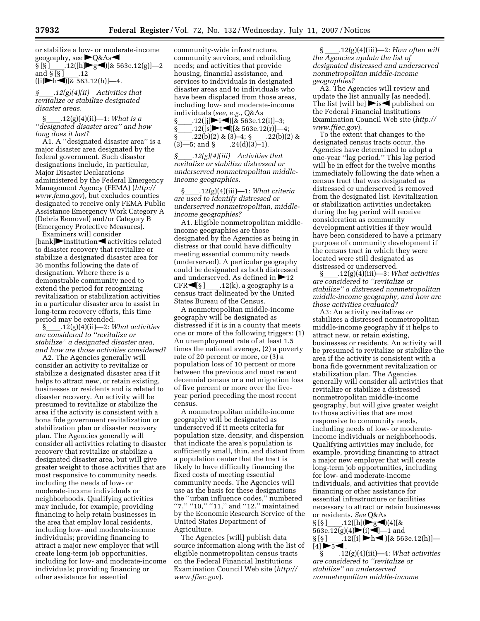or stabilize a low- or moderate-income geography, see  $\blacktriangleright$ Q&As $\blacktriangleleft$ geography, see  $\blacktriangleright$ Q&As $\blacktriangleleft$  $\S[\S]$  .12([h]flext][& 563e.12(g)]—2<br>and  $\S[\S]$  .12 and  $\S [S]$  .12<br>([i] - h - 1[k, 563  $([i] \blacktriangleright h \blacktriangleleft) [k 563.12(h)] - 4.$ 

*§*ll*.12(g)(4)(ii) Activities that revitalize or stabilize designated disaster areas.* 

§ll.12(g)(4)(ii)—1: *What is a ''designated disaster area'' and how long does it last?* 

A1. A ''designated disaster area'' is a major disaster area designated by the federal government. Such disaster designations include, in particular, Major Disaster Declarations administered by the Federal Emergency Management Agency (FEMA) (*http:// www.fema.gov*), but excludes counties designated to receive only FEMA Public Assistance Emergency Work Category A (Debris Removal) and/or Category B (Emergency Protective Measures).

Examiners will consider  $[\text{bank}]$  institution dactivities related to disaster recovery that revitalize or stabilize a designated disaster area for 36 months following the date of designation. Where there is a demonstrable community need to extend the period for recognizing revitalization or stabilization activities in a particular disaster area to assist in long-term recovery efforts, this time period may be extended.

§ll.12(g)(4)(ii)—2: *What activities are considered to ''revitalize or stabilize'' a designated disaster area, and how are those activities considered?* 

A2. The Agencies generally will consider an activity to revitalize or stabilize a designated disaster area if it helps to attract new, or retain existing, businesses or residents and is related to disaster recovery. An activity will be presumed to revitalize or stabilize the area if the activity is consistent with a bona fide government revitalization or stabilization plan or disaster recovery plan. The Agencies generally will consider all activities relating to disaster recovery that revitalize or stabilize a designated disaster area, but will give greater weight to those activities that are most responsive to community needs, including the needs of low- or moderate-income individuals or neighborhoods. Qualifying activities may include, for example, providing financing to help retain businesses in the area that employ local residents, including low- and moderate-income individuals; providing financing to attract a major new employer that will create long-term job opportunities, including for low- and moderate-income individuals; providing financing or other assistance for essential

community-wide infrastructure, community services, and rebuilding needs; and activities that provide housing, financial assistance, and services to individuals in designated disaster areas and to individuals who have been displaced from those areas, including low- and moderate-income

individuals (*see, e.g.*, Q&As  $\S$  .12([j]rid][ $\&$  563e.12(i)]-3;<br> $\S$  .12([s]rtd][ $\&$  563e.12(r)]-4 .12([s]►t◀)[& 563e.12(r)]—4;<br>.22(b)(2) & (3)–4; § .22(b)(2) &  $\frac{\{-8\}}{3}$ . 22(b)(2) & (3)–4;  $\frac{\{-8\}}{24}$ . 22(b)(2) & (3)–5; and  $\frac{\{-8\}}{24}$ . 24(d)(3)–1)  $(3)$ —5; and §<sub>\_\_\_\_</sub>.24(d)(3)–1).

*§*ll*.12(g)(4)(iii) Activities that revitalize or stabilize distressed or underserved nonmetropolitan middleincome geographies.* 

§\_\_\_\_\_.12(g)(4)(iii)—1: *What criteria are used to identify distressed or underserved nonmetropolitan, middleincome geographies?* 

A1. Eligible nonmetropolitan middleincome geographies are those designated by the Agencies as being in distress or that could have difficulty meeting essential community needs (underserved). A particular geography could be designated as both distressed and underserved. As defined in  $\blacktriangleright$  12  $CFR \blacktriangleleft [ \S ]$  .12(k), a geography is a census tract delineated by the United States Bureau of the Census.

A nonmetropolitan middle-income geography will be designated as distressed if it is in a county that meets one or more of the following triggers: (1) An unemployment rate of at least 1.5 times the national average, (2) a poverty rate of 20 percent or more, or (3) a population loss of 10 percent or more between the previous and most recent decennial census or a net migration loss of five percent or more over the fiveyear period preceding the most recent census.

A nonmetropolitan middle-income geography will be designated as underserved if it meets criteria for population size, density, and dispersion that indicate the area's population is sufficiently small, thin, and distant from a population center that the tract is likely to have difficulty financing the fixed costs of meeting essential community needs. The Agencies will use as the basis for these designations the ''urban influence codes,'' numbered "7," "10," "11," and "12," maintained by the Economic Research Service of the United States Department of Agriculture.

The Agencies [will] publish data source information along with the list of eligible nonmetropolitan census tracts on the Federal Financial Institutions Examination Council Web site (*http:// www.ffiec.gov*).

§ ll.12(g)(4)(iii)—2: *How often will the Agencies update the list of designated distressed and underserved nonmetropolitan middle-income geographies?* 

A2. The Agencies will review and update the list annually [as needed]. The list [will be]  $\triangleright$  is  $\triangle$  published on the Federal Financial Institutions Examination Council Web site (*http:// www.ffiec.gov*).

To the extent that changes to the designated census tracts occur, the Agencies have determined to adopt a one-year ''lag period.'' This lag period will be in effect for the twelve months immediately following the date when a census tract that was designated as distressed or underserved is removed from the designated list. Revitalization or stabilization activities undertaken during the lag period will receive consideration as community development activities if they would have been considered to have a primary purpose of community development if the census tract in which they were located were still designated as distressed or underserved.

§ll.12(g)(4)(iii)—3: *What activities are considered to ''revitalize or stabilize'' a distressed nonmetropolitan middle-income geography, and how are those activities evaluated?* 

A3: An activity revitalizes or stabilizes a distressed nonmetropolitan middle-income geography if it helps to attract new, or retain existing, businesses or residents. An activity will be presumed to revitalize or stabilize the area if the activity is consistent with a bona fide government revitalization or stabilization plan. The Agencies generally will consider all activities that revitalize or stabilize a distressed nonmetropolitan middle-income geography, but will give greater weight to those activities that are most responsive to community needs, including needs of low- or moderateincome individuals or neighborhoods. Qualifying activities may include, for example, providing financing to attract a major new employer that will create long-term job opportunities, including for low- and moderate-income individuals, and activities that provide financing or other assistance for essential infrastructure or facilities necessary to attract or retain businesses or residents. *See* Q&As

 $\S [S]$  .12([h]( $\blacktriangleright$ g (4)[&<br>563e.12(g)(4) $\blacktriangleright$ (i) - ] and  $\S [S]$  .12([i]  $\blacktriangleright$  h  $\blacktriangleleft$  )[& 563e.12(h)] - $[4]$   $\blacktriangleright$  5  $\blacktriangleleft$  .

§ ll.12(g)(4)(iii)—4: *What activities are considered to ''revitalize or stabilize'' an underserved nonmetropolitan middle-income*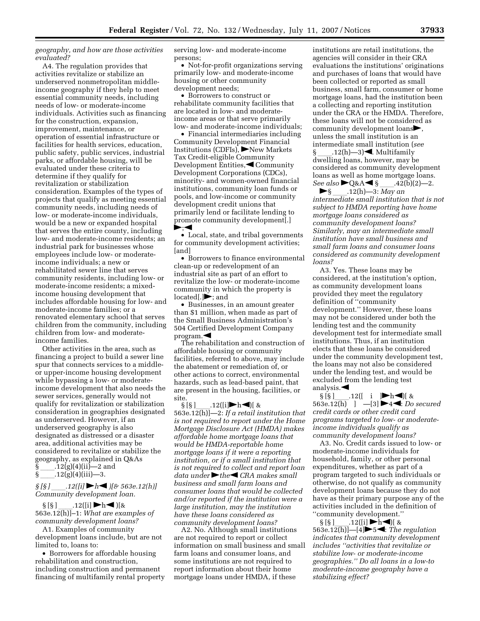*geography, and how are those activities evaluated?* 

A4. The regulation provides that activities revitalize or stabilize an underserved nonmetropolitan middleincome geography if they help to meet essential community needs, including needs of low- or moderate-income individuals. Activities such as financing for the construction, expansion, improvement, maintenance, or operation of essential infrastructure or facilities for health services, education, public safety, public services, industrial parks, or affordable housing, will be evaluated under these criteria to determine if they qualify for revitalization or stabilization consideration. Examples of the types of projects that qualify as meeting essential community needs, including needs of low- or moderate-income individuals, would be a new or expanded hospital that serves the entire county, including low- and moderate-income residents; an industrial park for businesses whose employees include low- or moderateincome individuals; a new or rehabilitated sewer line that serves community residents, including low- or moderate-income residents; a mixedincome housing development that includes affordable housing for low- and moderate-income families; or a renovated elementary school that serves children from the community, including children from low- and moderateincome families.

Other activities in the area, such as financing a project to build a sewer line spur that connects services to a middleor upper-income housing development while bypassing a low- or moderateincome development that also needs the sewer services, generally would not qualify for revitalization or stabilization consideration in geographies designated as underserved. However, if an underserved geography is also designated as distressed or a disaster area, additional activities may be considered to revitalize or stabilize the geography, as explained in Q&As  $\begin{array}{l} \S$  \_\_\_\_\_. 12(g)(4)(ii)—2 and  $\S$  \_\_\_\_\_. 12(g)(4)(iii)—3.

 $\{\$\_\_12(g)(4)(iii)=3.\$ <br> $\{\$\]$  /3 .12([i]  $\blacktriangleright h$  <  $A = \frac{12}{[i]}$  **h**  $\bigcup$  *fo* 563e.12(h)] *Community development loan.* 

§ [§ ] \_\_\_\_.12([i] ▶h◀ )[&<br>563e.12(h)]–1: *What are examples of community development loans?* 

A1. Examples of community development loans include, but are not limited to, loans to:

• Borrowers for affordable housing rehabilitation and construction, including construction and permanent financing of multifamily rental property serving low- and moderate-income persons;

• Not-for-profit organizations serving primarily low- and moderate-income housing or other community development needs;

• Borrowers to construct or rehabilitate community facilities that are located in low- and moderateincome areas or that serve primarily low- and moderate-income individuals;

• Financial intermediaries including Community Development Financial Institutions (CDFIs), New Markets Tax Credit-eligible Community Development Entities, Community Development Corporations (CDCs), minority- and women-owned financial institutions, community loan funds or pools, and low-income or community development credit unions that primarily lend or facilitate lending to promote community development[.]  $\blacktriangleright$ ; $\blacktriangleleft$ 

• Local, state, and tribal governments for community development activities; [and]

• Borrowers to finance environmental clean-up or redevelopment of an industrial site as part of an effort to revitalize the low- or moderate-income community in which the property is located[.] $\blacktriangleright$ ; and

• Businesses, in an amount greater than \$1 million, when made as part of the Small Business Administration's 504 Certified Development Company  $program.$ 

The rehabilitation and construction of affordable housing or community facilities, referred to above, may include the abatement or remediation of, or other actions to correct, environmental hazards, such as lead-based paint, that are present in the housing, facilities, or site.

§ [§ ]\_\_\_\_.12([i]▶h◀)[ &<br>563e.12(h)]—2: *If a retail institution that is not required to report under the Home Mortgage Disclosure Act (HMDA) makes affordable home mortgage loans that would be HMDA-reportable home mortgage loans if it were a reporting institution, or if a small institution that is not required to collect and report loan data under* the *CRA makes small business and small farm loans and consumer loans that would be collected and/or reported if the institution were a large institution, may the institution have these loans considered as community development loans?* 

A2. No. Although small institutions are not required to report or collect information on small business and small farm loans and consumer loans, and some institutions are not required to report information about their home mortgage loans under HMDA, if these

institutions are retail institutions, the agencies will consider in their CRA evaluations the institutions' originations and purchases of loans that would have been collected or reported as small business, small farm, consumer or home mortgage loans, had the institution been a collecting and reporting institution under the CRA or the HMDA. Therefore, these loans will not be considered as community development loans $\blacktriangleright$ , unless the small institution is an intermediate small institution (*see* 

§ \_\_\_\_.12(h)—3)◀. Multifamily<br>dwelling loans, however, may be considered as community development loans as well as home mortgage loans. *See also*  $\bigcirc$ Q&A  $\bigcirc$  § \_\_\_.42(b)(2)—2.<br>  $\bigcirc$  § \_\_\_.12(h)—3: *May an* 

fl§ ll.12(h)—3: *May an intermediate small institution that is not subject to HMDA reporting have home mortgage loans considered as community development loans? Similarly, may an intermediate small institution have small business and small farm loans and consumer loans considered as community development loans?* 

A3. Yes. These loans may be considered, at the institution's option, as community development loans provided they meet the regulatory definition of ''community development.'' However, these loans may not be considered under both the lending test and the community development test for intermediate small institutions. Thus, if an institution elects that these loans be considered under the community development test, the loans may not also be considered under the lending test, and would be excluded from the lending test

analysis.<br>S  $[\S]$  .12([ i ] h ) &  $\S[\S]$  .12([ i ] h  $\bigcirc$  | & 563e.12(h) ] -[3]  $\bigcirc$  4  $\bigcirc$  *Do secured credit cards or other credit card programs targeted to low- or moderateincome individuals qualify as community development loans?* 

A3. No. Credit cards issued to low- or moderate-income individuals for household, family, or other personal expenditures, whether as part of a program targeted to such individuals or otherwise, do not qualify as community development loans because they do not have as their primary purpose any of the activities included in the definition of "community development."<br> $\S [S]$  .12([i]  $\blacktriangleright$  h  $\blacktriangleleft$ ][ &

 $\S [S]$  .12([i]  $\blacktriangleright$ h  $\blacktriangleleft$ )[ & 563e.12(h)]  $-[4] \blacktriangleright$  5  $\blacktriangleleft$ : *The regulation indicates that community development includes ''activities that revitalize or stabilize low- or moderate-income geographies.'' Do all loans in a low-to moderate-income geography have a stabilizing effect?*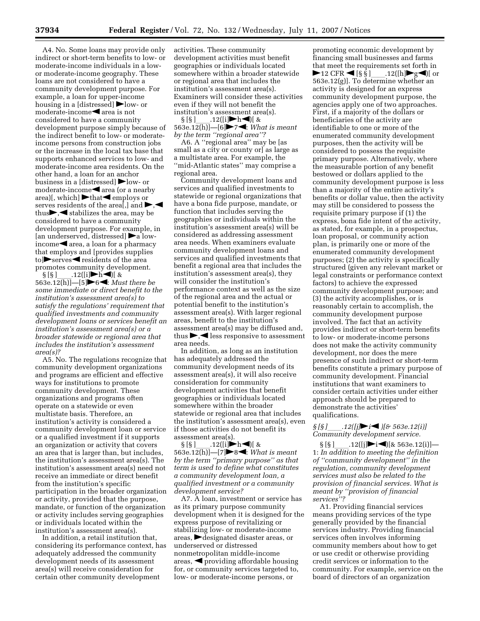A4. No. Some loans may provide only indirect or short-term benefits to low- or moderate-income individuals in a lowor moderate-income geography. These loans are not considered to have a community development purpose. For example, a loan for upper-income housing in a [distressed]  $\blacktriangleright$  low- or  $moderate$ -income $\blacktriangleleft$  area is not considered to have a community development purpose simply because of the indirect benefit to low- or moderateincome persons from construction jobs or the increase in the local tax base that supports enhanced services to low- and moderate-income area residents. On the other hand, a loan for an anchor business in a [distressed]  $\blacktriangleright$  low- or  $moderate\text{-}income \blacktriangleleft area$  (or a nearby area)[, which]  $\blacktriangleright$  that  $\blacktriangleleft$  employs or serves residents of the area<sup>[</sup>,] and  $\blacktriangleright, \blacktriangleleft$ thus $\blacktriangleright$ , stabilizes the area, may be considered to have a community development purpose. For example, in [an underserved, distressed]  $\blacktriangleright$  a low $income \blacktriangle$  area, a loan for a pharmacy that employs and [provides supplies to  $\blacktriangleright$  serves  $\blacktriangleleft$  residents of the area

promotes community development.<br>§ [§ ]  $.12([i] \blacktriangleright h \blacktriangleleft)[ \&$  $\frac{1}{\sqrt{5}}$   $\frac{12([i] \blacktriangleright h \blacktriangleleft)[ 8]}{563e.12(h)] - [5]}$   $\frac{12([i] \blacktriangleright h \blacktriangleleft][ 8]}{64e}.$  *Must there be some immediate or direct benefit to the institution's assessment area(s) to satisfy the regulations' requirement that qualified investments and community development loans or services benefit an institution's assessment area(s) or a broader statewide or regional area that includes the institution's assessment area(s)?* 

A5. No. The regulations recognize that community development organizations and programs are efficient and effective ways for institutions to promote community development. These organizations and programs often operate on a statewide or even multistate basis. Therefore, an institution's activity is considered a community development loan or service or a qualified investment if it supports an organization or activity that covers an area that is larger than, but includes, the institution's assessment area(s). The institution's assessment area(s) need not receive an immediate or direct benefit from the institution's specific participation in the broader organization or activity, provided that the purpose, mandate, or function of the organization or activity includes serving geographies or individuals located within the institution's assessment area(s).

In addition, a retail institution that, considering its performance context, has adequately addressed the community development needs of its assessment area(s) will receive consideration for certain other community development

activities. These community development activities must benefit geographies or individuals located somewhere within a broader statewide or regional area that includes the institution's assessment area(s). Examiners will consider these activities even if they will not benefit the institution's assessment area(s).<br>§ [§ ]\_\_\_\_.12([i] >h <) [ &

 $\S [S]$  .12([i] h | \)  $\S$  & 563e.12(h)] - [6] > 7 \. *What is meant by the term ''regional area''?* 

A6. A ''regional area'' may be [as small as a city or county or] as large as a multistate area. For example, the ''mid-Atlantic states'' may comprise a regional area.

Community development loans and services and qualified investments to statewide or regional organizations that have a bona fide purpose, mandate, or function that includes serving the geographies or individuals within the institution's assessment area(s) will be considered as addressing assessment area needs. When examiners evaluate community development loans and services and qualified investments that benefit a regional area that includes the institution's assessment area(s), they will consider the institution's performance context as well as the size of the regional area and the actual or potential benefit to the institution's assessment area(s). With larger regional areas, benefit to the institution's assessment area(s) may be diffused and, thus  $\blacktriangleright, \blacktriangleleft$  less responsive to assessment area needs.

In addition, as long as an institution has adequately addressed the community development needs of its assessment area(s), it will also receive consideration for community development activities that benefit geographies or individuals located somewhere within the broader statewide or regional area that includes the institution's assessment area(s), even if those activities do not benefit its

assessment area(s).<br>§ [§ ] \_\_\_\_.12([i]  $\blacktriangleright$  h  $\blacktriangleleft$ )[ &  $\S [S]$  .12([i] h | \) [ & 563e.12(h)] - [7]  $\triangleright$  8 *by the term ''primary purpose'' as that term is used to define what constitutes a community development loan, a qualified investment or a community development service?* 

A7. A loan, investment or service has as its primary purpose community development when it is designed for the express purpose of revitalizing or stabilizing low- or moderate-income areas, designated disaster areas, or underserved or distressed nonmetropolitan middle-income areas,  $\blacktriangleleft$  providing affordable housing for, or community services targeted to, low- or moderate-income persons, or

promoting economic development by financing small businesses and farms that meet the requirements set forth in  $\blacktriangleright$  12 CFR  $\blacktriangleleft$  [§ § ] .12([h] $\blacktriangleright$  g $\blacktriangleleft$ )[ or 563e.12(g)]. To determine whether an activity is designed for an express community development purpose, the agencies apply one of two approaches. First, if a majority of the dollars or beneficiaries of the activity are identifiable to one or more of the enumerated community development purposes, then the activity will be considered to possess the requisite primary purpose. Alternatively, where the measurable portion of any benefit bestowed or dollars applied to the community development purpose is less than a majority of the entire activity's benefits or dollar value, then the activity may still be considered to possess the requisite primary purpose if (1) the express, bona fide intent of the activity, as stated, for example, in a prospectus, loan proposal, or community action plan, is primarily one or more of the enumerated community development purposes; (2) the activity is specifically structured (given any relevant market or legal constraints or performance context factors) to achieve the expressed community development purpose; and (3) the activity accomplishes, or is reasonably certain to accomplish, the community development purpose involved. The fact that an activity provides indirect or short-term benefits to low- or moderate-income persons does not make the activity community development, nor does the mere presence of such indirect or short-term benefits constitute a primary purpose of community development. Financial institutions that want examiners to consider certain activities under either approach should be prepared to demonstrate the activities' qualifications.

## *§ [§ ]*ll*.12([j]*fl*i*fi *)[& 563e.12(i)] Community development service.*

 $\S [S]$  .12([j] $\blacktriangleright$ i $\blacktriangleleft$ ][& 563e.12(i)] $-$ <br>1: *In addition to meeting the definition of ''community development'' in the regulation, community development services must also be related to the provision of financial services. What is meant by ''provision of financial services''?* 

A1. Providing financial services means providing services of the type generally provided by the financial services industry. Providing financial services often involves informing community members about how to get or use credit or otherwise providing credit services or information to the community. For example, service on the board of directors of an organization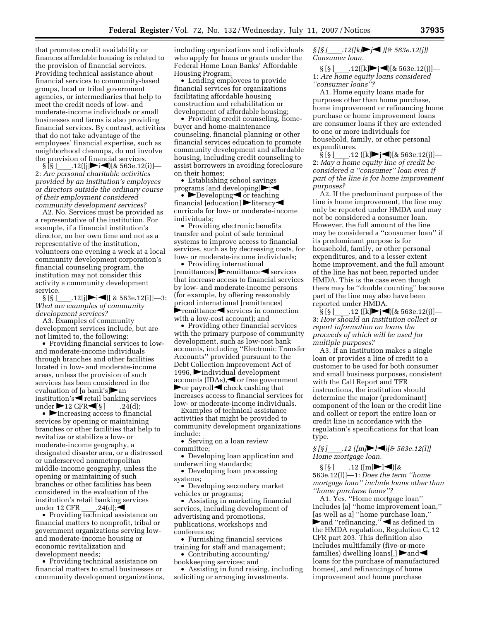that promotes credit availability or finances affordable housing is related to the provision of financial services. Providing technical assistance about financial services to community-based groups, local or tribal government agencies, or intermediaries that help to meet the credit needs of low- and moderate-income individuals or small businesses and farms is also providing financial services. By contrast, activities that do not take advantage of the employees' financial expertise, such as neighborhood cleanups, do not involve the provision of financial services.

 $\S$ [S]\_\_\_\_\_\_.12([j] $\blacktriangleright$ i $\blacktriangleleft$ )[& 563e.12(i)]— 2: *Are personal charitable activities provided by an institution's employees or directors outside the ordinary course of their employment considered community development services?* 

A2. No. Services must be provided as a representative of the institution. For example, if a financial institution's director, on her own time and not as a representative of the institution, volunteers one evening a week at a local community development corporation's financial counseling program, the institution may not consider this activity a community development service.

 $\S [S]$  .12[j] $\blacktriangleright$  i  $\blacktriangleleft$  [ & 563e.12(i)] -3: *What are examples of community development services?* 

A3. Examples of community development services include, but are not limited to, the following:

• Providing financial services to lowand moderate-income individuals through branches and other facilities located in low- and moderate-income areas, unless the provision of such services has been considered in the evaluation of [a bank's] $\triangleright$  an institution's  $\blacktriangleleft$  retail banking services under  $\blacktriangleright$ 12 CFR $\blacktriangleleft$ [§ ]\_\_\_.24(d);<br>•  $\blacktriangleright$  Increasing access to financial

services by opening or maintaining branches or other facilities that help to revitalize or stabilize a low- or moderate-income geography, a designated disaster area, or a distressed or underserved nonmetropolitan middle-income geography, unless the opening or maintaining of such branches or other facilities has been considered in the evaluation of the institution's retail banking services<br>under 12 CFR  $\qquad 0.24(d)$ :

under 12 CFR \_\_\_.24(d);<br>► Providing technical assistance on financial matters to nonprofit, tribal or government organizations serving lowand moderate-income housing or economic revitalization and development needs;

• Providing technical assistance on financial matters to small businesses or community development organizations,

including organizations and individuals who apply for loans or grants under the Federal Home Loan Banks' Affordable Housing Program;

• Lending employees to provide financial services for organizations facilitating affordable housing construction and rehabilitation or development of affordable housing;

• Providing credit counseling, homebuyer and home-maintenance counseling, financial planning or other financial services education to promote community development and affordable housing, including credit counseling to assist borrowers in avoiding foreclosure on their homes;

• Establishing school savings programs [and developing] $\blacktriangleright$ ;

•  $\blacktriangleright$  Developing  $\blacktriangleleft$  or teaching financial [education]  $\blacktriangleright$  literacy curricula for low- or moderate-income individuals;

• Providing electronic benefits transfer and point of sale terminal systems to improve access to financial services, such as by decreasing costs, for low- or moderate-income individuals;

• Providing international  $[remittances]$  remittance services that increase access to financial services by low- and moderate-income persons (for example, by offering reasonably priced international [remittances]  $\blacktriangleright$  remittance $\blacktriangleleft$  services in connection with a low-cost account); and

• Providing other financial services with the primary purpose of community development, such as low-cost bank accounts, including ''Electronic Transfer Accounts'' provided pursuant to the Debt Collection Improvement Act of 1996,  $\blacktriangleright$  individual development accounts (IDAs),  $\blacktriangleleft$  or free government  $\blacktriangleright$  or payroll $\blacktriangleleft$  check cashing that increases access to financial services for low- or moderate-income individuals.

Examples of technical assistance activities that might be provided to community development organizations include:

• Serving on a loan review committee;

• Developing loan application and underwriting standards;

• Developing loan processing systems;

• Developing secondary market vehicles or programs;

• Assisting in marketing financial services, including development of advertising and promotions, publications, workshops and conferences;

• Furnishing financial services training for staff and management;

• Contributing accounting/ bookkeeping services; and

• Assisting in fund raising, including soliciting or arranging investments.

*§ [§ ]*ll*.12([k]*fl*j*fi *)[& 563e.12(j)] Consumer loan.* 

 $\S [S]$  .12([k] $\blacktriangleright$ j (k 563e.12(j)] — 1: *Are home equity loans considered ''consumer loans''?* 

A1. Home equity loans made for purposes other than home purchase, home improvement or refinancing home purchase or home improvement loans are consumer loans if they are extended to one or more individuals for household, family, or other personal expenditures.<br>§ [§ ] .12

.12 ([k] $\blacktriangleright$  j $\blacktriangleleft$ )[& 563e.12(j)]— 2: *May a home equity line of credit be considered a ''consumer'' loan even if part of the line is for home improvement purposes?* 

A2. If the predominant purpose of the line is home improvement, the line may only be reported under HMDA and may not be considered a consumer loan. However, the full amount of the line may be considered a ''consumer loan'' if its predominant purpose is for household, family, or other personal expenditures, and to a lesser extent home improvement, and the full amount of the line has not been reported under HMDA. This is the case even though there may be ''double counting'' because part of the line may also have been reported under HMDA.

§ [§ ]<sub>\_\_\_\_</sub>\_\_.12 ([k] $\blacktriangleright$  j< )[& 563e.12(j)]—<br>3: *How should an institution collect or report information on loans the proceeds of which will be used for multiple purposes?* 

A3. If an institution makes a single loan or provides a line of credit to a customer to be used for both consumer and small business purposes, consistent with the Call Report and TFR instructions, the institution should determine the major (predominant) component of the loan or the credit line and collect or report the entire loan or credit line in accordance with the regulation's specifications for that loan type.

*§* [*§* ] *.12* ([m]▶l◀)[& 563e.12(l)] *Home mortgage loan.* 

§ [§ ]\_\_\_\_.12 ([m]▶l◀)[&<br>563e.12(l)]—1: *Does the term ''home mortgage loan'' include loans other than ''home purchase loans''?* 

A1. Yes. ''Home mortgage loan'' includes [a] ''home improvement loan,'' [as well as a] ''home purchase loan,''  $\blacktriangleright$  and "refinancing,"  $\blacktriangleleft$  as defined in the HMDA regulation, Regulation C, 12 CFR part 203. This definition also includes multifamily (five-or-more families) dwelling loans[,]  $\triangleright$  and loans for the purchase of manufactured homes[, and refinancings of home improvement and home purchase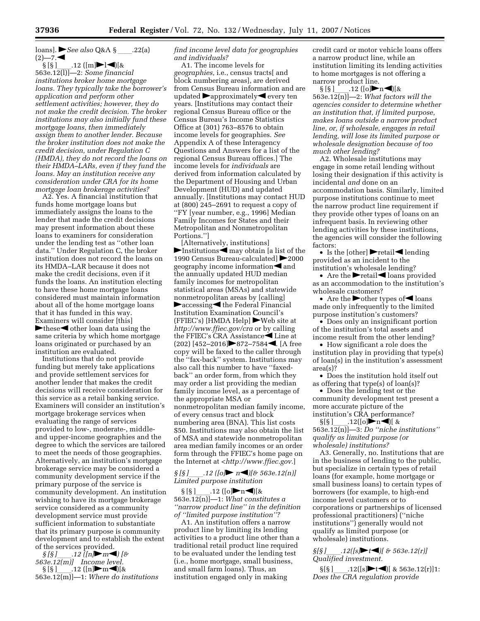loans]. *See also* Q&A § .22(a)  $(2)$ —7.

§ [§ ]\_\_\_\_.12 ([m]▶l◀)[&<br>563e.12(l)]—2: *Some financial institutions broker home mortgage loans. They typically take the borrower's application and perform other settlement activities; however, they do not make the credit decision. The broker institutions may also initially fund these mortgage loans, then immediately assign them to another lender. Because the broker institution does not make the credit decision, under Regulation C (HMDA), they do not record the loans on their HMDA–LARs, even if they fund the loans. May an institution receive any consideration under CRA for its home mortgage loan brokerage activities?* 

A2. Yes. A financial institution that funds home mortgage loans but immediately assigns the loans to the lender that made the credit decisions may present information about these loans to examiners for consideration under the lending test as ''other loan data.'' Under Regulation C, the broker institution does not record the loans on its HMDA–LAR because it does not make the credit decisions, even if it funds the loans. An institution electing to have these home mortgage loans considered must maintain information about all of the home mortgage loans that it has funded in this way. Examiners will consider [this]  $\blacktriangleright$  these  $\blacktriangleleft$  other loan data using the same criteria by which home mortgage loans originated or purchased by an

institution are evaluated. Institutions that do not provide funding but merely take applications and provide settlement services for another lender that makes the credit decisions will receive consideration for this service as a retail banking service. Examiners will consider an institution's mortgage brokerage services when evaluating the range of services provided to low-, moderate-, middleand upper-income geographies and the degree to which the services are tailored to meet the needs of those geographies. Alternatively, an institution's mortgage brokerage service may be considered a community development service if the primary purpose of the service is community development. An institution wishing to have its mortgage brokerage service considered as a community development service must provide sufficient information to substantiate that its primary purpose is community development and to establish the extent

of the services provided. *§ [§ ]*ll*.12 ([n]*fl*m*fi*) [& 563e.12(m)] Income level.*  § [§ ]\_\_\_\_.12 ([n]▶m◀)[&<br>563e.12(m)]—1: *Where do institutions* 

#### *find income level data for geographies and individuals?*

A1. The income levels for *geographies,* i.e., census tracts[ and block numbering areas], are derived from Census Bureau information and are updated  $\rightarrow$  approximately  $\rightarrow$  every ten years. [Institutions may contact their regional Census Bureau office or the Census Bureau's Income Statistics Office at (301) 763–8576 to obtain income levels for geographies. *See*  Appendix A of these Interagency Questions and Answers for a list of the regional Census Bureau offices.] The income levels for *individuals* are derived from information calculated by the Department of Housing and Urban Development (HUD) and updated annually. [Institutions may contact HUD at (800) 245–2691 to request a copy of ''FY [year number, e.g., 1996] Median Family Incomes for States and their Metropolitan and Nonmetropolitan Portions.'']

[Alternatively, institutions]  $\blacktriangleright$  Institutions  $\blacktriangleleft$  may obtain [a list of the 1990 Census Bureau-calculated] ▶ 2000 geography income information $\blacktriangleleft$  and the annually updated HUD median family incomes for metropolitan statistical areas (MSAs) and statewide nonmetropolitan areas by [calling]  $\blacktriangleright$  accessing $\blacktriangleleft$  the Federal Financial Institution Examination Council's  $(FFIEC's)$  [HMDA Help] Web site at *http://www.ffiec.gov/cra* or by calling the FFIEC's CRA Assistance $\blacktriangleleft$  Line at  $(202)$  [452–2016] $\triangleright$ 872–7584 $\triangleleft$ . [A free copy will be faxed to the caller through the ''fax-back'' system. Institutions may also call this number to have ''faxedback'' an order form, from which they may order a list providing the median family income level, as a percentage of the appropriate MSA or nonmetropolitan median family income, of every census tract and block numbering area (BNA). This list costs \$50. Institutions may also obtain the list of MSA and statewide nonmetropolitan area median family incomes or an order form through the FFIEC's home page on the Internet at <*http://www.ffiec.gov.*]

#### $\iint_S$  *[§]*  $\therefore$  *12* (*[o]*  $\triangleright$  *n*(*)*[ $\&$  563e.12(n)] *Limited purpose institution*

§ [§ ]\_\_\_\_.12 ([o]▶n◀)[&<br>563e.12(n)]—1: *What constitutes a ''narrow product line'' in the definition of ''limited purpose institution''?* 

A1. An institution offers a narrow product line by limiting its lending activities to a product line other than a traditional retail product line required to be evaluated under the lending test (i.e., home mortgage, small business, and small farm loans). Thus, an institution engaged only in making

credit card or motor vehicle loans offers a narrow product line, while an institution limiting its lending activities to home mortgages is not offering a

narrow product line.<br>§ [§ ]\_\_\_\_\_.12 ([o] $\blacktriangleright$ n $\blacktriangleleft$ )[& § [§ ]\_\_\_\_.12 ([o]▶n◀)[&<br>563e.12(n)]—2: *What factors will the agencies consider to determine whether an institution that, if limited purpose, makes loans outside a narrow product line, or, if wholesale, engages in retail lending, will lose its limited purpose or wholesale designation because of too much other lending?* 

A2. Wholesale institutions may engage in some retail lending without losing their designation if this activity is incidental *and* done on an accommodation basis. Similarly, limited purpose institutions continue to meet the narrow product line requirement if they provide other types of loans on an infrequent basis. In reviewing other lending activities by these institutions, the agencies will consider the following factors:

• Is the [other]  $\blacktriangleright$  retail  $\blacktriangleleft$  lending provided as an incident to the institution's wholesale lending?

• Are the  $\blacktriangleright$  retail  $\blacktriangleleft$  loans provided as an accommodation to the institution's wholesale customers?

• Are the  $\triangleright$  other types of  $\triangleleft$  loans made only infrequently to the limited purpose institution's customers?

• Does only an insignificant portion of the institution's total assets and income result from the other lending?

• How significant a role does the institution play in providing that type(s) of loan(s) in the institution's assessment area(s)?

• Does the institution hold itself out as offering that type(s) of loan(s)?

• Does the lending test or the community development test present a more accurate picture of the institution's CRA performance?

 $\S[\S]$  12([o] n | & 563e.12(n)]—3: *Do ''niche institutions'' qualify as limited purpose (or wholesale) institutions?* 

A3. Generally, no. Institutions that are in the business of lending to the public, but specialize in certain types of retail loans (for example, home mortgage or small business loans) to certain types of borrowers (for example, to high-end income level customers or to corporations or partnerships of licensed professional practitioners) (''niche institutions'') generally would not qualify as limited purpose (or wholesale) institutions.

*§[§ ]*ll*.12([s]*fl*t*fi*)[ & 563e.12(r)] Qualified investment.* 

 $\S[\S]$  .12([s] $\blacktriangleright$  t ()[ & 563e.12(r)]1: *Does the CRA regulation provide*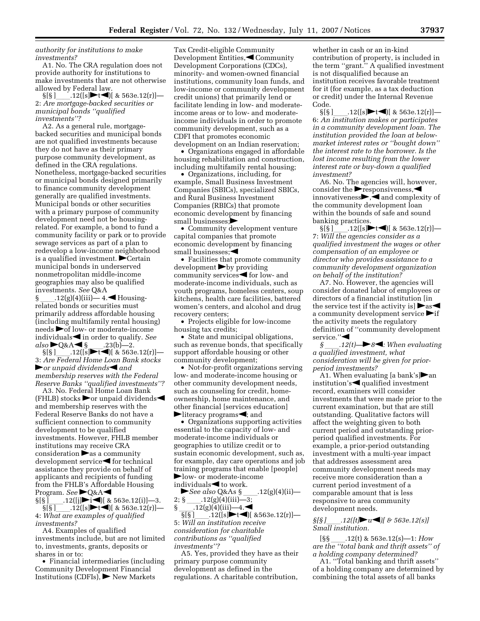*authority for institutions to make investments?* 

A1. No. The CRA regulation does not provide authority for institutions to make investments that are not otherwise allowed by Federal law.

 $\S[\S]$  .12([s] $\blacktriangleright$ t $\blacktriangleleft$ )[ & 563e.12(r)]— 2: *Are mortgage-backed securities or municipal bonds ''qualified investments''?* 

A2. As a general rule, mortgagebacked securities and municipal bonds are not qualified investments because they do not have as their primary purpose community development, as defined in the CRA regulations. Nonetheless, mortgage-backed securities or municipal bonds designed primarily to finance community development generally are qualified investments. Municipal bonds or other securities with a primary purpose of community development need not be housingrelated. For example, a bond to fund a community facility or park or to provide sewage services as part of a plan to redevelop a low-income neighborhood is a qualified investment.  $\blacktriangleright$  Certain municipal bonds in underserved nonmetropolitan middle-income geographies may also be qualified investments. *See* Q&A

 $\frac{12(g)(4)(iii)}{4.}$  Housingrelated bonds or securities must primarily address affordable housing (including multifamily rental housing)  $\mathbf{1}_{\text{need}}$  of low- or moderate-income individuals in order to qualify. *See*  $also \blacktriangleright Q & A \blacktriangleleft \S$  . 23(b)—2.<br> $S[S]$  . 12( $[s] \blacktriangleright t \blacktriangleleft$ )[ & 563e

 $\S[\S]$  .12([s]  $\blacktriangleright$  t (i) & 563e.12(r)] —<br>Are Federal Home Loan Bank stocks 3: *Are Federal Home Loan Bank stocks*  **For unpaid dividends** and *membership reserves with the Federal Reserve Banks ''qualified investments''?* 

A3. No. Federal Home Loan Bank (FHLB) stocks  $\blacktriangleright$  or unpaid dividends and membership reserves with the Federal Reserve Banks do not have a sufficient connection to community development to be qualified investments. However, FHLB member institutions may receive CRA consideration  $\blacktriangleright$  as a community  $development$  service $\blacktriangleleft$  for technical assistance they provide on behalf of applicants and recipients of funding from the FHLB's Affordable Housing Program. See **PQ&A** 

 $\S[\S]$   $[12([\jmath] \rightarrow i \rightarrow)]$  & 563e.12(i)]—3.<br> $\S[\S]$   $[12([\s] \rightarrow t \rightarrow]]$  & 563e.12(r)]—  $\S[\S]$  .12([s]  $\blacktriangleright$  t ( & 563e.12(r)] — What are examples of qualified 4: *What are examples of qualified investments?* 

A4. Examples of qualified investments include, but are not limited to, investments, grants, deposits or shares in or to:

• Financial intermediaries (including Community Development Financial Institutions (CDFIs),  $\blacktriangleright$  New Markets

Tax Credit-eligible Community Development Entities, Community Development Corporations (CDCs), minority- and women-owned financial institutions, community loan funds, and low-income or community development credit unions) that primarily lend or facilitate lending in low- and moderateincome areas or to low- and moderateincome individuals in order to promote community development, such as a CDFI that promotes economic development on an Indian reservation;

• Organizations engaged in affordable housing rehabilitation and construction, including multifamily rental housing;

• Organizations, including, for example, Small Business Investment Companies (SBICs), specialized SBICs, and Rural Business Investment Companies (RBICs) that promote economic development by financing small businesses; $\blacktriangleright$ 

• Community development venture capital companies that promote economic development by financing small businesses;

• Facilities that promote community development by providing community services $\blacktriangleleft$  for low- and moderate-income individuals, such as youth programs, homeless centers, soup kitchens, health care facilities, battered women's centers, and alcohol and drug recovery centers;

• Projects eligible for low-income housing tax credits;

• State and municipal obligations, such as revenue bonds, that specifically support affordable housing or other community development;

• Not-for-profit organizations serving low- and moderate-income housing or other community development needs, such as counseling for credit, homeownership, home maintenance, and other financial [services education]  $\blacktriangleright$  literacy programs $\blacktriangleleft$ ; and

• Organizations supporting activities essential to the capacity of low- and moderate-income individuals or geographies to utilize credit or to sustain economic development, such as, for example, day care operations and job training programs that enable [people]  $\blacktriangleright$  low- or moderate-income individuals  $\blacktriangleleft$  to work.

*See also* Q&As § \_\_\_\_.12(g)(4)(ii)—<br>2; § ..12(g)(4)(iii)—3; 2; § \_\_\_\_\_.12(g)(4)(iii)—3;<br>§ \_\_\_\_\_.12(g)(4)(iii)—4.

 $\frac{12(g)(4)(iii)-4.}{\{5[5\}}$ .12(g)(4)(iii)-4. .12([s] $\blacktriangleright$ t $\blacktriangleleft$ ][ &563e.12(r)]—

5: *Will an institution receive consideration for charitable contributions as ''qualified investments''?* 

A5. Yes, provided they have as their primary purpose community development as defined in the regulations. A charitable contribution,

whether in cash or an in-kind contribution of property, is included in the term ''grant.'' A qualified investment is not disqualified because an institution receives favorable treatment for it (for example, as a tax deduction or credit) under the Internal Revenue Code.<br>SSS 1

.12([s] $\blacktriangleright$ t $\blacktriangleleft$ ][ & 563e.12(r)]— 6: *An institution makes or participates in a community development loan. The institution provided the loan at belowmarket interest rates or ''bought down'' the interest rate to the borrower. Is the lost income resulting from the lower interest rate or buy-down a qualified investment?* 

A6. No. The agencies will, however, consider the  $\blacktriangleright$  responsiveness, $\blacktriangleleft$ innovativeness $\blacktriangleright$ , and complexity of the community development loan within the bounds of safe and sound banking practices.<br>
§[§] 12([s]

 $12([s]\rightarrow t\rightarrow)$ [ & 563e.12(r)]— 7: *Will the agencies consider as a qualified investment the wages or other compensation of an employee or director who provides assistance to a community development organization on behalf of the institution?* 

A7. No. However, the agencies will consider donated labor of employees or directors of a financial institution [in the service test if the activity is  $\triangleright$  as a community development service  $\blacktriangleright$  if the activity meets the regulatory definition of ''community development service."

 $\mathcal{S}$  .12(t)  $\rightarrow$  8<sup> $\blacktriangleleft$ </sup>: When evaluating *a qualified investment, what consideration will be given for priorperiod investments?* 

A1. When evaluating [a bank's] $\blacktriangleright$ an institution's  $\blacktriangleleft$  qualified investment record, examiners will consider investments that were made prior to the current examination, but that are still outstanding. Qualitative factors will affect the weighting given to both current period and outstanding priorperiod qualified investments. For example, a prior-period outstanding investment with a multi-year impact that addresses assessment area community development needs may receive more consideration than a current period investment of a comparable amount that is less responsive to area community development needs.

*§[§ ]*ll*.12([t]*fl*u*fi*)[ & 563e.12(s)] Small institution.* 

[§§ ll.12(t) & 563e.12(s)—1: *How are the ''total bank and thrift assets'' of a holding company determined?* 

A1. ''Total banking and thrift assets'' of a holding company are determined by combining the total assets of all banks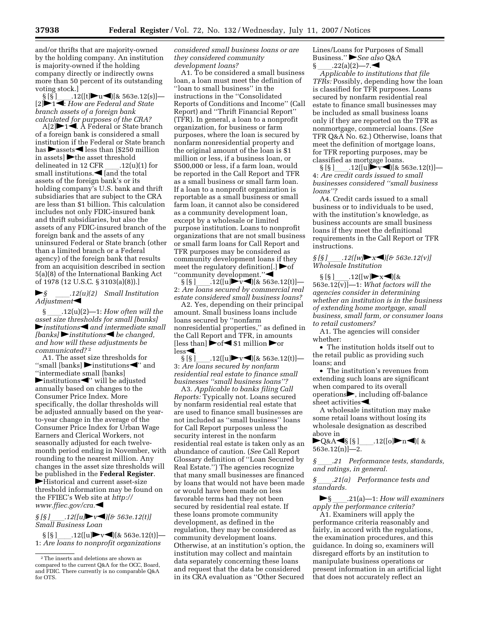and/or thrifts that are majority-owned by the holding company. An institution is majority-owned if the holding company directly or indirectly owns more than 50 percent of its outstanding voting stock.]<br>
§ [§ ]  $.12([t] \rightarrow u \rightarrow [8 563e.12(s)]$ —

§ [§]\_\_\_\_.12([t]▶u◀)[& 563e.12(s)]—<br>[2]▶1◀: *How are Federal and State branch assets of a foreign bank calculated for purposes of the CRA?* 

 $A[2] \rightarrow 1 \stackrel{\cdot}{\leftarrow} A$  Federal or State branch of a foreign bank is considered a small institution if the Federal or State branch has  $\blacktriangleright$  assets  $\blacktriangleleft$  less than [\$250 million] in assets]  $\blacktriangleright$  the asset threshold<br>delineated in 12 CFR .12(u delineated in 12 CFR \_\_\_\_.12(u)(1) for small institutions.  $\blacktriangleleft$  [and the total assets of the foreign bank's or its holding company's U.S. bank and thrift subsidiaries that are subject to the CRA are less than \$1 billion. This calculation includes not only FDIC-insured bank and thrift subsidiaries, but also the assets of any FDIC-insured branch of the foreign bank and the assets of any uninsured Federal or State branch (other than a limited branch or a Federal agency) of the foreign bank that results from an acquisition described in section 5(a)(8) of the International Banking Act of 1978 (12 U.S.C. § 3103(a)(8)).]

fl*§* ll*.12(u)(2) Small Institution*   $Adjustment$ 

§ ll.12(u)(2)—1: *How often will the asset size thresholds for small [banks]*   $\blacktriangleright$  *institutions*  $\blacktriangleleft$  *and intermediate small [banks]* institutions be changed, *and how will these adjustments be communicated?* 2

A1. The asset size thresholds for "small [banks]  $\blacktriangleright$  institutions  $\blacktriangle$ " and ''intermediate small [banks]  $\blacktriangleright$  institutions $\blacktriangle$ " will be adjusted annually based on changes to the Consumer Price Index. More specifically, the dollar thresholds will be adjusted annually based on the yearto-year change in the average of the Consumer Price Index for Urban Wage Earners and Clerical Workers, not seasonally adjusted for each twelvemonth period ending in November, with rounding to the nearest million. Any changes in the asset size thresholds will be published in the **Federal Register**.  $\blacktriangleright$  Historical and current asset-size threshold information may be found on the FFIEC's Web site at *http:// www.ffiec.gov/cra.*fi

#### $\iint_S$   $\iint_S$  *[* $\iint_L$  *[u]*  $\triangleright$   $\iota$  *v [ i] [* $\sigma$  *563e.12(t)] Small Business Loan*

§ [§ ]ll.12([u]flvfi)[& 563e.12(t)]— 1: *Are loans to nonprofit organizations* 

*considered small business loans or are they considered community development loans?* 

A1. To be considered a small business loan, a loan must meet the definition of ''loan to small business'' in the instructions in the ''Consolidated Reports of Conditions and Income'' (Call Report) and ''Thrift Financial Report'' (TFR). In general, a loan to a nonprofit organization, for business or farm purposes, where the loan is secured by nonfarm nonresidential property and the original amount of the loan is \$1 million or less, if a business loan, or \$500,000 or less, if a farm loan, would be reported in the Call Report and TFR as a small business or small farm loan. If a loan to a nonprofit organization is reportable as a small business or small farm loan, it cannot also be considered as a community development loan, except by a wholesale or limited purpose institution. Loans to nonprofit organizations that are not small business or small farm loans for Call Report and TFR purposes may be considered as community development loans if they meet the regulatory definition. "community development." $\blacktriangleleft$ 

 $\S [S]$  . 12([u] $\blacktriangleright$  v ( )[& 563e.12(t)] 2: *Are loans secured by commercial real estate considered small business loans?* 

A2. Yes, depending on their principal amount. Small business loans include loans secured by ''nonfarm nonresidential properties,'' as defined in the Call Report and TFR, in amounts [less than]  $\blacktriangleright$  of  $\blacktriangleleft$  \$1 million  $\blacktriangleright$  or  $less \blacktriangleleft$ .

 $\S [S]$  .12([u] v | [& 563e.12(t)] — 3: *Are loans secured by nonfarm residential real estate to finance small businesses ''small business loans''?* 

A3. *Applicable to banks filing Call Reports:* Typically not. Loans secured by nonfarm residential real estate that are used to finance small businesses are not included as ''small business'' loans for Call Report purposes unless the security interest in the nonfarm residential real estate is taken only as an abundance of caution. (*See* Call Report Glossary definition of ''Loan Secured by Real Estate.'') The agencies recognize that many small businesses are financed by loans that would not have been made or would have been made on less favorable terms had they not been secured by residential real estate. If these loans promote community development, as defined in the regulation, they may be considered as community development loans. Otherwise, at an institution's option, the institution may collect and maintain data separately concerning these loans and request that the data be considered in its CRA evaluation as ''Other Secured Lines/Loans for Purposes of Small Business." See also **Q&A**  $\S$  .22(a)(2)—7.

*Applicable to institutions that file TFRs:* Possibly, depending how the loan is classified for TFR purposes. Loans secured by nonfarm residential real estate to finance small businesses may be included as small business loans only if they are reported on the TFR as nonmortgage, commercial loans. (*See*  TFR Q&A No. 62.) Otherwise, loans that meet the definition of mortgage loans, for TFR reporting purposes, may be classified as mortgage loans.

 $\S$ [S] .12([u] $\blacktriangleright$  v (  $\blacktriangleright$  563e.12(t)] — 4: *Are credit cards issued to small businesses considered ''small business loans''?* 

A4. Credit cards issued to a small business or to individuals to be used, with the institution's knowledge, as business accounts are small business loans if they meet the definitional requirements in the Call Report or TFR instructions.

 $\frac{\S[\S]}{[\S]}$ .12([w]**F**x**i**)[& 563e.12(v)] *Wholesale Institution* 

 $\S [S]$  .12([w]**b**  $\times$  1)[&<br>563e.12(v)] -1: *What factors will the agencies consider in determining whether an institution is in the business of extending home mortgage, small business, small farm, or consumer loans to retail customers?* 

A1. The agencies will consider whether:

• The institution holds itself out to the retail public as providing such loans; and

• The institution's revenues from extending such loans are significant when compared to its overall  $openations$ , including off-balance sheet activities $\blacktriangleleft$ .

A wholesale institution may make some retail loans without losing its wholesale designation as described above in

flQ&Afi§ [§ ]ll.12([o]flnfi)[ & 563e.12(n)]—2.

*§* ll*.21 Performance tests, standards, and ratings, in general.* 

*§* ll*.21(a) Performance tests and standards.* 

fl§ ll.21(a)—1: *How will examiners apply the performance criteria?* 

A1. Examiners will apply the performance criteria reasonably and fairly, in accord with the regulations, the examination procedures, and this guidance. In doing so, examiners will disregard efforts by an institution to manipulate business operations or present information in an artificial light that does not accurately reflect an

<sup>2</sup>The inserts and deletions are shown as compared to the current Q&A for the OCC, Board, and FDIC. There currently is no comparable Q&A for OTS.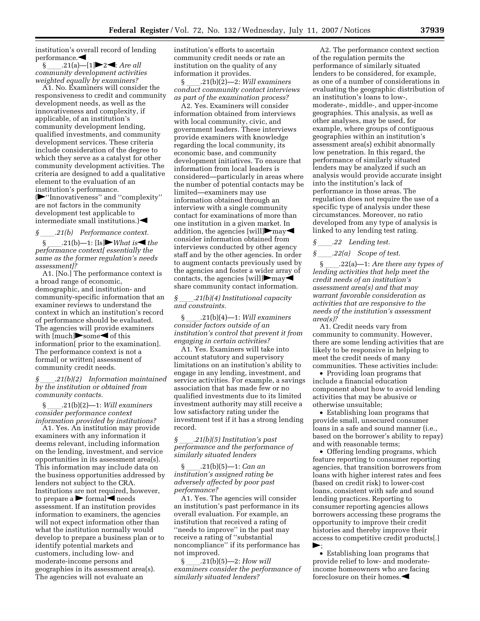institution's overall record of lending performance.<br>S.  $.21(a)$ -[1] > 2<1: Are all

§ \_\_\_\_\_.21(a)—[1]▶2◀: *Are all community development activities weighted equally by examiners?* 

A1. No. Examiners will consider the responsiveness to credit and community development needs, as well as the innovativeness and complexity, if applicable, of an institution's community development lending, qualified investments, and community development services. These criteria include consideration of the degree to which they serve as a catalyst for other community development activities. The criteria are designed to add a qualitative element to the evaluation of an institution's performance.

(fl''Innovativeness'' and ''complexity'' are not factors in the community development test applicable to intermediate small institutions.) $\blacktriangleleft$ 

*§* ll*.21(b) Performance context.* 

 $.21(b)$ —1: [Is] $\blacktriangleright$  *What is*  $\blacktriangleleft$  *the performance context[ essentially the same as the former regulation's needs assessment]?* 

A1. [No.] The performance context is a broad range of economic, demographic, and institution- and community-specific information that an examiner reviews to understand the context in which an institution's record of performance should be evaluated. The agencies will provide examiners with  $[much]$  some  $\blacktriangleleft$  of this information[ prior to the examination]. The performance context is not a formal[ or written] assessment of community credit needs.

*§* ll*.21(b)(2) Information maintained by the institution or obtained from community contacts.* 

§ ll.21(b)(2)—1: *Will examiners consider performance context information provided by institutions?* 

A1. Yes. An institution may provide examiners with any information it deems relevant, including information on the lending, investment, and service opportunities in its assessment area(s). This information may include data on the business opportunities addressed by lenders not subject to the CRA. Institutions are not required, however, to prepare a  $\triangleright$  formal  $\triangleleft$  needs assessment. If an institution provides information to examiners, the agencies will not expect information other than what the institution normally would develop to prepare a business plan or to identify potential markets and customers, including low- and moderate-income persons and geographies in its assessment area(s). The agencies will not evaluate an

institution's efforts to ascertain community credit needs or rate an institution on the quality of any information it provides.

§ ll.21(b)(2)—2: *Will examiners conduct community contact interviews as part of the examination process?* 

A2. Yes. Examiners will consider information obtained from interviews with local community, civic, and government leaders. These interviews provide examiners with knowledge regarding the local community, its economic base, and community development initiatives. To ensure that information from local leaders is considered—particularly in areas where the number of potential contacts may be limited—examiners may use information obtained through an interview with a single community contact for examinations of more than one institution in a given market. In addition, the agencies [will] $\blacktriangleright$ may $\blacktriangleleft$ consider information obtained from interviews conducted by other agency staff and by the other agencies. In order to augment contacts previously used by the agencies and foster a wider array of contacts, the agencies [will] $\blacktriangleright$  may share community contact information.

*§* ll*.21(b)(4) Institutional capacity and constraints.* 

§ ll.21(b)(4)—1: *Will examiners consider factors outside of an institution's control that prevent it from engaging in certain activities?* 

A1. Yes. Examiners will take into account statutory and supervisory limitations on an institution's ability to engage in any lending, investment, and service activities. For example, a savings association that has made few or no qualified investments due to its limited investment authority may still receive a low satisfactory rating under the investment test if it has a strong lending record.

*§* ll*.21(b)(5) Institution's past performance and the performance of similarly situated lenders* 

§ ll.21(b)(5)—1: *Can an institution's assigned rating be adversely affected by poor past performance?* 

A1. Yes. The agencies will consider an institution's past performance in its overall evaluation. For example, an institution that received a rating of ''needs to improve'' in the past may receive a rating of ''substantial noncompliance'' if its performance has not improved.

§ ll.21(b)(5)—2: *How will examiners consider the performance of similarly situated lenders?* 

A2. The performance context section of the regulation permits the performance of similarly situated lenders to be considered, for example, as one of a number of considerations in evaluating the geographic distribution of an institution's loans to low-, moderate-, middle-, and upper-income geographies. This analysis, as well as other analyses, may be used, for example, where groups of contiguous geographies within an institution's assessment area(s) exhibit abnormally low penetration. In this regard, the performance of similarly situated lenders may be analyzed if such an analysis would provide accurate insight into the institution's lack of performance in those areas. The regulation does not require the use of a specific type of analysis under these circumstances. Moreover, no ratio developed from any type of analysis is linked to any lending test rating.

*§* ll*.22 Lending test.* 

*§* ll*.22(a) Scope of test.* 

§ ll.22(a)—1: *Are there any types of lending activities that help meet the credit needs of an institution's assessment area(s) and that may warrant favorable consideration as activities that are responsive to the needs of the institution's assessment area(s)?* 

A1. Credit needs vary from community to community. However, there are some lending activities that are likely to be responsive in helping to meet the credit needs of many communities. These activities include:

• Providing loan programs that include a financial education component about how to avoid lending activities that may be abusive or otherwise unsuitable;

• Establishing loan programs that provide small, unsecured consumer loans in a safe and sound manner (i.e., based on the borrower's ability to repay) and with reasonable terms;

• Offering lending programs, which feature reporting to consumer reporting agencies, that transition borrowers from loans with higher interest rates and fees (based on credit risk) to lower-cost loans, consistent with safe and sound lending practices. Reporting to consumer reporting agencies allows borrowers accessing these programs the opportunity to improve their credit histories and thereby improve their access to competitive credit products[.]  $\blacktriangleright$ ;

• Establishing loan programs that provide relief to low- and moderateincome homeowners who are facing foreclosure on their homes. $\blacktriangleleft$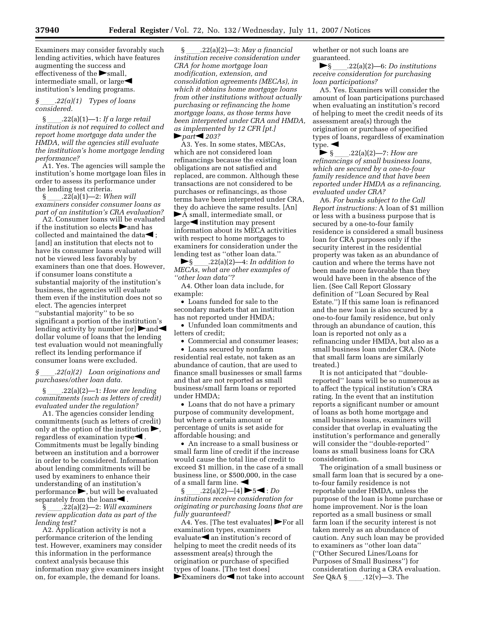Examiners may consider favorably such lending activities, which have features augmenting the success and effectiveness of the  $\triangleright$  small, intermediate small, or large $\blacktriangleleft$ institution's lending programs.

#### *§* ll*.22(a)(1) Types of loans considered.*

§ ll.22(a)(1)—1: *If a large retail institution is not required to collect and report home mortgage data under the HMDA, will the agencies still evaluate the institution's home mortgage lending performance?* 

A1. Yes. The agencies will sample the institution's home mortgage loan files in order to assess its performance under the lending test criteria.<br>
§  $.22(a)(1)$ —2: When will

§ ll.22(a)(1)—2: *When will examiners consider consumer loans as part of an institution's CRA evaluation?* 

A2. Consumer loans will be evaluated if the institution so elects  $\blacktriangleright$  and has collected and maintained the data $\blacktriangleleft$ ; [and] an institution that elects not to have its consumer loans evaluated will not be viewed less favorably by examiners than one that does. However, if consumer loans constitute a substantial majority of the institution's business, the agencies will evaluate them even if the institution does not so elect. The agencies interpret ''substantial majority'' to be so significant a portion of the institution's lending activity by number  $[or] \rightarrow$ and dollar volume of loans that the lending test evaluation would not meaningfully reflect its lending performance if consumer loans were excluded.

*§* ll*.22(a)(2) Loan originations and purchases/other loan data.* 

§ ll.22(a)(2)—1: *How are lending commitments (such as letters of credit) evaluated under the regulation?* 

A1. The agencies consider lending commitments (such as letters of credit) only at the option of the institution  $\blacktriangleright$ , regardless of examination type $\blacktriangleleft$ . Commitments must be legally binding between an institution and a borrower in order to be considered. Information about lending commitments will be used by examiners to enhance their understanding of an institution's  $performance$ , but will be evaluated separately from the loans $\blacktriangleleft$  .

 $\hat{\S}$   $.22(a)(2)$ —2: *Will examiners review application data as part of the lending test?* 

A2. Application activity is not a performance criterion of the lending test. However, examiners may consider this information in the performance context analysis because this information may give examiners insight on, for example, the demand for loans.

§ ll.22(a)(2)—3: *May a financial institution receive consideration under CRA for home mortgage loan modification, extension, and consolidation agreements (MECAs), in which it obtains home mortgage loans from other institutions without actually purchasing or refinancing the home mortgage loans, as those terms have been interpreted under CRA and HMDA, as implemented by 12 CFR [pt.]*   $\blacktriangleright$  part $\blacktriangleleft$  203?

A3. Yes. In some states, MECAs, which are not considered loan refinancings because the existing loan obligations are not satisfied and replaced, are common. Although these transactions are not considered to be purchases or refinancings, as those terms have been interpreted under CRA, they do achieve the same results. [An]  $\blacktriangleright$  A small, intermediate small, or  $large$  institution may present

information about its MECA activities with respect to home mortgages to examiners for consideration under the lending test as "other loan data."<br> $\begin{array}{c} \bigcirc \\ \text{S} \end{array}$ .22(a)(2)—4: In addition

fl§ ll.22(a)(2)—4: *In addition to MECAs, what are other examples of ''other loan data''?* 

A4. Other loan data include, for example:

• Loans funded for sale to the secondary markets that an institution has not reported under HMDA;

• Unfunded loan commitments and letters of credit;

• Commercial and consumer leases; • Loans secured by nonfarm

residential real estate, not taken as an abundance of caution, that are used to finance small businesses or small farms and that are not reported as small business/small farm loans or reported under HMDA;

• Loans that do not have a primary purpose of community development, but where a certain amount or percentage of units is set aside for affordable housing; and

• An increase to a small business or small farm line of credit if the increase would cause the total line of credit to exceed \$1 million, in the case of a small business line, or \$500,000, in the case of a small farm line.  $\blacktriangleleft$ 

§ ll.22(a)(2)—[4] fl5fi : *Do institutions receive consideration for originating or purchasing loans that are fully guaranteed?* 

A4. Yes. [The test evaluates]  $\blacktriangleright$  For all examination types, examiners evaluate $\blacktriangleleft$  an institution's record of helping to meet the credit needs of its assessment area(s) through the origination or purchase of specified types of loans. [The test does]  $\blacktriangleright$  Examiners do $\blacktriangleleft$  not take into account whether or not such loans are guaranteed.

 $\blacktriangleright$ § \_\_\_\_\_.22(a)(2)—6: *Do institutions receive consideration for purchasing loan participations?* 

A5. Yes. Examiners will consider the amount of loan participations purchased when evaluating an institution's record of helping to meet the credit needs of its assessment area(s) through the origination or purchase of specified types of loans, regardless of examination type.  $\blacktriangleleft$ 

◆ § \_\_\_\_.22(a)(2)—7: *How are refinancings of small business loans, which are secured by a one-to-four family residence and that have been reported under HMDA as a refinancing, evaluated under CRA?* 

A6. *For banks subject to the Call Report instructions:* A loan of \$1 million or less with a business purpose that is secured by a one-to-four family residence is considered a small business loan for CRA purposes only if the security interest in the residential property was taken as an abundance of caution and where the terms have not been made more favorable than they would have been in the absence of the lien. (See Call Report Glossary definition of ''Loan Secured by Real Estate.'') If this same loan is refinanced and the new loan is also secured by a one-to-four family residence, but only through an abundance of caution, this loan is reported not only as a refinancing under HMDA, but also as a small business loan under CRA. (Note that small farm loans are similarly treated.)

It is not anticipated that ''doublereported'' loans will be so numerous as to affect the typical institution's CRA rating. In the event that an institution reports a significant number or amount of loans as both home mortgage and small business loans, examiners will consider that overlap in evaluating the institution's performance and generally will consider the ''double-reported'' loans as small business loans for CRA consideration.

The origination of a small business or small farm loan that is secured by a oneto-four family residence is not reportable under HMDA, unless the purpose of the loan is home purchase or home improvement. Nor is the loan reported as a small business or small farm loan if the security interest is not taken merely as an abundance of caution. Any such loan may be provided to examiners as ''other loan data'' (''Other Secured Lines/Loans for Purposes of Small Business'') for consideration during a CRA evaluation. *See* Q&A § .12(v)—3. The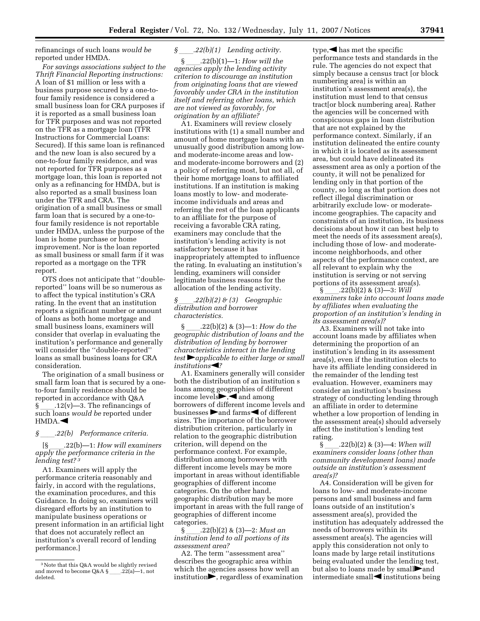refinancings of such loans *would be*  reported under HMDA.

*For savings associations subject to the Thrift Financial Reporting instructions:*  A loan of \$1 million or less with a business purpose secured by a one-tofour family residence is considered a small business loan for CRA purposes if it is reported as a small business loan for TFR purposes and was not reported on the TFR as a mortgage loan (TFR Instructions for Commercial Loans: Secured). If this same loan is refinanced and the new loan is also secured by a one-to-four family residence, and was not reported for TFR purposes as a mortgage loan, this loan is reported not only as a refinancing for HMDA, but is also reported as a small business loan under the TFR and CRA. The origination of a small business or small farm loan that is secured by a one-tofour family residence is not reportable under HMDA, unless the purpose of the loan is home purchase or home improvement. Nor is the loan reported as small business or small farm if it was reported as a mortgage on the TFR report.

OTS does not anticipate that ''doublereported'' loans will be so numerous as to affect the typical institution's CRA rating. In the event that an institution reports a significant number or amount of loans as both home mortgage and small business loans, examiners will consider that overlap in evaluating the institution's performance and generally will consider the ''double-reported'' loans as small business loans for CRA consideration.

The origination of a small business or small farm loan that is secured by a oneto-four family residence should be reported in accordance with Q&A  $\S$  .12(v)—3. The refinancings of such loans *would be* reported under  $HMDA.$ 

*§* 122(b) Performance criteria.<br><sup>5</sup> 122(b)—1: How will examiners [§ ll.22(b)—1: *How will examiners apply the performance criteria in the lending test? 3*

A1. Examiners will apply the performance criteria reasonably and fairly, in accord with the regulations, the examination procedures, and this Guidance. In doing so, examiners will disregard efforts by an institution to manipulate business operations or present information in an artificial light that does not accurately reflect an institution's overall record of lending performance.]

# *§* 22(*b*)(1) Lending activity.<br>§ 22(*b*)(1)-1: *How will the*

§ ll.22(b)(1)—1: *How will the agencies apply the lending activity criterion to discourage an institution from originating loans that are viewed favorably under CRA in the institution itself and referring other loans, which are not viewed as favorably, for origination by an affiliate?* 

A1. Examiners will review closely institutions with (1) a small number and amount of home mortgage loans with an unusually good distribution among lowand moderate-income areas and lowand moderate-income borrowers and (2) a policy of referring most, but not all, of their home mortgage loans to affiliated institutions. If an institution is making loans mostly to low- and moderateincome individuals and areas and referring the rest of the loan applicants to an affiliate for the purpose of receiving a favorable CRA rating, examiners may conclude that the institution's lending activity is not satisfactory because it has inappropriately attempted to influence the rating. In evaluating an institution's lending, examiners will consider legitimate business reasons for the allocation of the lending activity.

#### *§* ll*.22(b)(2) & (3) Geographic distribution and borrower characteristics.*

§ ll.22(b)(2) & (3)—1: *How do the geographic distribution of loans and the distribution of lending by borrower characteristics interact in the lending test* fl*applicable to either large or small institutions*<sup>1</sup>?

A1. Examiners generally will consider both the distribution of an institution s loans among geographies of different income levels $\blacktriangleright, \blacktriangleleft$  and among borrowers of different income levels and businesses  $\triangleright$  and farms  $\triangleleft$  of different sizes. The importance of the borrower distribution criterion, particularly in relation to the geographic distribution criterion, will depend on the performance context. For example, distribution among borrowers with different income levels may be more important in areas without identifiable geographies of different income categories. On the other hand, geographic distribution may be more important in areas with the full range of geographies of different income categories.

§ ll.22(b)(2) & (3)—2: *Must an institution lend to all portions of its assessment area?* 

A2. The term ''assessment area'' describes the geographic area within which the agencies assess how well an  $\sum$ , regardless of examination

type,  $\blacktriangleleft$  has met the specific performance tests and standards in the rule. The agencies do not expect that simply because a census tract [or block numbering area] is within an institution's assessment area(s), the institution must lend to that census tract[or block numbering area]. Rather the agencies will be concerned with conspicuous gaps in loan distribution that are not explained by the performance context. Similarly, if an institution delineated the entire county in which it is located as its assessment area, but could have delineated its assessment area as only a portion of the county, it will not be penalized for lending only in that portion of the county, so long as that portion does not reflect illegal discrimination or arbitrarily exclude low- or moderateincome geographies. The capacity and constraints of an institution, its business decisions about how it can best help to meet the needs of its assessment area(s), including those of low- and moderateincome neighborhoods, and other aspects of the performance context, are all relevant to explain why the institution is serving or not serving portions of its assessment area(s).

 $\S$  \_\_\_\_\_\_. 22(b)(2) & (3)—3: *Will examiners take into account loans made by affiliates when evaluating the proportion of an institution's lending in its assessment area(s)?* 

A3. Examiners will not take into account loans made by affiliates when determining the proportion of an institution's lending in its assessment area(s), even if the institution elects to have its affiliate lending considered in the remainder of the lending test evaluation. However, examiners may consider an institution's business strategy of conducting lending through an affiliate in order to determine whether a low proportion of lending in the assessment area(s) should adversely affect the institution's lending test rating.

§ ll.22(b)(2) & (3)—4: *When will examiners consider loans (other than community development loans) made outside an institution's assessment area(s)?* 

A4. Consideration will be given for loans to low- and moderate-income persons and small business and farm loans outside of an institution's assessment area(s), provided the institution has adequately addressed the needs of borrowers within its assessment area(s). The agencies will apply this consideration not only to loans made by large retail institutions being evaluated under the lending test, but also to loans made by small**our** and intermediate small $\blacktriangleleft$  institutions being

<sup>3</sup>Note that this Q&A would be slightly revised and moved to become Q&A §\_\_\_\_.22(a)—1, not deleted.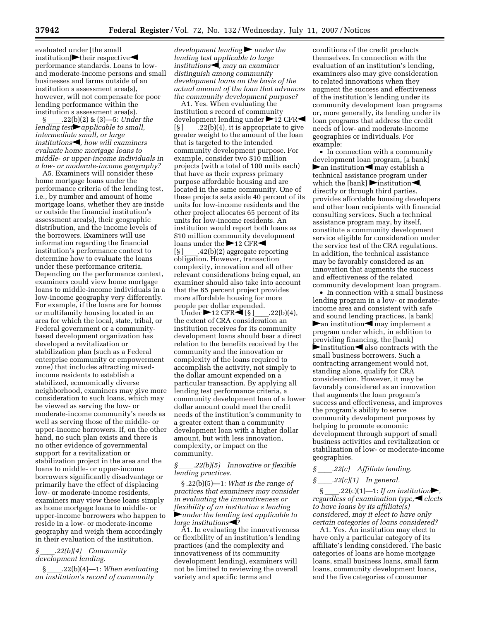evaluated under [the small  $\leftarrow$ institution] $\blacktriangleright$ their respective $\blacktriangleleft$ performance standards. Loans to lowand moderate-income persons and small businesses and farms outside of an institution s assessment area(s), however, will not compensate for poor lending performance within the institution s assessment area(s).

§ ll.22(b)(2) & (3)—5: *Under the lending test* $\rightarrow$ *applicable to small, intermediate small, or large institutions*fi*, how will examiners evaluate home mortgage loans to middle- or upper-income individuals in a low- or moderate-income geography?* 

A5. Examiners will consider these home mortgage loans under the performance criteria of the lending test, i.e., by number and amount of home mortgage loans, whether they are inside or outside the financial institution's assessment area(s), their geographic distribution, and the income levels of the borrowers. Examiners will use information regarding the financial institution's performance context to determine how to evaluate the loans under these performance criteria. Depending on the performance context, examiners could view home mortgage loans to middle-income individuals in a low-income geography very differently. For example, if the loans are for homes or multifamily housing located in an area for which the local, state, tribal, or Federal government or a communitybased development organization has developed a revitalization or stabilization plan (such as a Federal enterprise community or empowerment zone) that includes attracting mixedincome residents to establish a stabilized, economically diverse neighborhood, examiners may give more consideration to such loans, which may be viewed as serving the low- or moderate-income community's needs as well as serving those of the middle- or upper-income borrowers. If, on the other hand, no such plan exists and there is no other evidence of governmental support for a revitalization or stabilization project in the area and the loans to middle- or upper-income borrowers significantly disadvantage or primarily have the effect of displacing low- or moderate-income residents, examiners may view these loans simply as home mortgage loans to middle- or upper-income borrowers who happen to reside in a low- or moderate-income geography and weigh them accordingly in their evaluation of the institution.

#### *§* ll*.22(b)(4) Community development lending.*

§ ll.22(b)(4)—1: *When evaluating an institution's record of community* 

*development lending* in *under the lending test applicable to large institutions*•*institutions• distinguish among community development loans on the basis of the actual amount of the loan that advances the community development purpose?* 

A1. Yes. When evaluating the institution s record of community development lending under  $\blacktriangleright$  12 CFR $\blacktriangleleft$  $[\S]$  .22(b)(4), it is appropriate to give greater weight to the amount of the loan that is targeted to the intended community development purpose. For example, consider two \$10 million projects (with a total of 100 units each) that have as their express primary purpose affordable housing and are located in the same community. One of these projects sets aside 40 percent of its units for low-income residents and the other project allocates 65 percent of its units for low-income residents. An institution would report both loans as \$10 million community development loans under the  $\blacktriangleright$  12 CFR $\blacktriangleleft$  $[\S]$  \_\_\_\_.42(b)(2) aggregate reporting obligation. However, transaction complexity, innovation and all other relevant considerations being equal, an examiner should also take into account that the 65 percent project provides more affordable housing for more people per dollar expended.<br>Under  $\blacktriangleright$  12 CFR<br/>  $\blacktriangleleft$  [§]

Under  $\blacktriangleright$  12 CFR $\blacktriangleleft$  [§ ]<sub>ll</sub>.22(b)(4), the extent of CRA consideration an institution receives for its community development loans should bear a direct relation to the benefits received by the community and the innovation or complexity of the loans required to accomplish the activity, not simply to the dollar amount expended on a particular transaction. By applying all lending test performance criteria, a community development loan of a lower dollar amount could meet the credit needs of the institution's community to a greater extent than a community development loan with a higher dollar amount, but with less innovation, complexity, or impact on the community.

#### *§* ll*.22(b)(5) Innovative or flexible lending practices.*

§ .22(b)(5)—1: *What is the range of practices that examiners may consider in evaluating the innovativeness or flexibility of an institution s lending*  fl*under the lending test applicable to large institutions*<sup>1</sup>?

A1. In evaluating the innovativeness or flexibility of an institution's lending practices (and the complexity and innovativeness of its community development lending), examiners will not be limited to reviewing the overall variety and specific terms and

conditions of the credit products themselves. In connection with the evaluation of an institution's lending, examiners also may give consideration to related innovations when they augment the success and effectiveness of the institution's lending under its community development loan programs or, more generally, its lending under its loan programs that address the credit needs of low- and moderate-income geographies or individuals. For example:

• In connection with a community development loan program, [a bank]  $\blacktriangleright$  an institution  $\blacktriangleleft$  may establish a technical assistance program under which the [bank]  $\triangleright$  institution  $\blacktriangleleft$ , directly or through third parties, provides affordable housing developers and other loan recipients with financial consulting services. Such a technical assistance program may, by itself, constitute a community development service eligible for consideration under the service test of the CRA regulations. In addition, the technical assistance may be favorably considered as an innovation that augments the success and effectiveness of the related community development loan program.

• In connection with a small business lending program in a low- or moderateincome area and consistent with safe and sound lending practices, [a bank]  $\blacktriangleright$  an institution  $\blacktriangleleft$  may implement a program under which, in addition to providing financing, the [bank]  $\blacktriangleright$  institution  $\blacktriangleleft$  also contracts with the small business borrowers. Such a contracting arrangement would not, standing alone, qualify for CRA consideration. However, it may be favorably considered as an innovation that augments the loan program's success and effectiveness, and improves the program's ability to serve community development purposes by helping to promote economic development through support of small business activities and revitalization or stabilization of low- or moderate-income geographies.

# *§* \_\_\_\_\_*.22(c)* Affiliate lending.<br>*§* \_\_\_\_*.22(c)*(1) In general.

*§* ll*.22(c)(1) In general.* 

 $.22(c)(1)$ —1: *If an institution*, *regardless of examination type. elects to have loans by its affiliate(s) considered, may it elect to have only certain categories of loans considered?* 

A1. Yes. An institution may elect to have only a particular category of its affiliate's lending considered. The basic categories of loans are home mortgage loans, small business loans, small farm loans, community development loans, and the five categories of consumer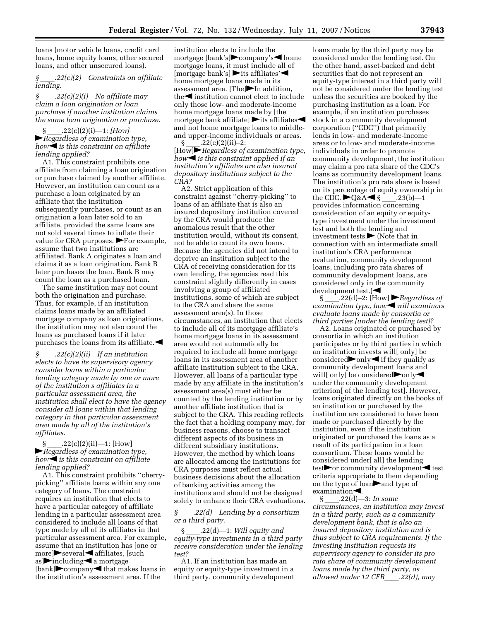loans (motor vehicle loans, credit card loans, home equity loans, other secured loans, and other unsecured loans).

*§* ll*.22(c)(2) Constraints on affiliate lending.* 

*§* ll*.22(c)(2)(i) No affiliate may claim a loan origination or loan purchase if another institution claims the same loan origination or purchase.* 

§ ll.22(c)(2)(i)—1: *[How]*  fl*Regardless of examination type, how* $\triangleleft$  *is this constraint on affiliate lending applied?* 

A1. This constraint prohibits one affiliate from claiming a loan origination or purchase claimed by another affiliate. However, an institution can count as a purchase a loan originated by an affiliate that the institution subsequently purchases, or count as an origination a loan later sold to an affiliate, provided the same loans are not sold several times to inflate their value for CRA purposes.  $\blacktriangleright$  For example, assume that two institutions are affiliated. Bank A originates a loan and claims it as a loan origination. Bank B later purchases the loan. Bank B may count the loan as a purchased loan.

The same institution may not count both the origination and purchase. Thus, for example, if an institution claims loans made by an affiliated mortgage company as loan originations, the institution may not also count the loans as purchased loans if it later purchases the loans from its affiliate. $\blacktriangleleft$ 

*§* ll*.22(c)(2)(ii) If an institution elects to have its supervisory agency consider loans within a particular lending category made by one or more of the institution s affiliates in a particular assessment area, the institution shall elect to have the agency consider all loans within that lending category in that particular assessment area made by all of the institution's affiliates.* 

 $22(c)(2)(ii)$ —1: [How] fl*Regardless of examination type, how* $\triangleleft$  *is this constraint on affiliate lending applied?* 

A1. This constraint prohibits ''cherrypicking'' affiliate loans within any one category of loans. The constraint requires an institution that elects to have a particular category of affiliate lending in a particular assessment area considered to include all loans of that type made by all of its affiliates in that particular assessment area. For example, assume that an institution has [one or more]Several iffiliates, [such as] $\blacktriangleright$  including  $\blacktriangleleft$  a mortgage  $[\text{bank}]$  company that makes loans in the institution's assessment area. If the

institution elects to include the mortgage [bank's] $\rightarrow$ company's $\rightarrow$ home mortgage loans, it must include all of  $[mortgage bank's]$  its affiliates' home mortgage loans made in its assessment area.  $[The]$ In addition, the $\blacktriangleleft$  institution cannot elect to include only those low- and moderate-income home mortgage loans made by [the mortgage bank affiliate]  $\blacktriangleright$  its affiliates and not home mortgage loans to middleand upper-income individuals or areas.<br>
§  $.22(c)(2)(ii)-2$ :

§ \_\_\_\_.22(c)(2)(ii)−2:<br>[How]▶Regardless of examination type, *how*<sup>is</sup> *is this constraint applied if an institution's affiliates are also insured depository institutions subject to the CRA?* 

A2. Strict application of this constraint against ''cherry-picking'' to loans of an affiliate that is also an insured depository institution covered by the CRA would produce the anomalous result that the other institution would, without its consent, not be able to count its own loans. Because the agencies did not intend to deprive an institution subject to the CRA of receiving consideration for its own lending, the agencies read this constraint slightly differently in cases involving a group of affiliated institutions, some of which are subject to the CRA and share the same assessment area(s). In those circumstances, an institution that elects to include all of its mortgage affiliate's home mortgage loans in its assessment area would not automatically be required to include all home mortgage loans in its assessment area of another affiliate institution subject to the CRA. However, all loans of a particular type made by any affiliate in the institution's assessment area(s) must either be counted by the lending institution or by another affiliate institution that is subject to the CRA. This reading reflects the fact that a holding company may, for business reasons, choose to transact different aspects of its business in different subsidiary institutions. However, the method by which loans are allocated among the institutions for CRA purposes must reflect actual business decisions about the allocation of banking activities among the institutions and should not be designed solely to enhance their CRA evaluations.

#### *§* ll*.22(d) Lending by a consortium or a third party.*

§ ll.22(d)—1: *Will equity and equity-type investments in a third party receive consideration under the lending test?* 

A1. If an institution has made an equity or equity-type investment in a third party, community development loans made by the third party may be considered under the lending test. On the other hand, asset-backed and debt securities that do not represent an equity-type interest in a third party will not be considered under the lending test unless the securities are booked by the purchasing institution as a loan. For example, if an institution purchases stock in a community development corporation (''CDC'') that primarily lends in low- and moderate-income areas or to low- and moderate-income individuals in order to promote community development, the institution may claim a pro rata share of the CDC's loans as community development loans. The institution's pro rata share is based on its percentage of equity ownership in<br>the CDC.  $\blacktriangleright$  Q&A  $\blacktriangleleft$  § .23(b)-1 the CDC.  $\blacktriangleright$ Q&A $\blacktriangleleft$  § \_\_\_.23(b)—1 provides information concerning consideration of an equity or equitytype investment under the investment test and both the lending and investment tests. $\blacktriangleright$  (Note that in connection with an intermediate small institution's CRA performance evaluation, community development loans, including pro rata shares of community development loans, are considered only in the community development test.) $\blacktriangleleft$ 

§  $.22(d)-2$ : [How]  $\blacktriangleright$  *Regardless of examination type, how* $\blacksquare$  *will examiners evaluate loans made by consortia or third parties [under the lending test]?* 

A2. Loans originated or purchased by consortia in which an institution participates or by third parties in which an institution invests will[ only] be considered  $\bullet$  only  $\bullet$  if they qualify as community development loans and will[ only] be considered $\blacktriangleright$ only $\blacktriangleleft$ under the community development criterion[ of the lending test]. However, loans originated directly on the books of an institution or purchased by the institution are considered to have been made or purchased directly by the institution, even if the institution originated or purchased the loans as a result of its participation in a loan consortium. These loans would be considered under[ all] the lending test $\blacktriangleright$  or community development < test criteria appropriate to them depending on the type of loan $\rightarrow$  and type of examination<br>S.  $.22(d)$ —3: In some

§ ll.22(d)—3: *In some circumstances, an institution may invest in a third party, such as a community development bank, that is also an insured depository institution and is thus subject to CRA requirements. If the investing institution requests its supervisory agency to consider its pro rata share of community development loans made by the third party, as allowed under 12 CFR .22(d), may*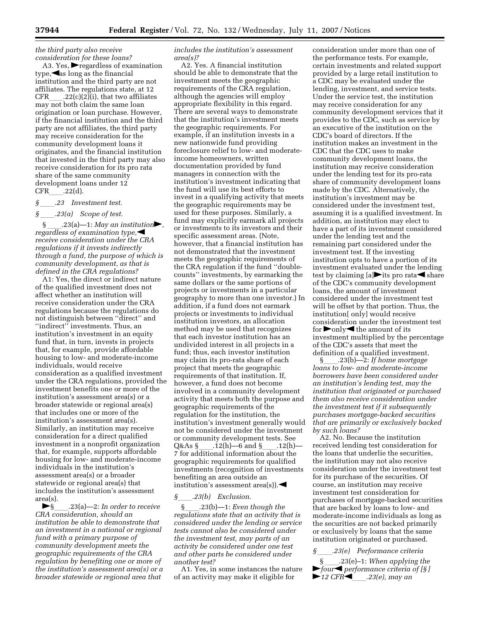*the third party also receive consideration for these loans?* 

A3. Yes,  $\blacktriangleright$  regardless of examination  $type, \blacktriangleleft as$  long as the financial institution and the third party are not affiliates. The regulations state, at 12 CFR  $.22(c)(2)(i)$ , that two affiliates may not both claim the same loan origination or loan purchase. However, if the financial institution and the third party are not affiliates, the third party may receive consideration for the community development loans it originates, and the financial institution that invested in the third party may also receive consideration for its pro rata share of the same community development loans under 12  $CFR$  .22(d).

# *§* \_\_\_\_\_.23 Investment test.<br>*§* \_\_\_\_\_.23(a) *Scope of test.*

#### *§* ll*.23(a) Scope of test.*

.23(a)—1: *May an institution*, *regardless of examination type, receive consideration under the CRA regulations if it invests indirectly through a fund, the purpose of which is community development, as that is defined in the CRA regulations?* 

A1: Yes, the direct or indirect nature of the qualified investment does not affect whether an institution will receive consideration under the CRA regulations because the regulations do not distinguish between ''direct'' and ''indirect'' investments. Thus, an institution's investment in an equity fund that, in turn, invests in projects that, for example, provide affordable housing to low- and moderate-income individuals, would receive consideration as a qualified investment under the CRA regulations, provided the investment benefits one or more of the institution's assessment area(s) or a broader statewide or regional area(s) that includes one or more of the institution's assessment area(s). Similarly, an institution may receive consideration for a direct qualified investment in a nonprofit organization that, for example, supports affordable housing for low- and moderate-income individuals in the institution's assessment area(s) or a broader statewide or regional area(s) that includes the institution's assessment area(s).

**►**§ 23(a)—2: *In order to receive CRA consideration, should an institution be able to demonstrate that an investment in a national or regional fund with a primary purpose of community development meets the geographic requirements of the CRA regulation by benefiting one or more of the institution's assessment area(s) or a broader statewide or regional area that* 

*includes the institution's assessment area(s)?* 

A2. Yes. A financial institution should be able to demonstrate that the investment meets the geographic requirements of the CRA regulation, although the agencies will employ appropriate flexibility in this regard. There are several ways to demonstrate that the institution's investment meets the geographic requirements. For example, if an institution invests in a new nationwide fund providing foreclosure relief to low- and moderateincome homeowners, written documentation provided by fund managers in connection with the institution's investment indicating that the fund will use its best efforts to invest in a qualifying activity that meets the geographic requirements may be used for these purposes. Similarly, a fund may explicitly earmark all projects or investments to its investors and their specific assessment areas. (Note, however, that a financial institution has not demonstrated that the investment meets the geographic requirements of the CRA regulation if the fund ''doublecounts'' investments, by earmarking the same dollars or the same portions of projects or investments in a particular geography to more than one investor.) In addition, if a fund does not earmark projects or investments to individual institution investors, an allocation method may be used that recognizes that each investor institution has an undivided interest in all projects in a fund; thus, each investor institution may claim its pro-rata share of each project that meets the geographic requirements of that institution. If, however, a fund does not become involved in a community development activity that meets both the purpose and geographic requirements of the regulation for the institution, the institution's investment generally would not be considered under the investment or community development tests. See<br>Q&As § .12(h)—6 and § .12(h) Q&As §\_\_\_\_.12(h)—6 and §\_\_\_\_.12(h)—<br>7 for additional information about the geographic requirements for qualified investments (recognition of investments benefiting an area outside an institution's assessment area(s).

*§*\_\_\_\_\_.23(b) Exclusion.<br>§ 23(b)—1: Even though the §ll.23(b)—1: *Even though the regulations state that an activity that is considered under the lending or service tests cannot also be considered under the investment test, may parts of an activity be considered under one test and other parts be considered under another test?* 

A1. Yes, in some instances the nature of an activity may make it eligible for

consideration under more than one of the performance tests. For example, certain investments and related support provided by a large retail institution to a CDC may be evaluated under the lending, investment, and service tests. Under the service test, the institution may receive consideration for any community development services that it provides to the CDC, such as service by an executive of the institution on the CDC's board of directors. If the institution makes an investment in the CDC that the CDC uses to make community development loans, the institution may receive consideration under the lending test for its pro-rata share of community development loans made by the CDC. Alternatively, the institution's investment may be considered under the investment test, assuming it is a qualified investment. In addition, an institution may elect to have a part of its investment considered under the lending test and the remaining part considered under the investment test. If the investing institution opts to have a portion of its investment evaluated under the lending test by claiming  $[a]$  its pro rata share of the CDC's community development loans, the amount of investment considered under the investment test will be offset by that portion. Thus, the institution[ only] would receive consideration under the investment test for  $\triangleright$  only  $\triangleleft$  the amount of its investment multiplied by the percentage of the CDC's assets that meet the definition of a qualified investment.<br>§ .23(b)—2: If home mortgage

§ll.23(b)—2: *If home mortgage loans to low- and moderate-income borrowers have been considered under an institution's lending test, may the institution that originated or purchased them also receive consideration under the investment test if it subsequently purchases mortgage-backed securities that are primarily or exclusively backed by such loans?* 

A2. No. Because the institution received lending test consideration for the loans that underlie the securities, the institution may not also receive consideration under the investment test for its purchase of the securities. Of course, an institution may receive investment test consideration for purchases of mortgage-backed securities that are backed by loans to low- and moderate-income individuals as long as the securities are not backed primarily or exclusively by loans that the same institution originated or purchased.

### *§* ll*.23(e) Performance criteria*

§ ll.23(e)–1: *When applying the*   $\blacktriangleright$  four<sup>*i*</sup> *performance criteria of* [§]  $\blacktriangleright$  12 CFR $\blacktriangleleft$  23(e), may an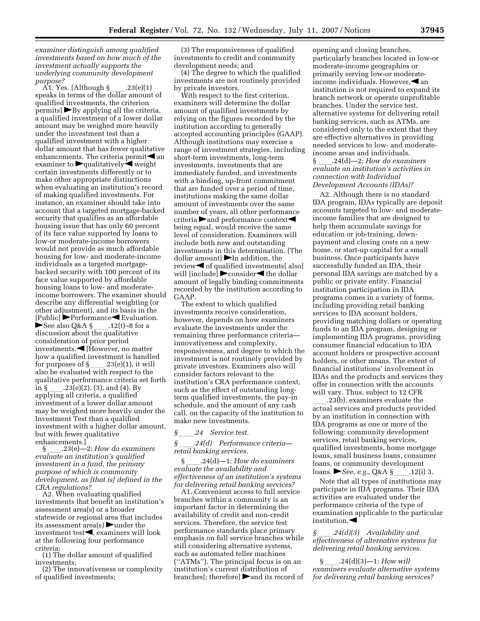*examiner distinguish among qualified investments based on how much of the investment actually supports the underlying community development* 

*purpose?*<br>- A1. Yes. [Although § \_\_\_\_.23(e)(1)<br>speaks in terms of the dollar amount of qualified investments, the criterion  $permits$   $\triangleright$  By applying all the criteria, a qualified investment of a lower dollar amount may be weighed more heavily under the investment test than a qualified investment with a higher dollar amount that has fewer qualitative enhancements. The criteria permit $\blacktriangleleft$  an examiner to  $\blacktriangleright$  qualitatively $\blacktriangleleft$  weight certain investments differently or to make other appropriate distinctions when evaluating an institution's record of making qualified investments. For instance, an examiner should take into account that a targeted mortgage-backed security that qualifies as an affordable housing issue that has only 60 percent of its face value supported by loans to low-or moderate-income borrowers would not provide as much affordable housing for low- and moderate-income individuals as a targeted mortgagebacked security with 100 percent of its face value supported by affordable housing loans to low- and moderateincome borrowers. The examiner should describe any differential weighting (or other adjustment), and its basis in the  $[Public]$  Performance Evaluation. See also Q&A  $\S$  \_\_\_\_.12(t)–8 for a discussion about the qualitative consideration of prior period  $investments. \blacktriangleleft [However, no matter]$ how a qualified investment is handled for purposes of § \_\_\_\_.23(e)(1), it will<br>also be evaluated with respect to the qualitative performance criteria set forth in § \_\_\_\_.23(e)(2), (3), and (4). By<br>applying all criteria, a qualified investment of a lower dollar amount may be weighed more heavily under the Investment Test than a qualified investment with a higher dollar amount, but with fewer qualitative enhancements.]<br>—2369—

§ ll.23(e)—2: *How do examiners evaluate an institution's qualified investment in a fund, the primary purpose of which is community development, as [that is] defined in the CRA regulations?* A2. When evaluating qualified

investments that benefit an institution's assessment area(s) or a broader statewide or regional area that includes its assessment area(s) multiple the investment test $\blacktriangleleft$ , examiners will look at the following four performance criteria:

(1) The dollar amount of qualified investments;

(2) The innovativeness or complexity of qualified investments;

(3) The responsiveness of qualified investments to credit and community development needs; and

(4) The degree to which the qualified investments are not routinely provided by private investors.

With respect to the first criterion, examiners will determine the dollar amount of qualified investments by relying on the figures recorded by the institution according to generally accepted accounting principles (GAAP). Although institutions may exercise a range of investment strategies, including short-term investments, long-term investments, investments that are immediately funded, and investments with a binding, up-front commitment that are funded over a period of time, institutions making the same dollar amount of investments over the same number of years, all other performance  $c$ riteria  $\blacktriangleright$  and performance context $\blacktriangleleft$ being equal, would receive the same level of consideration. Examiners will include both new and outstanding investments in this determination. [The dollar amount]  $\blacktriangleright$  In addition, the review $\blacktriangleleft$  of qualified investments[ also] will [include]  $\triangleright$  consider  $\triangleleft$  the dollar amount of legally binding commitments recorded by the institution according to GAAP.

The extent to which qualified investments receive consideration, however, depends on how examiners evaluate the investments under the remaining three performance criteria innovativeness and complexity, responsiveness, and degree to which the investment is not routinely provided by private investors. Examiners also will consider factors relevant to the institution's CRA performance context, such as the effect of outstanding longterm qualified investments, the pay-in schedule, and the amount of any cash call, on the capacity of the institution to make new investments.

*§* 24 *Service test.*<br>*§* 24(d) *Performa* 

#### *§* ll*.24(d) Performance criteria retail banking services.*

§ ll.24(d)—1: *How do examiners evaluate the availability and effectiveness of an institution's systems for delivering retail banking services?* 

A1. Convenient access to full service branches within a community is an important factor in determining the availability of credit and non-credit services. Therefore, the service test performance standards place primary emphasis on full service branches while still considering alternative systems, such as automated teller machines (''ATMs''). The principal focus is on an institution's current distribution of branches[; therefore]  $\triangleright$  and its record of

opening and closing branches, particularly branches located in low-or moderate-income geographies or primarily serving low-or moderateincome individuals. However,  $\blacktriangleleft$  an institution is not required to expand its branch network or operate unprofitable branches. Under the service test, alternative systems for delivering retail banking services, such as ATMs, are considered only to the extent that they are effective alternatives in providing needed services to low- and moderateincome areas and individuals.

#### § ll.24(d)—2: *How do examiners evaluate an institution's activities in connection with Individual Development Accounts (IDAs)?*

A2. Although there is no standard IDA program, IDAs typically are deposit accounts targeted to low- and moderateincome families that are designed to help them accumulate savings for education or job-training, downpayment and closing costs on a new home, or start-up capital for a small business. Once participants have successfully funded an IDA, their personal IDA savings are matched by a public or private entity. Financial institution participation in IDA programs comes in a variety of forms, including providing retail banking services to IDA account holders, providing matching dollars or operating funds to an IDA program, designing or implementing IDA programs, providing consumer financial education to IDA account holders or prospective account holders, or other means. The extent of financial institutions' involvement in IDAs and the products and services they offer in connection with the accounts will vary. Thus, subject to 12 CFR

\_\_\_\_.23(b), examiners evaluate the<br>actual services and products provided by an institution in connection with IDA programs as one or more of the following: community development services, retail banking services, qualified investments, home mortgage loans, small business loans, consumer loans, or community development<br>loans. See, e.g., Q&A § .12(i) 3. loans. *See, e.g.*, Q&A §

Note that all types of institutions may participate in IDA programs. Their IDA activities are evaluated under the performance criteria of the type of examination applicable to the particular institution. $\blacktriangleleft$ 

### *§* ll*.24(d)(3) Availability and effectiveness of alternative systems for delivering retail banking services.*

§ \_\_\_\_\_\_.24(d)(3)—1: *How will examiners evaluate alternative systems for delivering retail banking services?*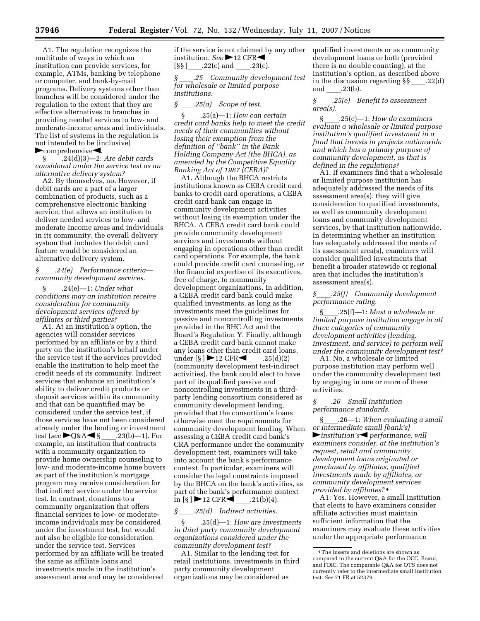A1. The regulation recognizes the multitude of ways in which an institution can provide services, for example, ATMs, banking by telephone or computer, and bank-by-mail programs. Delivery systems other than branches will be considered under the regulation to the extent that they are effective alternatives to branches in providing needed services to low- and moderate-income areas and individuals. The list of systems in the regulation is not intended to be [inclusive]  $\blacktriangleright$ comprehensive $\blacktriangleleft$ .

§ ll.24(d)(3)—2: *Are debit cards considered under the service test as an alternative delivery system?* 

A2. By themselves, no. However, if debit cards are a part of a larger combination of products, such as a comprehensive electronic banking service, that allows an institution to deliver needed services to low- and moderate-income areas and individuals in its community, the overall delivery system that includes the debit card feature would be considered an alternative delivery system.

#### *§* ll*.24(e) Performance criteria community development services.*

§ ll.24(e)—1: *Under what conditions may an institution receive consideration for community development services offered by affiliates or third parties?* 

A1. At an institution's option, the agencies will consider services performed by an affiliate or by a third party on the institution's behalf under the service test if the services provided enable the institution to help meet the credit needs of its community. Indirect services that enhance an institution's ability to deliver credit products or deposit services within its community and that can be quantified may be considered under the service test, if those services have not been considered already under the lending or investment test (*see* ►Q&A◀§ \_\_\_.23(b)—1). For<br>example, an institution that contracts with a community organization to provide home ownership counseling to low- and moderate-income home buyers as part of the institution's mortgage program may receive consideration for that indirect service under the service test. In contrast, donations to a community organization that offers financial services to low- or moderateincome individuals may be considered under the investment test, but would not also be eligible for consideration under the service test. Services performed by an affiliate will be treated the same as affiliate loans and investments made in the institution's assessment area and may be considered

if the service is not claimed by any other institution. *See* 12 CFR

 $[\$ §§  $]$ \_\_\_\_.22(c) and \_\_\_\_\_.23(c).<br>§ .25 Community develo *§* ll*.25 Community development test for wholesale or limited purpose institutions.* 

#### *§* ll*.25(a) Scope of test.*

§ ll.25(a)—1: *How can certain credit card banks help to meet the credit needs of their communities without losing their exemption from the definition of ''bank'' in the Bank Holding Company Act (the BHCA), as amended by the Competitive Equality Banking Act of 1987 (CEBA)?* 

A1. Although the BHCA restricts institutions known as CEBA credit card banks to credit card operations, a CEBA credit card bank can engage in community development activities without losing its exemption under the BHCA. A CEBA credit card bank could provide community development services and investments without engaging in operations other than credit card operations. For example, the bank could provide credit card counseling, or the financial expertise of its executives, free of charge, to community development organizations. In addition, a CEBA credit card bank could make qualified investments, as long as the investments meet the guidelines for passive and noncontrolling investments provided in the BHC Act and the Board's Regulation Y. Finally, although a CEBA credit card bank cannot make any loans other than credit card loans,<br>under  $[\S] \triangleright 12 \text{ CFR}$  .25(d)(2) under [§ ] ▶12 CFR◀ \_\_\_.25(d)(2)<br>(community development test-indirect activities), the bank could elect to have part of its qualified passive and noncontrolling investments in a thirdparty lending consortium considered as community development lending, provided that the consortium's loans otherwise meet the requirements for community development lending. When assessing a CEBA credit card bank's CRA performance under the community development test, examiners will take into account the bank's performance context. In particular, examiners will consider the legal constraints imposed by the BHCA on the bank's activities, as part of the bank's performance context in [§ ]  $\triangleright$  12 CFR $\triangleleft$ <sub>\_</sub><br>§ .25(d) Indire

*§* (*d*) Indirect activities.<br>25(d)—1: How are investments. § ll.25(d)—1: *How are investments in third party community development organizations considered under the community development test?* 

A1. Similar to the lending test for retail institutions, investments in third party community development organizations may be considered as

qualified investments or as community development loans or both (provided there is no double counting), at the institution's option, as described above in the discussion regarding  $\S\S$  \_\_\_\_.22(d)<br>and 23(b) and \_\_\_\_.23(b).<br> $\hat{S}$  .25(e) B

#### *§* ll*.25(e) Benefit to assessment area(s).*

§ ll.25(e)—1: *How do examiners evaluate a wholesale or limited purpose institution's qualified investment in a fund that invests in projects nationwide and which has a primary purpose of community development, as that is defined in the regulations?* 

A1. If examiners find that a wholesale or limited purpose institution has adequately addressed the needs of its assessment area(s), they will give consideration to qualified investments, as well as community development loans and community development services, by that institution nationwide. In determining whether an institution has adequately addressed the needs of its assessment area(s), examiners will consider qualified investments that benefit a broader statewide or regional area that includes the institution's assessment area(s).

#### *§*ll*.25(f) Community development performance rating.*

§ll.25(f)—1: *Must a wholesale or limited purpose institution engage in all three categories of community development activities (lending, investment, and service) to perform well under the community development test?* 

A1. No, a wholesale or limited purpose institution may perform well under the community development test by engaging in one or more of these activities.

#### *§*ll*.26 Small institution performance standards.*

§ll.26—1: *When evaluating a small or intermediate small [bank's]*   $\blacktriangleright$  *institution's*  $\blacktriangleleft$  *performance, will examiners consider, at the institution's request, retail and community development loans originated or purchased by affiliates, qualified investments made by affiliates, or community development services provided by affiliates?* 4

A1: Yes. However, a small institution that elects to have examiners consider affiliate activities must maintain sufficient information that the examiners may evaluate these activities under the appropriate performance

<sup>4</sup>The inserts and deletions are shown as compared to the current Q&A for the OCC, Board, and FDIC. The comparable Q&A for OTS does not currently refer to the intermediate small institution test. *See* 71 FR at 52379.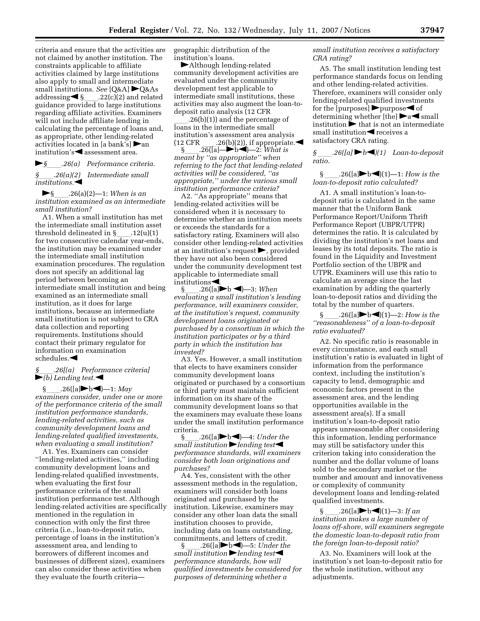criteria and ensure that the activities are not claimed by another institution. The constraints applicable to affiliate activities claimed by large institutions also apply to small and intermediate small institutions. *See*  $[Q\&A]$   $\blacktriangleright Q\&As$ <br>addressing  $\blacktriangleleft$  § \_\_\_\_.22(c)(2) and related addressing◀§\_\_\_.22(c)(2) and related<br>guidance provided to large institutions regarding affiliate activities. Examiners will not include affiliate lending in calculating the percentage of loans and, as appropriate, other lending-related activities located in [a bank's]  $\triangleright$  an institution's  $\blacktriangleleft$  assessment area.

fl*§*ll*.26(a) Performance criteria. §*ll*.26(a)(2) Intermediate small institutions.* 

fl§ll.26(a)(2)—1: *When is an institution examined as an intermediate small institution?* 

A1. When a small institution has met the intermediate small institution asset threshold delineated in §\_\_\_\_.12(u)(1)<br>for two consecutive calendar year-ends, the institution may be examined under the intermediate small institution examination procedures. The regulation does not specify an additional lag period between becoming an intermediate small institution and being examined as an intermediate small institution, as it does for large institutions, because an intermediate small institution is not subject to CRA data collection and reporting requirements. Institutions should contact their primary regulator for information on examination  $schedules. \blacktriangleleft$ 

*§*ll*.26[(a) Performance criteria]*   $\blacktriangleright$ *(b)* Lending test. $\blacktriangleleft$ 

§  $.26([a] \blacktriangleright b \blacktriangleleft)$ —1: *May examiners consider, under one or more of the performance criteria of the small institution performance standards, lending-related activities, such as community development loans and lending-related qualified investments, when evaluating a small institution?* 

A1. Yes. Examiners can consider ''lending-related activities,'' including community development loans and lending-related qualified investments, when evaluating the first four performance criteria of the small institution performance test. Although lending-related activities are specifically mentioned in the regulation in connection with only the first three criteria (i.e., loan-to-deposit ratio, percentage of loans in the institution's assessment area, and lending to borrowers of different incomes and businesses of different sizes), examiners can also consider these activities when they evaluate the fourth criteriageographic distribution of the institution's loans.

halthough lending-related community development activities are evaluated under the community development test applicable to intermediate small institutions, these activities may also augment the loan-todeposit ratio analysis (12 CFR

 $l(26(b)(1))$  and the percentage of loans in the intermediate small institution's assessment area analysis (12 CFR  $\frac{.26(b)(2)}{.26([a]-b-b]}$  -2: What is  $\overrightarrow{26}$ ([a]—**b** $\rightarrow$ b $\rightarrow$ ]—2: *What is meant by ''as appropriate'' when referring to the fact that lending-related activities will be considered, ''as appropriate,'' under the various small institution performance criteria?* 

A2. "As appropriate" means that lending-related activities will be considered when it is necessary to determine whether an institution meets or exceeds the standards for a satisfactory rating. Examiners will also consider other lending-related activities at an institution's request  $\blacktriangleright$ , provided they have not also been considered under the community development test applicable to intermediate small

institutions  $\leftarrow$ .<br>§ .26([a]  $.26([a] \rightarrow b \rightarrow ) \rightarrow$ 3: *When evaluating a small institution's lending performance, will examiners consider, at the institution's request, community development loans originated or purchased by a consortium in which the institution participates or by a third party in which the institution has invested?* 

A3. Yes. However, a small institution that elects to have examiners consider community development loans originated or purchased by a consortium or third party must maintain sufficient information on its share of the community development loans so that the examiners may evaluate these loans under the small institution performance criteria.

 $.26([a] \rightarrow b \rightarrow )$ —4: *Under the small institution Plending test performance standards, will examiners consider both loan originations and purchases?* 

A4. Yes, consistent with the other assessment methods in the regulation, examiners will consider both loans originated and purchased by the institution. Likewise, examiners may consider any other loan data the small institution chooses to provide, including data on loans outstanding, commitments, and letters of credit.<br>§ .26([a] b  $\blacktriangleleft$  -5: Under the

§ \_\_\_\_.26([a]▶b◀)—5: *Under the small institution ▶lending test performance standards, how will qualified investments be considered for purposes of determining whether a* 

*small institution receives a satisfactory CRA rating?* 

A5. The small institution lending test performance standards focus on lending and other lending-related activities. Therefore, examiners will consider only lending-related qualified investments for the [purposes]  $\rho$  purpose  $\lho$  of determining whether [the]  $\blacktriangleright$  a  $\blacktriangleleft$  small institution  $\blacktriangleright$  that is not an intermediate small institution $\blacktriangle$  receives a satisfactory CRA rating.

*§* ll*.26([a]* fl*b*fi*)(1) Loan-to-deposit ratio.* 

§ ll.26([a]flbfi)(1)—1: *How is the loan-to-deposit ratio calculated?* 

A1. A small institution's loan-todeposit ratio is calculated in the same manner that the Uniform Bank Performance Report/Uniform Thrift Performance Report (UBPR/UTPR) determines the ratio. It is calculated by dividing the institution's net loans and leases by its total deposits. The ratio is found in the Liquidity and Investment Portfolio section of the UBPR and UTPR. Examiners will use this ratio to calculate an average since the last examination by adding the quarterly loan-to-deposit ratios and dividing the total by the number of quarters.

§  $.26([a] \blacktriangleright b \blacktriangleleft)(1) - 2$ : *How is the ''reasonableness'' of a loan-to-deposit ratio evaluated?* 

A2. No specific ratio is reasonable in every circumstance, and each small institution's ratio is evaluated in light of information from the performance context, including the institution's capacity to lend, demographic and economic factors present in the assessment area, and the lending opportunities available in the assessment area(s). If a small institution's loan-to-deposit ratio appears unreasonable after considering this information, lending performance may still be satisfactory under this criterion taking into consideration the number and the dollar volume of loans sold to the secondary market or the number and amount and innovativeness or complexity of community development loans and lending-related qualified investments.

§ \_\_\_\_.26([a]▶b◀)(1)—3: *If an*<br>*institution makes a large number of loans off-shore, will examiners segregate the domestic loan-to-deposit ratio from the foreign loan-to-deposit ratio?* 

A3. No. Examiners will look at the institution's net loan-to-deposit ratio for the whole institution, without any adjustments.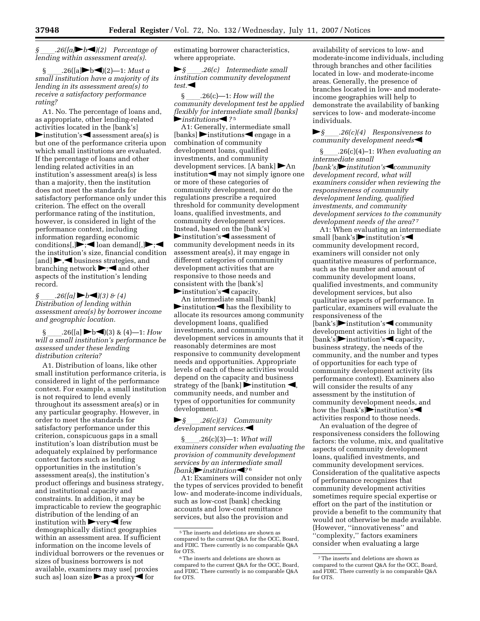*§ allz8*(*la***j→***b*<sup> $\triangle$ </sup>)(2) Percentage of *lending within assessment area(s).* 

§  $.26([a] \blacktriangleright b \blacktriangleleft)(2) - 1$ : *Must a small institution have a majority of its lending in its assessment area(s) to receive a satisfactory performance rating?* 

A1. No. The percentage of loans and, as appropriate, other lending-related activities located in the [bank's]  $\blacktriangleright$  institution's  $\blacktriangleleft$  assessment area(s) is but one of the performance criteria upon which small institutions are evaluated. If the percentage of loans and other lending related activities in an institution's assessment area(s) is less than a majority, then the institution does not meet the standards for satisfactory performance only under this criterion. The effect on the overall performance rating of the institution, however, is considered in light of the performance context, including information regarding economic conditions[, $\blacktriangleright$ ;  $\blacktriangleleft$  loan demand[, $\blacktriangleright$ ; the institution's size, financial condition  $[and] \rightarrow \rightarrow$  business strategies, and branching network  $\blacktriangleright$ ; and other aspects of the institution's lending record.

*§* \_\_\_\_.26([a] ▶b◀)(3) & (4)<br>Distribution of lending within *assessment area(s) by borrower income and geographic location.* 

 $.26([a] \rightarrow b \rightarrow (3) \& (4) \rightarrow -1$ : *How will a small institution's performance be assessed under these lending distribution criteria?* 

A1. Distribution of loans, like other small institution performance criteria, is considered in light of the performance context. For example, a small institution is not required to lend evenly throughout its assessment area(s) or in any particular geography. However, in order to meet the standards for satisfactory performance under this criterion, conspicuous gaps in a small institution's loan distribution must be adequately explained by performance context factors such as lending opportunities in the institution's assessment area(s), the institution's product offerings and business strategy, and institutional capacity and constraints. In addition, it may be impracticable to review the geographic distribution of the lending of an institution with  $\blacktriangleright$  very  $\blacktriangleleft$  few demographically distinct geographies within an assessment area. If sufficient information on the income levels of individual borrowers or the revenues or sizes of business borrowers is not available, examiners may use[ proxies such as] loan size  $\blacktriangleright$  as a proxy  $\blacktriangleleft$  for

estimating borrower characteristics, where appropriate.

►§ \_\_\_\_*.26(c)* Intermediate small *institution community development*  $test.$ 

§ ll.26(c)—1: *How will the community development test be applied flexibly for intermediate small [banks]*  **F**institutions<sup>1</sup>?<sup>5</sup>

A1: Generally, intermediate small  $[\text{banks}]$  institutions engage in a combination of community development loans, qualified investments, and community development services. [A bank]  $\blacktriangleright$  An institution  $\blacktriangle$  may not simply ignore one or more of these categories of community development, nor do the regulations prescribe a required threshold for community development loans, qualified investments, and community development services. Instead, based on the [bank's] institution's assessment of community development needs in its assessment area(s), it may engage in different categories of community development activities that are responsive to those needs and consistent with the [bank's]  $\blacktriangleright$  institution's  $\blacktriangleleft$  capacity.

An intermediate small [bank]  $\blacktriangleright$  institution $\blacktriangleleft$  has the flexibility to allocate its resources among community development loans, qualified investments, and community development services in amounts that it reasonably determines are most responsive to community development needs and opportunities. Appropriate levels of each of these activities would depend on the capacity and business strategy of the [bank]  $\triangleright$  institution  $\blacktriangleleft$ , community needs, and number and types of opportunities for community development.

#### fl*§*ll*.26(c)(3) Community*  development services.

§ll.26(c)(3)—1: *What will examiners consider when evaluating the provision of community development services by an intermediate small [bank]*i*nstitution*<sup>1</sup>?<sup>6</sup>

A1: Examiners will consider not only the types of services provided to benefit low- and moderate-income individuals, such as low-cost [bank] checking accounts and low-cost remittance services, but also the provision and

availability of services to low- and moderate-income individuals, including through branches and other facilities located in low- and moderate-income areas. Generally, the presence of branches located in low- and moderateincome geographies will help to demonstrate the availability of banking services to low- and moderate-income individuals.

#### fl*§*ll*.26(c)(4) Responsiveness to community development needs*

§ll.26(c)(4)–1: *When evaluating an intermediate small [bank's]institution'scommunity development record, what will examiners consider when reviewing the responsiveness of community development lending, qualified investments, and community development services to the community development needs of the area?* 7

A1: When evaluating an intermediate small [bank's]rinstitution's community development record, examiners will consider not only quantitative measures of performance, such as the number and amount of community development loans, qualified investments, and community development services, but also qualitative aspects of performance. In particular, examiners will evaluate the responsiveness of the [bank's]institution's community development activities in light of the  $[\text{bank's}]$ institution's capacity, business strategy, the needs of the community, and the number and types of opportunities for each type of community development activity (its performance context). Examiners also will consider the results of any assessment by the institution of community development needs, and how the [bank's] $\blacktriangleright$  institution's activities respond to those needs.

An evaluation of the degree of responsiveness considers the following factors: the volume, mix, and qualitative aspects of community development loans, qualified investments, and community development services. Consideration of the qualitative aspects of performance recognizes that community development activities sometimes require special expertise or effort on the part of the institution or provide a benefit to the community that would not otherwise be made available. (However, ''innovativeness'' and ''complexity,'' factors examiners consider when evaluating a large

<sup>5</sup>The inserts and deletions are shown as compared to the current Q&A for the OCC, Board, and FDIC. There currently is no comparable Q&A for OTS.

<sup>6</sup>The inserts and deletions are shown as compared to the current Q&A for the OCC, Board, and FDIC. There currently is no comparable Q&A for OTS.

<sup>7</sup>The inserts and deletions are shown as compared to the current Q&A for the OCC, Board, and FDIC. There currently is no comparable Q&A for OTS.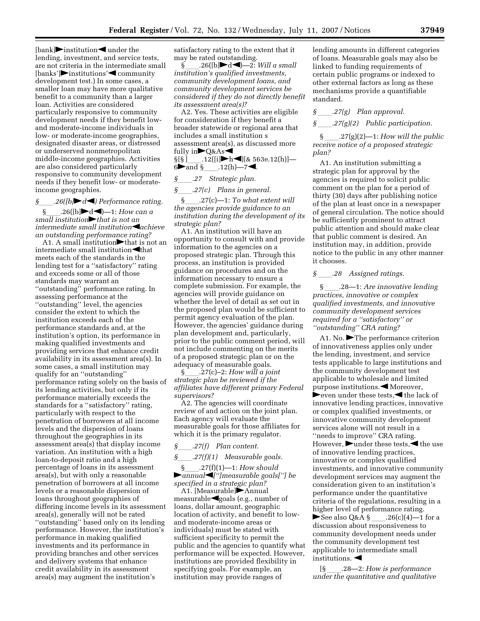$[bank]$  institution  $\triangleleft$  under the lending, investment, and service tests, are not criteria in the intermediate small [banks']institutions'<a>
community</a> development test.) In some cases, a smaller loan may have more qualitative benefit to a community than a larger loan. Activities are considered particularly responsive to community development needs if they benefit lowand moderate-income individuals in low- or moderate-income geographies, designated disaster areas, or distressed or underserved nonmetropolitan middle-income geographies. Activities are also considered particularly responsive to community development needs if they benefit low- or moderateincome geographies.

 $\S$ \_\_\_\_\_*.26([b]* $\blacktriangleright$ d $\blacktriangleleft$ *)* Performance rating.<br>
§ .26([b] $\blacktriangleright$ d $\blacktriangleleft$ *-*1: *How can a*  $.26([b] \blacktriangleright d \blacktriangleleft)$ —1: *How can a* 

*small institution* that *is not an intermediate small institution*<sup>d</sup>*achieve an outstanding performance rating?* 

A1. A small institution that is not an intermediate small institution $\blacktriangleleft$ that meets each of the standards in the lending test for a ''satisfactory'' rating and exceeds some or all of those standards may warrant an ''outstanding'' performance rating. In assessing performance at the ''outstanding'' level, the agencies consider the extent to which the institution exceeds each of the performance standards and, at the institution's option, its performance in making qualified investments and providing services that enhance credit availability in its assessment area(s). In some cases, a small institution may qualify for an ''outstanding'' performance rating solely on the basis of its lending activities, but only if its performance materially exceeds the standards for a ''satisfactory'' rating, particularly with respect to the penetration of borrowers at all income levels and the dispersion of loans throughout the geographies in its assessment area(s) that display income variation. An institution with a high loan-to-deposit ratio and a high percentage of loans in its assessment area(s), but with only a reasonable penetration of borrowers at all income levels or a reasonable dispersion of loans throughout geographies of differing income levels in its assessment area(s), generally will not be rated ''outstanding'' based only on its lending performance. However, the institution's performance in making qualified investments and its performance in providing branches and other services and delivery systems that enhance credit availability in its assessment area(s) may augment the institution's

satisfactory rating to the extent that it may be rated outstanding.

 $\widetilde{\S}$  .26([b] $\blacktriangleright$ d $\blacktriangleleft$ ]—2: *Will a small institution's qualified investments, community development loans, and community development services be considered if they do not directly benefit its assessment area(s)?* 

A2. Yes. These activities are eligible for consideration if they benefit a broader statewide or regional area that includes a small institution s assessment area(s), as discussed more fully in $\bigtriangledown$ 0&As $\triangleleft$ 

 $\S[\S]$  .12([i] $\blacktriangleright$ h (& 563e.12(h)] — 6iii and §<sub>ll</sub>.12(h)—7<sup>-1</sup>.<br>§ 27 Strategic plan.

### *§*ll*.27 Strategic plan.*

*§*ll*.27(c) Plans in general.*  §ll.27(c)—1: *To what extent will the agencies provide guidance to an institution during the development of its strategic plan?* 

A1. An institution will have an opportunity to consult with and provide information to the agencies on a proposed strategic plan. Through this process, an institution is provided guidance on procedures and on the information necessary to ensure a complete submission. For example, the agencies will provide guidance on whether the level of detail as set out in the proposed plan would be sufficient to permit agency evaluation of the plan. However, the agencies' guidance during plan development and, particularly, prior to the public comment period, will not include commenting on the merits of a proposed strategic plan or on the adequacy of measurable goals.

§ll.27(c)–2: *How will a joint strategic plan be reviewed if the affiliates have different primary Federal supervisors?* 

A2. The agencies will coordinate review of and action on the joint plan. Each agency will evaluate the measurable goals for those affiliates for which it is the primary regulator.

#### *§*ll*.27(f) Plan content.*

*§*ll*.27(f)(1) Measurable goals.* 

§ll.27(f)(1)—1: *How should*  fl*annual*fi*['']measurable goals[''] be specified in a strategic plan?* 

A1. [Measurable] $\blacktriangleright$ Annual measurable<br/>sigoals (e.g., number of loans, dollar amount, geographic location of activity, and benefit to lowand moderate-income areas or individuals) must be stated with sufficient specificity to permit the public and the agencies to quantify what performance will be expected. However, institutions are provided flexibility in specifying goals. For example, an institution may provide ranges of

lending amounts in different categories of loans. Measurable goals may also be linked to funding requirements of certain public programs or indexed to other external factors as long as these mechanisms provide a quantifiable standard.

### *§* \_\_\_\_.27(g) Plan approval.

#### *§* ll*.27(g)(2) Public participation.*

§ \_\_\_\_\_.27(g)(2)-1: *How will the public receive notice of a proposed strategic plan?* 

A1. An institution submitting a strategic plan for approval by the agencies is required to solicit public comment on the plan for a period of thirty (30) days after publishing notice of the plan at least once in a newspaper of general circulation. The notice should be sufficiently prominent to attract public attention and should make clear that public comment is desired. An institution may, in addition, provide notice to the public in any other manner it chooses.

#### *§* ll*.28 Assigned ratings.*

§ ll.28—1: *Are innovative lending practices, innovative or complex qualified investments, and innovative community development services required for a ''satisfactory'' or ''outstanding'' CRA rating?* 

A1. No.  $\blacktriangleright$  The performance criterion of innovativeness applies only under the lending, investment, and service tests applicable to large institutions and the community development test applicable to wholesale and limited purpose institutions.  $\blacktriangleleft$  Moreover, **Frauder** these tests, the lack of innovative lending practices, innovative or complex qualified investments, or innovative community development services alone will not result in a "needs to improve" CRA rating. However,  $\blacktriangleright$  under these tests,  $\blacktriangleleft$  the use of innovative lending practices, innovative or complex qualified investments, and innovative community development services may augment the consideration given to an institution's performance under the quantitative criteria of the regulations, resulting in a higher level of performance rating. See also Q&A  $\S$  \_\_\_\_\_.26(c)(4)—1 for a discussion about responsiveness to community development needs under the community development test applicable to intermediate small institutions.  $\blacktriangleleft$ 

[§ ll.28—2: *How is performance under the quantitative and qualitative*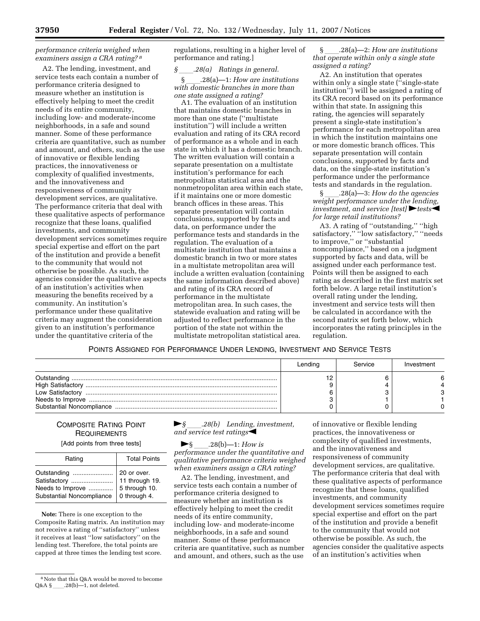#### *performance criteria weighed when examiners assign a CRA rating? 8*

A2. The lending, investment, and service tests each contain a number of performance criteria designed to measure whether an institution is effectively helping to meet the credit needs of its entire community, including low- and moderate-income neighborhoods, in a safe and sound manner. Some of these performance criteria are quantitative, such as number and amount, and others, such as the use of innovative or flexible lending practices, the innovativeness or complexity of qualified investments, and the innovativeness and responsiveness of community development services, are qualitative. The performance criteria that deal with these qualitative aspects of performance recognize that these loans, qualified investments, and community development services sometimes require special expertise and effort on the part of the institution and provide a benefit to the community that would not otherwise be possible. As such, the agencies consider the qualitative aspects of an institution's activities when measuring the benefits received by a community. An institution's performance under these qualitative criteria may augment the consideration given to an institution's performance under the quantitative criteria of the

regulations, resulting in a higher level of performance and rating.]

*§* 28(a) Ratings in general.<br>**§** 28(a)—1: How are institutions § ll.28(a)—1: *How are institutions with domestic branches in more than one state assigned a rating?* 

A1. The evaluation of an institution that maintains domestic branches in more than one state (''multistate institution'') will include a written evaluation and rating of its CRA record of performance as a whole and in each state in which it has a domestic branch. The written evaluation will contain a separate presentation on a multistate institution's performance for each metropolitan statistical area and the nonmetropolitan area within each state, if it maintains one or more domestic branch offices in these areas. This separate presentation will contain conclusions, supported by facts and data, on performance under the performance tests and standards in the regulation. The evaluation of a multistate institution that maintains a domestic branch in two or more states in a multistate metropolitan area will include a written evaluation (containing the same information described above) and rating of its CRA record of performance in the multistate metropolitan area. In such cases, the statewide evaluation and rating will be adjusted to reflect performance in the portion of the state not within the multistate metropolitan statistical area.

§ ll.28(a)—2: *How are institutions that operate within only a single state assigned a rating?* 

A2. An institution that operates within only a single state ("single-state" institution'') will be assigned a rating of its CRA record based on its performance within that state. In assigning this rating, the agencies will separately present a single-state institution's performance for each metropolitan area in which the institution maintains one or more domestic branch offices. This separate presentation will contain conclusions, supported by facts and data, on the single-state institution's performance under the performance tests and standards in the regulation.

§ ll.28(a)—3: *How do the agencies weight performance under the lending, investment, and service [test]* htests *for large retail institutions?* 

A3. A rating of ''outstanding,'' ''high satisfactory," "low satisfactory," "needs to improve,'' or ''substantial noncompliance,'' based on a judgment supported by facts and data, will be assigned under each performance test. Points will then be assigned to each rating as described in the first matrix set forth below. A large retail institution's overall rating under the lending, investment and service tests will then be calculated in accordance with the second matrix set forth below, which incorporates the rating principles in the regulation.

POINTS ASSIGNED FOR PERFORMANCE UNDER LENDING, INVESTMENT AND SERVICE TESTS

|                                 | Lending | Service | Investment |
|---------------------------------|---------|---------|------------|
| Outstanding<br>Low Satisfactory |         |         |            |

#### COMPOSITE RATING POINT **REQUIREMENTS**

[Add points from three tests]

| Rating                                                                                                      | <b>Total Points</b>          |
|-------------------------------------------------------------------------------------------------------------|------------------------------|
| Outstanding<br>Satisfactory  11 through 19.<br>Needs to Improve<br>Substantial Noncompliance   0 through 4. | 20 or over.<br>5 through 10. |

**Note:** There is one exception to the Composite Rating matrix. An institution may not receive a rating of ''satisfactory'' unless it receives at least ''low satisfactory'' on the lending test. Therefore, the total points are capped at three times the lending test score.

#### **►**§ 28(b) Lending, investment, and service test ratings

►§ \_\_\_\_.28(b)—1: *How is*<br>*performance under the quantitative and qualitative performance criteria weighed when examiners assign a CRA rating?* 

A2. The lending, investment, and service tests each contain a number of performance criteria designed to measure whether an institution is effectively helping to meet the credit needs of its entire community, including low- and moderate-income neighborhoods, in a safe and sound manner. Some of these performance criteria are quantitative, such as number and amount, and others, such as the use

of innovative or flexible lending practices, the innovativeness or complexity of qualified investments, and the innovativeness and responsiveness of community development services, are qualitative. The performance criteria that deal with these qualitative aspects of performance recognize that these loans, qualified investments, and community development services sometimes require special expertise and effort on the part of the institution and provide a benefit to the community that would not otherwise be possible. As such, the agencies consider the qualitative aspects of an institution's activities when

<sup>8</sup>Note that this Q&A would be moved to become  $Q&A\$ § .28(b)—1, not deleted.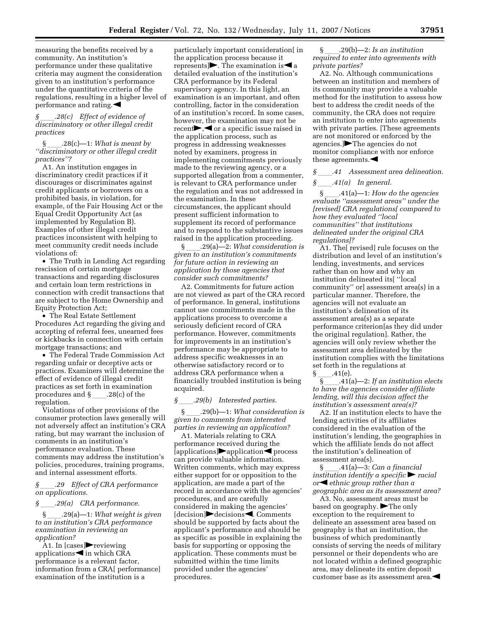measuring the benefits received by a community. An institution's performance under these qualitative criteria may augment the consideration given to an institution's performance under the quantitative criteria of the regulations, resulting in a higher level of performance and rating. $\blacktriangleleft$ 

*§* ll*.28(c) Effect of evidence of discriminatory or other illegal credit practices* 

§ ll.28(c)—1: *What is meant by ''discriminatory or other illegal credit practices''?* 

A1. An institution engages in discriminatory credit practices if it discourages or discriminates against credit applicants or borrowers on a prohibited basis, in violation, for example, of the Fair Housing Act or the Equal Credit Opportunity Act (as implemented by Regulation B). Examples of other illegal credit practices inconsistent with helping to meet community credit needs include violations of:

• The Truth in Lending Act regarding rescission of certain mortgage transactions and regarding disclosures and certain loan term restrictions in connection with credit transactions that are subject to the Home Ownership and Equity Protection Act;

• The Real Estate Settlement Procedures Act regarding the giving and accepting of referral fees, unearned fees or kickbacks in connection with certain mortgage transactions; and

• The Federal Trade Commission Act regarding unfair or deceptive acts or practices. Examiners will determine the effect of evidence of illegal credit practices as set forth in examination procedures and  $\S$  \_\_\_\_\_.28(c) of the regulation.

Violations of other provisions of the consumer protection laws generally will not adversely affect an institution's CRA rating, but may warrant the inclusion of comments in an institution's performance evaluation. These comments may address the institution's policies, procedures, training programs, and internal assessment efforts.

*§* ll*.29 Effect of CRA performance on applications.* 

*§* ll*.29(a) CRA performance.* 

§ ll.29(a)—1: *What weight is given to an institution's CRA performance examination in reviewing an application?* 

A1. In [cases]reviewing applications $\blacktriangleleft$  in which CRA performance is a relevant factor, information from a CRA[ performance] examination of the institution is a

particularly important consideration[ in the application process because it represents  $\triangleright$ . The examination is  $\triangleleft$  a detailed evaluation of the institution's CRA performance by its Federal supervisory agency. In this light, an examination is an important, and often controlling, factor in the consideration of an institution's record. In some cases, however, the examination may not be recent $\blacktriangleright, \blacktriangleleft$  or a specific issue raised in the application process, such as progress in addressing weaknesses noted by examiners, progress in implementing commitments previously made to the reviewing agency, or a supported allegation from a commenter, is relevant to CRA performance under the regulation and was not addressed in the examination. In these circumstances, the applicant should present sufficient information to supplement its record of performance and to respond to the substantive issues raised in the application proceeding.

§ \_\_\_\_\_.29(a)—2: *What consideration is given to an institution's commitments for future action in reviewing an application by those agencies that consider such commitments?* 

A2. Commitments for future action are not viewed as part of the CRA record of performance. In general, institutions cannot use commitments made in the applications process to overcome a seriously deficient record of CRA performance. However, commitments for improvements in an institution's performance may be appropriate to address specific weaknesses in an otherwise satisfactory record or to address CRA performance when a financially troubled institution is being acquired.

*g*(*b*) Interested parties.<br>
§ .29(b)—1: What conside

§ ll.29(b)—1: *What consideration is given to comments from interested parties in reviewing an application?* 

A1. Materials relating to CRA performance received during the  $[application]$  application  $q$  process can provide valuable information. Written comments, which may express either support for or opposition to the application, are made a part of the record in accordance with the agencies' procedures, and are carefully considered in making the agencies'  $[decision]$  decisions  $\blacktriangle$ . Comments should be supported by facts about the applicant's performance and should be as specific as possible in explaining the basis for supporting or opposing the application. These comments must be submitted within the time limits provided under the agencies' procedures.

§ ll.29(b)—2: *Is an institution required to enter into agreements with private parties?* 

A2. No. Although communications between an institution and members of its community may provide a valuable method for the institution to assess how best to address the credit needs of the community, the CRA does not require an institution to enter into agreements with private parties. [These agreements are not monitored or enforced by the agencies. $\blacktriangleright$ The agencies do not monitor compliance with nor enforce these agreements. $\blacktriangleleft$ 

*§* ll*.41 Assessment area delineation. §* ll*.41(a) In general.* 

§ ll.41(a)—1: *How do the agencies evaluate ''assessment areas'' under the [revised] CRA regulations[ compared to how they evaluated ''local communities'' that institutions delineated under the original CRA regulations]?* 

A1. The[ revised] rule focuses on the distribution and level of an institution's lending, investments, and services rather than on how and why an institution delineated its[ ''local community'' or] assessment area(s) in a particular manner. Therefore, the agencies will not evaluate an institution's delineation of its assessment area(s) as a separate performance criterion[as they did under the original regulation]. Rather, the agencies will only review whether the assessment area delineated by the institution complies with the limitations set forth in the regulations at

 $\frac{\S}{\S}$  -41(e). § ll.41(a)—2: *If an institution elects to have the agencies consider affiliate lending, will this decision affect the institution's assessment area(s)?* 

A2. If an institution elects to have the lending activities of its affiliates considered in the evaluation of the institution's lending, the geographies in which the affiliate lends do not affect the institution's delineation of assessment area(s).

§ ll.41(a)—3: *Can a financial institution identify a specific*  $\triangleright$  *racial or*fi *ethnic group rather than a geographic area as its assessment area?* 

A3. No, assessment areas must be based on geography.  $\blacktriangleright$  The only exception to the requirement to delineate an assessment area based on geography is that an institution, the business of which predominantly consists of serving the needs of military personnel or their dependents who are not located within a defined geographic area, may delineate its entire deposit customer base as its assessment area. $\blacktriangleleft$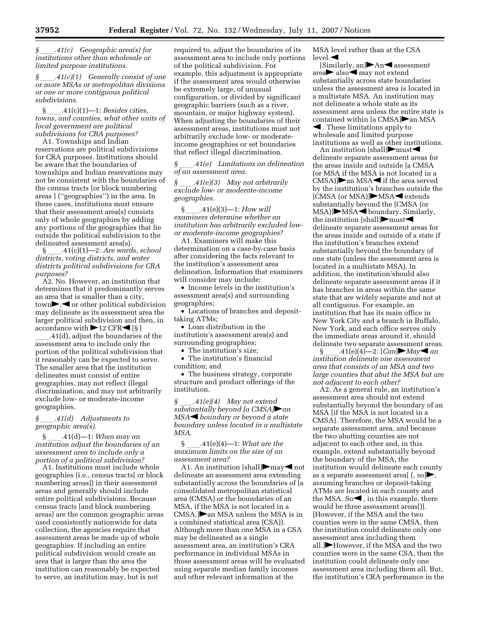*limited purpose institutions.* 

*§* ll*.41(c)(1) Generally consist of one or more MSAs or metropolitan divisions or one or more contiguous political subdivisions.* 

§ ll.41(c)(1)—1: *Besides cities, towns, and counties, what other units of local government are political subdivisions for CRA purposes?* 

A1. Townships and Indian reservations are political subdivisions for CRA purposes. Institutions should be aware that the boundaries of townships and Indian reservations may not be consistent with the boundaries of the census tracts [or block numbering areas ] (''geographies'') in the area. In these cases, institutions must ensure that their assessment area(s) consists only of whole geographies by adding any portions of the geographies that lie outside the political subdivision to the delineated assessment area(s).

§ ll.41(c)(1)—2: *Are wards, school districts, voting districts, and water districts political subdivisions for CRA purposes?* 

A2. No. However, an institution that determines that it predominantly serves an area that is smaller than a city,  $town$ ,  $\blacktriangleleft$  or other political subdivision may delineate as its assessment area the larger political subdivision and then, in accordance with  $\blacktriangleright$  12 CFR $\blacktriangleleft$  [§ ]

.41(d), adjust the boundaries of the assessment area to include only the portion of the political subdivision that it reasonably can be expected to serve. The smaller area that the institution delineates must consist of entire geographies, may not reflect illegal discrimination, and may not arbitrarily exclude low- or moderate-income geographies.

#### *§* ll*.41(d) Adjustments to geographic area(s).*

§ ll.41(d)—1: *When may an institution adjust the boundaries of an assessment area to include only a portion of a political subdivision?* 

A1. Institutions must include whole geographies (i.e., census tracts[ or block numbering areas]) in their assessment areas and generally should include entire political subdivisions. Because census tracts [and block numbering areas] are the common geographic areas used consistently nationwide for data collection, the agencies require that assessment areas be made up of whole geographies. If including an entire political subdivision would create an area that is larger than the area the institution can reasonably be expected to serve, an institution may, but is not

required to, adjust the boundaries of its assessment area to include only portions of the political subdivision. For example, this adjustment is appropriate if the assessment area would otherwise be extremely large, of unusual configuration, or divided by significant geographic barriers (such as a river, mountain, or major highway system). When adjusting the boundaries of their assessment areas, institutions must not arbitrarily exclude low- or moderateincome geographies or set boundaries that reflect illegal discrimination.

*§* ll*.41(e) Limitations on delineation of an assessment area.* 

*§* ll*.41(e)(3) May not arbitrarily exclude low- or moderate-income geographies.* 

§ ll.41(e)(3)—1: *How will examiners determine whether an institution has arbitrarily excluded lowor moderate-income geographies?* 

A1. Examiners will make this determination on a case-by-case basis after considering the facts relevant to the institution's assessment area delineation. Information that examiners will consider may include:

• Income levels in the institution's assessment area(s) and surrounding geographies;

• Locations of branches and deposittaking ATMs;

• Loan distribution in the institution's assessment area(s) and surrounding geographies;

• The institution's size;

• The institution's financial condition; and

• The business strategy, corporate structure and product offerings of the institution.

*§* \_\_\_\_.41(e)(4) May not extend<br>substantially beyond [a CMSA]▶an *MSA*<sup> $\triangle$  *boundary or beyond a state*</sup> *boundary unless located in a multistate MSA.* 

§ ll.41(e)(4)—1: *What are the maximum limits on the size of an assessment area?* 

A1. An institution [shall] $\blacktriangleright$ may $\blacktriangleleft$  not delineate an assessment area extending substantially across the boundaries of [a consolidated metropolitan statistical area (CMSA) or the boundaries of an MSA, if the MSA is not located in a  $CMSA.$   $\triangleright$  an MSA unless the MSA is in a combined statistical area (CSA)). Although more than one MSA in a CSA may be delineated as a single assessment area, an institution's CRA performance in individual MSAs in those assessment areas will be evaluated using separate median family incomes and other relevant information at the

MSA level rather than at the CSA  $level.$ 

[Similarly, an] $\blacktriangleright$ An $\blacktriangleleft$  assessment  $area$  also  $\blacktriangleleft$  may not extend substantially across state boundaries unless the assessment area is located in a multistate MSA. An institution may not delineate a whole state as its assessment area unless the entire state is contained within [a CMSA] $\blacktriangleright$  an MSA  $\blacktriangleleft$  . These limitations apply to

wholesale and limited purpose institutions as well as other institutions.

An institution [shall] $\blacktriangleright$ must $\blacktriangleleft$ delineate separate assessment areas for the areas inside and outside [a CMSA (or MSA if the MSA is not located in a  $CMSA$ ] $\triangleright$  an MSA $\triangleleft$  if the area served by the institution's branches outside the  $[CMSA (or MSA)]$ MSA $\blacktriangleleft$  extends substantially beyond the [CMSA (or  $MSA$ ) $MSA$  boundary. Similarly, the institution [shall] $\blacktriangleright$ must $\blacktriangleleft$ delineate separate assessment areas for the areas inside and outside of a state if the institution's branches extend substantially beyond the boundary of one state (unless the assessment area is located in a multistate MSA). In addition, the institution'should also delineate separate assessment areas if it has branches in areas within the same state that are widely separate and not at all contiguous. For example, an institution that has its main office in New York City and a branch in Buffalo, New York, and each office serves only the immediate areas around it, should delineate two separate assessment areas.

§  $.41(e)(4)$ —2:  $[Can]$ **May**<sup>*a*</sup> *an institution delineate one assessment area that consists of an MSA and two large counties that abut the MSA but are not adjacent to each other?* 

A2. As a general rule, an institution's assessment area should not extend substantially beyond the boundary of an MSA [if the MSA is not located in a CMSA]. Therefore, the MSA would be a separate assessment area, and because the two abutting counties are not adjacent to each other and, in this example, extend substantially beyond the boundary of the MSA, the institution would delineate each county as a separate assessment area[ $($ , so], assuming branches or deposit-taking ATMs are located in each county and the MSA. So $\blacktriangleleft$ , in this example, there would be three assessment areas[)]. [However, if the MSA and the two counties were in the same CMSA, then the institution could delineate only one assessment area including them all.  $\blacktriangleright$  However, if the MSA and the two counties were in the same CSA, then the institution could delineate only one assessment area including them all. But, the institution's CRA performance in the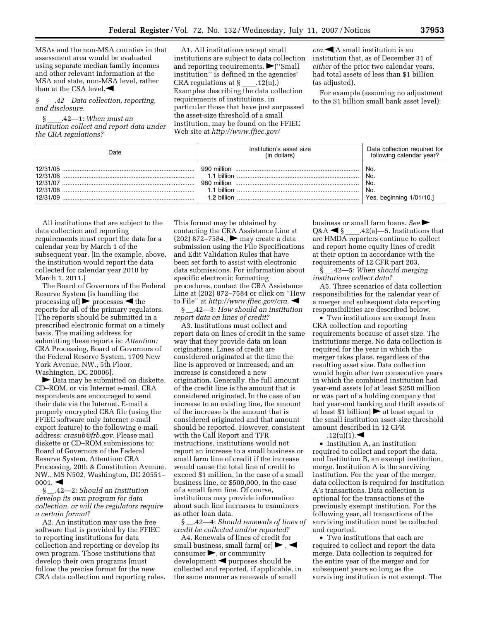MSAs and the non-MSA counties in that assessment area would be evaluated using separate median family incomes and other relevant information at the MSA and state, non-MSA level, rather than at the CSA level. $\blacktriangleleft$ 

*§* ll*.42 Data collection, reporting, and disclosure.* 

§ ll.42—1: *When must an institution collect and report data under the CRA regulations?* 

A1. All institutions except small institutions are subject to data collection and reporting requirements.  $\blacktriangleright$  ("Small institution'' is defined in the agencies'<br>CRA regulations at  $\S$  .12(u).) CRA regulations at § \_\_\_\_.12(u).)<br>Examples describing the data collection requirements of institutions, in particular those that have just surpassed the asset-size threshold of a small institution, may be found on the FFIEC Web site at *http://www.ffiec.gov/* 

 $cra.$ **I**A small institution is an institution that, as of December 31 of *either* of the prior two calendar years, had total assets of less than \$1 billion (as adjusted).

For example (assuming no adjustment to the \$1 billion small bank asset level):

| Date                             | Institution's asset size<br>(in dollars) | Data collection required for<br>following calendar year? |
|----------------------------------|------------------------------------------|----------------------------------------------------------|
| 12/31/05<br>12/31/06<br>12/31/09 | 1.1 billion                              | No.<br>No.<br>No.<br>No.<br>Yes, beginning 1/01/10.]     |

All institutions that are subject to the data collection and reporting requirements must report the data for a calendar year by March 1 of the subsequent year. [In the example, above, the institution would report the data collected for calendar year 2010 by March 1, 2011.]

The Board of Governors of the Federal Reserve System [is handling the processing of  $\triangleright$  processes  $\triangleleft$  the reports for all of the primary regulators. [The reports should be submitted in a prescribed electronic format on a timely basis. The mailing address for submitting these reports is: *Attention:*  CRA Processing, Board of Governors of the Federal Reserve System, 1709 New York Avenue, NW., 5th Floor, Washington, DC 20006].

 $\blacktriangleright$  Data may be submitted on diskette, CD–ROM, or via Internet e-mail. CRA respondents are encouraged to send their data via the Internet. E-mail a properly encrypted CRA file (using the FFIEC software only Internet e-mail export feature) to the following e-mail address: *crasub@frb.gov.* Please mail diskette or CD–ROM submissions to: Board of Governors of the Federal Reserve System, Attention: CRA Processing, 20th & Constitution Avenue, NW., MS N502, Washington, DC 20551–  $0001.$ 

§ \_\_.42—2: *Should an institution develop its own program for data collection, or will the regulators require a certain format?* 

A2. An institution may use the free software that is provided by the FFIEC to reporting institutions for data collection and reporting or develop its own program. Those institutions that develop their own programs [must follow the precise format for the new CRA data collection and reporting rules. This format may be obtained by contacting the CRA Assistance Line at (202) 872-7584.]  $\blacktriangleright$  may create a data submission using the File Specifications and Edit Validation Rules that have been set forth to assist with electronic data submissions. For information about specific electronic formatting procedures, contact the CRA Assistance Line at (202) 872–7584 or click on ''How to File'' at *http://www.ffiec.gov/cra.* fi

§ \_\_.42—3: *How should an institution report data on lines of credit?* 

A3. Institutions must collect and report data on lines of credit in the same way that they provide data on loan originations. Lines of credit are considered originated at the time the line is approved or increased; and an increase is considered a new origination. Generally, the full amount of the credit line is the amount that is considered originated. In the case of an increase to an existing line, the amount of the increase is the amount that is considered originated and that amount should be reported. However, consistent with the Call Report and TFR instructions, institutions would not report an increase to a small business or small farm line of credit if the increase would cause the total line of credit to exceed \$1 million, in the case of a small business line, or \$500,000, in the case of a small farm line. Of course, institutions may provide information about such line increases to examiners as other loan data.

§ \_\_.42—4: *Should renewals of lines of credit be collected and/or reported?* 

A4. Renewals of lines of credit for small business, small farm  $\sigma$   $\blacktriangleright$  ,  $\blacktriangleleft$  $\cos$ consumer $\rightarrow$ , or community  $development$   $\blacktriangleleft$  purposes should be collected and reported, if applicable, in the same manner as renewals of small

business or small farm loans. *See*  $Q$ &A  $\blacktriangleleft$  § .42(a)—5. Institutions  $Q$ &A  $\blacktriangleleft$  § \_\_\_\_.42(a)—5. Institutions that<br>are HMDA reporters continue to collect and report home equity lines of credit at their option in accordance with the requirements of 12 CFR part 203.

§ \_\_.42—5: *When should merging institutions collect data?* 

A5. Three scenarios of data collection responsibilities for the calendar year of a merger and subsequent data reporting responsibilities are described below.

• Two institutions are exempt from CRA collection and reporting requirements because of asset size. The institutions merge. No data collection is required for the year in which the merger takes place, regardless of the resulting asset size. Data collection would begin after two consecutive years in which the combined institution had year-end assets [of at least \$250 million or was part of a holding company that had year-end banking and thrift assets of at least \$1 billion]  $\blacktriangleright$  at least equal to the small institution asset-size threshold amount described in 12 CFR

 $\begin{array}{c}\n\ldots.12(u)(1).\n\end{array}$  Institution A, an institution required to collect and report the data, and Institution B, an exempt institution, merge. Institution A is the surviving institution. For the year of the merger, data collection is required for Institution A's transactions. Data collection is optional for the transactions of the previously exempt institution. For the following year, all transactions of the surviving institution must be collected and reported.

• Two institutions that each are required to collect and report the data merge. Data collection is required for the entire year of the merger and for subsequent years so long as the surviving institution is not exempt. The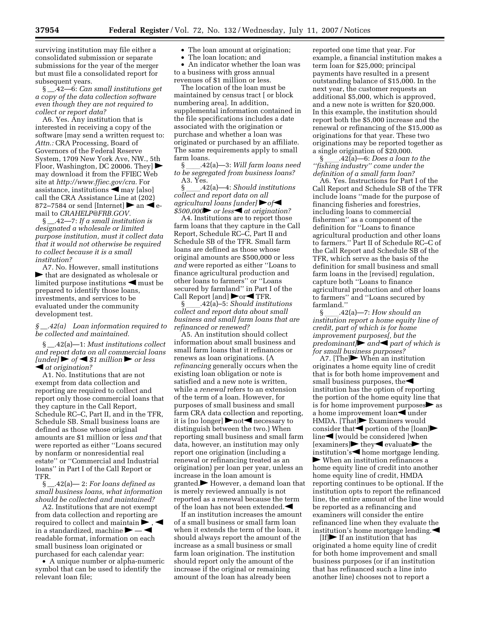surviving institution may file either a consolidated submission or separate submissions for the year of the merger but must file a consolidated report for subsequent years.

§ \_\_.42—6: *Can small institutions get a copy of the data collection software even though they are not required to collect or report data?* 

A6. Yes. Any institution that is interested in receiving a copy of the software [may send a written request to: *Attn.:* CRA Processing, Board of Governors of the Federal Reserve System, 1709 New York Ave, NW., 5th Floor, Washington, DC 20006. They] $\blacktriangleright$ may download it from the FFIEC Web site at *http://www.ffiec.gov/cra.* For assistance, institutions  $\blacktriangleleft$  may [also] call the CRA Assistance Line at (202) 872–7584 or send [Internet]  $\blacktriangleright$  an  $\blacktriangleleft$  email to *CRAHELP@FRB.GOV.* 

§ \_\_.42—7: *If a small institution is designated a wholesale or limited purpose institution, must it collect data that it would not otherwise be required to collect because it is a small institution?* 

A7. No. However, small institutions  $\blacktriangleright$  that are designated as wholesale or limited purpose institutions  $\blacktriangleleft$  must be prepared to identify those loans, investments, and services to be evaluated under the community development test.

#### *§* \_\_*.42(a) Loan information required to be collected and maintained.*

§ \_\_.42(a)—1: *Must institutions collect and report data on all commercial loans*   $[under] \rightarrow \text{of} \rightarrow \text{$1 million} \rightarrow \text{or } \text{less}$ fi *at origination?* 

A1. No. Institutions that are not exempt from data collection and reporting are required to collect and report only those commercial loans that they capture in the Call Report, Schedule RC–C, Part II, and in the TFR, Schedule SB. Small business loans are defined as those whose original amounts are \$1 million or less *and* that were reported as either ''Loans secured by nonfarm or nonresidential real estate'' or ''Commercial and Industrial loans'' in Part I of the Call Report or TFR.

§ \_\_.42(a)— 2: *For loans defined as small business loans, what information should be collected and maintained?* 

A2. Institutions that are not exempt from data collection and reporting are required to collect and maintain  $\blacktriangleright$ in a standardized, machine  $\blacktriangleright$   $\blacktriangleleft$ readable format, information on each small business loan originated or purchased for each calendar year:

• A unique number or alpha-numeric symbol that can be used to identify the relevant loan file;

- The loan amount at origination;
- The loan location; and

• An indicator whether the loan was to a business with gross annual revenues of \$1 million or less.

The location of the loan must be maintained by census tract [ or block numbering area]. In addition, supplemental information contained in the file specifications includes a date associated with the origination or purchase and whether a loan was originated or purchased by an affiliate. The same requirements apply to small farm loans.

§ ll.42(a)—3: *Will farm loans need to be segregated from business loans?*  A3. Yes.

§ ll.42(a)—4: *Should institutions collect and report data on all agricultural loans [under]*  $\rightarrow$  of  $$500,000$  or less<sup>d</sup> at origination?

A4. Institutions are to report those farm loans that they capture in the Call Report, Schedule RC–C, Part II and Schedule SB of the TFR. Small farm loans are defined as those whose original amounts are \$500,000 or less *and* were reported as either ''Loans to finance agricultural production and other loans to farmers'' or ''Loans secured by farmland'' in Part I of the Call Report [and]  $\blacktriangleright$  or  $\blacktriangleleft$  TFR.

§ ll.42(a)–5: *Should institutions collect and report data about small business and small farm loans that are refinanced or renewed?* 

A5. An institution should collect information about small business and small farm loans that it refinances or renews as loan originations. (A *refinancing* generally occurs when the existing loan obligation or note is satisfied and a new note is written, while a *renewal* refers to an extension of the term of a loan. However, for purposes of small business and small farm CRA data collection and reporting, it is [no longer]  $\triangleright$  not  $\triangle$  necessary to distinguish between the two.) When reporting small business and small farm data, however, an institution may only report one origination (including a renewal or refinancing treated as an origination) per loan per year, unless an increase in the loan amount is  $granted.$  However, a demand loan that is merely reviewed annually is not reported as a renewal because the term of the loan has not been extended. $\blacktriangleleft$ 

If an institution increases the amount of a small business or small farm loan when it extends the term of the loan, it should always report the amount of the increase as a small business or small farm loan origination. The institution should report only the amount of the increase if the original or remaining amount of the loan has already been

reported one time that year. For example, a financial institution makes a term loan for \$25,000; principal payments have resulted in a present outstanding balance of \$15,000. In the next year, the customer requests an additional \$5,000, which is approved, and a new note is written for \$20,000. In this example, the institution should report both the \$5,000 increase and the renewal or refinancing of the \$15,000 as originations for that year. These two originations may be reported together as a single origination of \$20,000.

§ ll.42(a)—6: *Does a loan to the ''fishing industry'' come under the definition of a small farm loan?* 

A6. Yes. Instructions for Part I of the Call Report and Schedule SB of the TFR include loans ''made for the purpose of financing fisheries and forestries, including loans to commercial fishermen'' as a component of the definition for ''Loans to finance agricultural production and other loans to farmers.'' Part II of Schedule RC–C of the Call Report and Schedule SB of the TFR, which serve as the basis of the definition for small business and small farm loans in the [revised] regulation, capture both ''Loans to finance agricultural production and other loans to farmers'' and ''Loans secured by farmland.''

§ ll.42(a)—7: *How should an institution report a home equity line of credit, part of which is for home improvement purposes[, but the predominant* $\rho$  *and part of which is for small business purposes?* 

A7. [The] $\blacktriangleright$  When an institution originates a home equity line of credit that is for both home improvement and small business purposes, the $\blacktriangleleft$ institution has the option of reporting the portion of the home equity line that is for home improvement purposes  $\triangleright$  as a home improvement loan<br/><br> $\blacksquare$ under HMDA. [That] $\blacktriangleright$  Examiners would consider that  $\blacktriangle$  portion of the [loan]  $line$ [would be considered ]when  $[examples]$  they evaluate the institution's  $\blacktriangleleft$  home mortgage lending.  $\blacktriangleright$  When an institution refinances a home equity line of credit into another home equity line of credit, HMDA reporting continues to be optional. If the institution opts to report the refinanced line, the entire amount of the line would be reported as a refinancing and examiners will consider the entire refinanced line when they evaluate the institution's home mortgage lending. $\blacktriangleleft$ 

 $[If]$  If an institution that has originated a home equity line of credit for both home improvement and small business purposes (or if an institution that has refinanced such a line into another line) chooses not to report a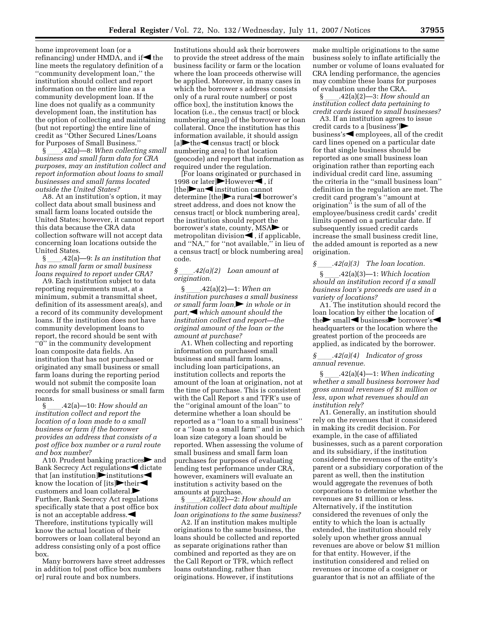home improvement loan (or a refinancing) under HMDA, and if  $\blacktriangleleft$  the line meets the regulatory definition of a ''community development loan,'' the institution should collect and report information on the entire line as a community development loan. If the line does not qualify as a community development loan, the institution has the option of collecting and maintaining (but not reporting) the entire line of credit as ''Other Secured Lines/Loans for Purposes of Small Business.''

§  $.42(a)$ —8: *When collecting small business and small farm data for CRA purposes, may an institution collect and report information about loans to small businesses and small farms located outside the United States?* 

A8. At an institution's option, it may collect data about small business and small farm loans located outside the United States; however, it cannot report this data because the CRA data collection software will not accept data concerning loan locations outside the United States.

§ ll.42(a)—9: *Is an institution that has no small farm or small business loans required to report under CRA?* 

A9. Each institution subject to data reporting requirements must, at a minimum, submit a transmittal sheet, definition of its assessment area(s), and a record of its community development loans. If the institution does not have community development loans to report, the record should be sent with ''0'' in the community development loan composite data fields. An institution that has not purchased or originated any small business or small farm loans during the reporting period would not submit the composite loan records for small business or small farm loans.

§ ll.42(a)—10: *How should an institution collect and report the location of a loan made to a small business or farm if the borrower provides an address that consists of a post office box number or a rural route and box number?* 

A10. Prudent banking practices and Bank Secrecy Act regulations  $\blacktriangleleft$  dictate that [an institution] $\triangleright$  institutions know the location of [its] $\blacktriangleright$ their $\blacktriangleleft$ customers and loan collateral. Further, Bank Secrecy Act regulations specifically state that a post office box is not an acceptable address. $\blacktriangleleft$ Therefore, institutions typically will know the actual location of their borrowers or loan collateral beyond an address consisting only of a post office box.

Many borrowers have street addresses in addition to[ post office box numbers or] rural route and box numbers.

Institutions should ask their borrowers to provide the street address of the main business facility or farm or the location where the loan proceeds otherwise will be applied. Moreover, in many cases in which the borrower s address consists only of a rural route number[ or post office box], the institution knows the location (i.e., the census tract[ or block numbering area]) of the borrower or loan collateral. Once the institution has this information available, it should assign  $[a]$  the census tract [ or block numbering area] to that location (geocode) and report that information as required under the regulation.

[For loans originated or purchased in 1998 or later  $\blacktriangleright$  However $\blacktriangleleft$ , if  $[the]$  an institution cannot determine  $[the]$ a rural  $\blacktriangleleft$  borrower's street address, and does not know the census tract[ or block numbering area], the institution should report the borrower's state, county, MSA $\blacktriangleright$  or metropolitan division $\blacktriangleleft$ , if applicable, and ''NA,'' for ''not available,'' in lieu of a census tract[ or block numbering area] code.

#### *§* ll*.42(a)(2) Loan amount at origination.*

§ ll.42(a)(2)—1: *When an institution purchases a small business or small farm loan*, *in whole or in part*, which amount should the *institution collect and report—the original amount of the loan or the amount at purchase?* 

A1. When collecting and reporting information on purchased small business and small farm loans, including loan participations, an institution collects and reports the amount of the loan at origination, not at the time of purchase. This is consistent with the Call Report s and TFR's use of the ''original amount of the loan'' to determine whether a loan should be reported as a ''loan to a small business'' or a ''loan to a small farm'' and in which loan size category a loan should be reported. When assessing the volume of small business and small farm loan purchases for purposes of evaluating lending test performance under CRA, however, examiners will evaluate an institution s activity based on the amounts at purchase.

 $\S$  .42(a)(2)—2: *How should an institution collect data about multiple loan originations to the same business?* 

A2. If an institution makes multiple originations to the same business, the loans should be collected and reported as separate originations rather than combined and reported as they are on the Call Report or TFR, which reflect loans outstanding, rather than originations. However, if institutions

make multiple originations to the same business solely to inflate artificially the number or volume of loans evaluated for CRA lending performance, the agencies may combine these loans for purposes of evaluation under the CRA.

§ ll.42(a)(2)—3: *How should an institution collect data pertaining to credit cards issued to small businesses?* 

A3. If an institution agrees to issue credit cards to a [business'] $\blacktriangleright$ business's $\blacktriangleleft$  employees, all of the credit card lines opened on a particular date for that single business should be reported as one small business loan origination rather than reporting each individual credit card line, assuming the criteria in the ''small business loan'' definition in the regulation are met. The credit card program's ''amount at origination'' is the sum of all of the employee/business credit cards' credit limits opened on a particular date. If subsequently issued credit cards increase the small business credit line, the added amount is reported as a new origination.

#### *§* ll*.42(a)(3) The loan location.*

§ ll.42(a)(3)—1: *Which location should an institution record if a small business loan's proceeds are used in a variety of locations?* 

A1. The institution should record the loan location by either the location of the  $\blacktriangleright$  small  $\blacktriangleleft$  business $\blacktriangleright$  borrower's  $\blacktriangleleft$ headquarters or the location where the greatest portion of the proceeds are applied, as indicated by the borrower.

#### *§* ll*.42(a)(4) Indicator of gross annual revenue.*

§ ll.42(a)(4)—1: *When indicating whether a small business borrower had gross annual revenues of \$1 million or less, upon what revenues should an institution rely?* 

A1. Generally, an institution should rely on the revenues that it considered in making its credit decision. For example, in the case of affiliated businesses, such as a parent corporation and its subsidiary, if the institution considered the revenues of the entity's parent or a subsidiary corporation of the parent as well, then the institution would aggregate the revenues of both corporations to determine whether the revenues are \$1 million or less. Alternatively, if the institution considered the revenues of only the entity to which the loan is actually extended, the institution should rely solely upon whether gross annual revenues are above or below \$1 million for that entity. However, if the institution considered and relied on revenues or income of a cosigner or guarantor that is not an affiliate of the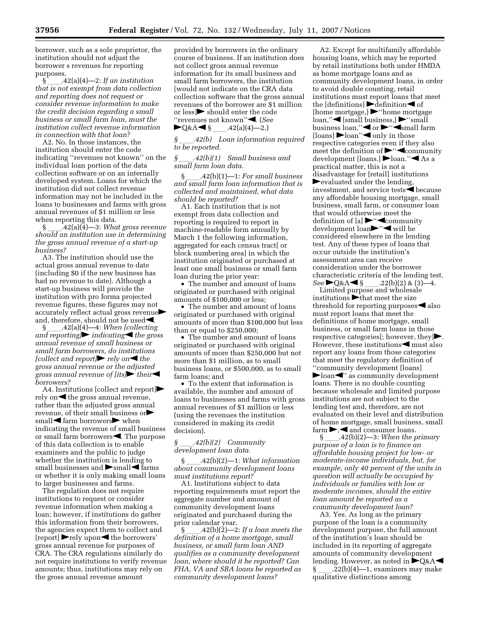borrower, such as a sole proprietor, the institution should not adjust the borrower s revenues for reporting purposes.<br>§  $.42(a)(4)$ —2: If an institution

§ ll.42(a)(4)—2: *If an institution that is not exempt from data collection and reporting does not request or consider revenue information to make the credit decision regarding a small business or small farm loan, must the institution collect revenue information in connection with that loan?* 

A2. No. In those instances, the institution should enter the code indicating ''revenues not known'' on the individual loan portion of the data collection software or on an internally developed system. Loans for which the institution did not collect revenue information may not be included in the loans to businesses and farms with gross annual revenues of \$1 million or less when reporting this data.

§ ll.42(a)(4)—3: *What gross revenue should an institution use in determining the gross annual revenue of a start-up business?* 

A3. The institution should use the actual gross annual revenue to date (including \$0 if the new business has had no revenue to date). Although a start-up business will provide the institution with pro forma projected revenue figures, these figures may not  $\alpha$  accurately reflect actual gross revenue and, therefore, should not be usedfi.

§ \_\_\_\_.42(a)(4)—4: *When [collecting*<br>and reporting**|▶** indicating◀ the gross *annual revenue of small business or small farm borrowers, do institutions [collect and report]* rely on the *gross annual revenue or the adjusted gross annual revenue of [its]their borrowers?* 

A4. Institutions [collect and report] $\blacktriangleright$ rely on  $\blacktriangleleft$  the gross annual revenue, rather than the adjusted gross annual revenue, of their small business or $\blacktriangleright$  $small$  farm borrowers $\blacktriangleright$  when indicating the revenue of small business or small farm borrowers $\blacktriangle$ . The purpose of this data collection is to enable examiners and the public to judge whether the institution is lending to small businesses and  $\blacktriangleright$ small $\blacktriangleleft$  farms or whether it is only making small loans to larger businesses and farms.

The regulation does not require institutions to request or consider revenue information when making a loan; however, if institutions do gather this information from their borrowers, the agencies expect them to collect and  $[report]$  rely upon the borrowers' gross annual revenue for purposes of CRA. The CRA regulations similarly do not require institutions to verify revenue amounts; thus, institutions may rely on the gross annual revenue amount

provided by borrowers in the ordinary course of business. If an institution does not collect gross annual revenue information for its small business and small farm borrowers, the institution [would not indicate on the CRA data collection software that the gross annual revenues of the borrower are \$1 million or less] should enter the code ''revenues not known''fi. (*See* 

 $\bigotimes_{\S} A \bigotimes_{A_2(b)} 42(a)(4) - 2.$ <br>\table 6 \table 6 \table 6.42(b) Loan information *§* ll*.42(b) Loan information required to be reported.* 

#### *§* ll*.42(b)(1) Small business and small farm loan data.*

§ ll.42(b)(1)—1: *For small business and small farm loan information that is collected and maintained, what data should be reported?* 

A1. Each institution that is not exempt from data collection and reporting is required to report in machine-readable form annually by March 1 the following information, aggregated for each census tract[ or block numbering area] in which the institution originated or purchased at least one small business or small farm loan during the prior year:

• The number and amount of loans originated or purchased with original amounts of \$100,000 or less;

• The number and amount of loans originated or purchased with original amounts of more than \$100,000 but less than or equal to \$250,000;

• The number and amount of loans originated or purchased with original amounts of more than \$250,000 but not more than \$1 million, as to small business loans, or \$500,000, as to small farm loans; and

• To the extent that information is available, the number and amount of loans to businesses and farms with gross annual revenues of \$1 million or less (using the revenues the institution considered in making its credit decision).

#### *§* ll*.42(b)(2) Community development loan data.*

§ ll.42(b)(2)—1: *What information about community development loans must institutions report?* 

A1. Institutions subject to data reporting requirements must report the aggregate number and amount of community development loans originated and purchased during the prior calendar year.

§  $\_\_42(b)(2)-2$ : *If a loan meets the definition of a home mortgage, small business, or small farm loan AND qualifies as a community development loan, where should it be reported? Can FHA, VA and SBA loans be reported as community development loans?* 

A2. Except for multifamily affordable housing loans, which may be reported by retail institutions both under HMDA as home mortgage loans and as community development loans, in order to avoid double counting, retail institutions must report loans that meet the  $\det$  definitions  $\det$  definition  $\det$  of [home mortgage,]  $\blacktriangleright$ "home mortgage loan,"<ligibusiness,] \"small" business loan," $\blacktriangleleft$  or  $\blacktriangleright$ " $\blacktriangleleft$ small farm [loans]  $\blacktriangleright$  loan"  $\blacktriangleleft$  only in those respective categories even if they also meet the definition of  $\blacktriangleright$ " $\blacktriangleleft$ community development [loans.] bloan." As a practical matter, this is not a disadvantage for [retail] institutions  $\blacktriangleright$  evaluated under the lending, investment, and service tests<br>solutions because any affordable housing mortgage, small business, small farm, or consumer loan that would otherwise meet the definition of [a]  $\blacktriangleright$ " $\blacktriangleleft$ community development loanfl''fi will be considered elsewhere in the lending test. Any of these types of loans that occur outside the institution's assessment area can receive consideration under the borrower characteristic criteria of the lending test.<br>See  $\bigcup \& A \leq \S$  .22(b)(2) & (3)—4.

*See* ►Q&A ≤ § \_\_\_\_.22(b)(2) & (3)—4.<br>Limited purpose and wholesale institutions  $\blacktriangleright$  that meet the size threshold for reporting purposes  $\blacktriangleleft$  also must report loans that meet the definitions of home mortgage, small business, or small farm loans in those respective categories[; however, they $\blacktriangleright$ However, these institutions  $\blacktriangleleft$  must also report any loans from those categories that meet the regulatory definition of ''community development [loans]  $\blacktriangleright$  loan $\blacktriangleleft$ " as community development loans. There is no double counting because wholesale and limited purpose institutions are not subject to the lending test and, therefore, are not evaluated on their level and distribution of home mortgage, small business, small farm  $\rightarrow$ , and consumer loans.<br>§ \_\_\_\_.42(b)(2)—3: When the p

§ ll.42(b)(2)—3: *When the primary purpose of a loan is to finance an affordable housing project for low- or moderate-income individuals, but, for example, only 40 percent of the units in question will actually be occupied by individuals or families with low or moderate incomes, should the entire loan amount be reported as a community development loan?* 

A3. Yes. As long as the primary purpose of the loan is a community development purpose, the full amount of the institution's loan should be included in its reporting of aggregate amounts of community development lending. However, as noted in  $\bigtriangledown$ Q&A $\blacktriangleleft$  $\Omega(22(b)(4)$ —1, examiners may make qualitative distinctions among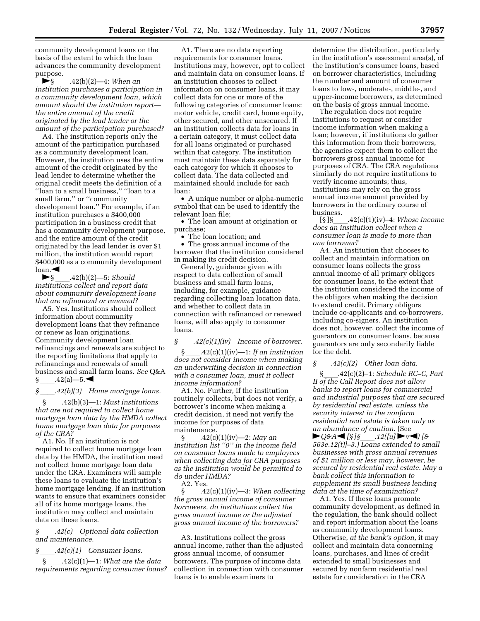community development loans on the basis of the extent to which the loan advances the community development purpose.

fl§ ll.42(b)(2)—4: *When an institution purchases a participation in a community development loan, which amount should the institution report the entire amount of the credit originated by the lead lender or the amount of the participation purchased?* 

A4. The institution reports only the amount of the participation purchased as a community development loan. However, the institution uses the entire amount of the credit originated by the lead lender to determine whether the original credit meets the definition of a ''loan to a small business,'' ''loan to a small farm,'' or ''community development loan.'' For example, if an institution purchases a \$400,000 participation in a business credit that has a community development purpose, and the entire amount of the credit originated by the lead lender is over \$1 million, the institution would report \$400,000 as a community development  $\log$ <sub>10</sub>an. $\blacktriangleleft$ 

fl§ ll.42(b)(2)—5: *Should institutions collect and report data about community development loans that are refinanced or renewed?* 

A5. Yes. Institutions should collect information about community development loans that they refinance or renew as loan originations. Community development loan refinancings and renewals are subject to the reporting limitations that apply to refinancings and renewals of small business and small farm loans. *See* Q&A

## $\begin{array}{ll} \S & .42(a) - 5. \blacktriangleleft \\ S & .42(b)(3) & H \end{array}$ *A2(b)(3)* Home mortgage loans.<br>§ .42(b)(3)—1: Must institutions

§ ll.42(b)(3)—1: *Must institutions that are not required to collect home mortgage loan data by the HMDA collect home mortgage loan data for purposes of the CRA?* 

A1. No. If an institution is not required to collect home mortgage loan data by the HMDA, the institution need not collect home mortgage loan data under the CRA. Examiners will sample these loans to evaluate the institution's home mortgage lending. If an institution wants to ensure that examiners consider all of its home mortgage loans, the institution may collect and maintain data on these loans.

#### *§* ll*.42(c) Optional data collection and maintenance.*

*§ \_\_\_.42(c)(1) Consumer loans.*<br> **§** *A2(c)(1)—1: What are the* 

§ ll.42(c)(1)—1: *What are the data requirements regarding consumer loans?* 

A1. There are no data reporting requirements for consumer loans. Institutions may, however, opt to collect and maintain data on consumer loans. If an institution chooses to collect information on consumer loans, it may collect data for one or more of the following categories of consumer loans: motor vehicle, credit card, home equity, other secured, and other unsecured. If an institution collects data for loans in a certain category, it must collect data for all loans originated or purchased within that category. The institution must maintain these data separately for each category for which it chooses to collect data. The data collected and maintained should include for each loan:

• A unique number or alpha-numeric symbol that can be used to identify the relevant loan file;

• The loan amount at origination or purchase;

• The loan location; and

The gross annual income of the borrower that the institution considered in making its credit decision.

Generally, guidance given with respect to data collection of small business and small farm loans, including, for example, guidance regarding collecting loan location data, and whether to collect data in connection with refinanced or renewed loans, will also apply to consumer loans.

# *§ \_\_\_\_.42(c)(1)(iv)* Income of borrower.<br> § *A2(c)(1)(iv)*—1: *If an institution*

§ ll.42(c)(1)(iv)—1: *If an institution does not consider income when making an underwriting decision in connection with a consumer loan, must it collect income information?* 

A1. No. Further, if the institution routinely collects, but does not verify, a borrower's income when making a credit decision, it need not verify the income for purposes of data maintenance.<br>\$ \_\_\_\_.42(c)(1)(iv)-2: May an

§ ll.42(c)(1)(iv)—2: *May an institution list ''0'' in the income field on consumer loans made to employees when collecting data for CRA purposes as the institution would be permitted to do under HMDA?* 

A2. Yes.

§ ll.42(c)(1)(iv)—3: *When collecting the gross annual income of consumer borrowers, do institutions collect the gross annual income or the adjusted gross annual income of the borrowers?* 

A3. Institutions collect the gross annual income, rather than the adjusted gross annual income, of consumer borrowers. The purpose of income data collection in connection with consumer loans is to enable examiners to

determine the distribution, particularly in the institution's assessment area(s), of the institution's consumer loans, based on borrower characteristics, including the number and amount of consumer loans to low-, moderate-, middle-, and upper-income borrowers, as determined on the basis of gross annual income.

The regulation does not require institutions to request or consider income information when making a loan; however, if institutions do gather this information from their borrowers, the agencies expect them to collect the borrowers gross annual income for purposes of CRA. The CRA regulations similarly do not require institutions to verify income amounts; thus, institutions may rely on the gross annual income amount provided by borrowers in the ordinary course of business.

[§ ]§ll.42(c)(1)(iv)–4: *Whose income does an institution collect when a consumer loan is made to more than one borrower?* 

A4. An institution that chooses to collect and maintain information on consumer loans collects the gross annual income of all primary obligors for consumer loans, to the extent that the institution considered the income of the obligors when making the decision to extend credit. Primary obligors include co-applicants and co-borrowers, including co-signers. An institution does not, however, collect the income of guarantors on consumer loans, because guarantors are only secondarily liable for the debt.

*§*ll*.42(c)(2) Other loan data.* 

§ll.42(c)(2)–1: *Schedule RC–C, Part II of the Call Report does not allow banks to report loans for commercial and industrial purposes that are secured by residential real estate, unless the security interest in the nonfarm residential real estate is taken only as an abundance of caution.* (See  $\blacktriangleright$ Q&A**<** [§]§ .12([u]  $\blacktriangleright$   $v \blacktriangleleft$  [& *563e.12(t)]–3.) Loans extended to small businesses with gross annual revenues of \$1 million or less may, however, be secured by residential real estate. May a bank collect this information to supplement its small business lending data at the time of examination?* 

A1. Yes. If these loans promote community development, as defined in the regulation, the bank should collect and report information about the loans as community development loans. Otherwise, *at the bank's option,* it may collect and maintain data concerning loans, purchases, and lines of credit extended to small businesses and secured by nonfarm residential real estate for consideration in the CRA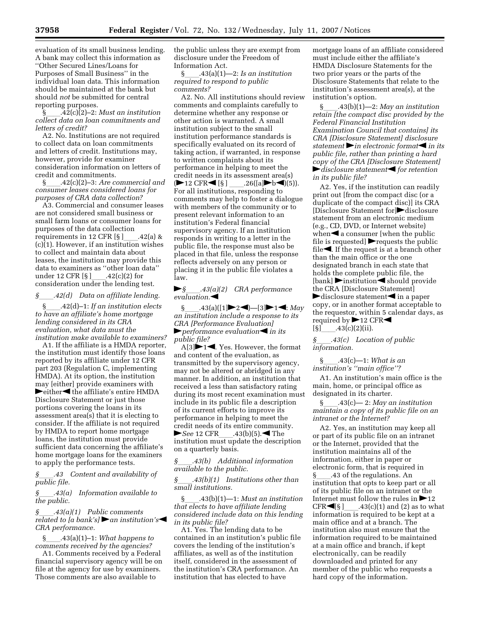evaluation of its small business lending. A bank may collect this information as ''Other Secured Lines/Loans for Purposes of Small Business'' in the individual loan data. This information should be maintained at the bank but should *not* be submitted for central reporting purposes.

§ll.42(c)(2)–2: *Must an institution collect data on loan commitments and letters of credit?* 

A2. No. Institutions are not required to collect data on loan commitments and letters of credit. Institutions may, however, provide for examiner consideration information on letters of credit and commitments.

§ll.42(c)(2)–3: *Are commercial and consumer leases considered loans for purposes of CRA data collection?* 

A3. Commercial and consumer leases are not considered small business or small farm loans or consumer loans for purposes of the data collection requirements in 12 CFR [§ ]\_\_\_\_.42(a) &<br>(c)(1). However, if an institution wishes to collect and maintain data about leases, the institution may provide this data to examiners as ''other loan data'' under 12 CFR [§ ]\_\_\_\_.42(c)(2) for<br>consideration under the lending test.

*§\_\_\_\_.42(d)* Data on affiliate lending.<br>§  $.42(d)-1$ : If an institution elects §ll.42(d)–1: *If an institution elects to have an affiliate's home mortgage lending considered in its CRA evaluation, what data must the institution make available to examiners?* 

A1. If the affiliate is a HMDA reporter, the institution must identify those loans reported by its affiliate under 12 CFR part 203 (Regulation C, implementing HMDA). At its option, the institution may [either] provide examiners with  $\blacktriangleright$ either $\blacktriangleleft$  the affiliate's entire HMDA Disclosure Statement or just those portions covering the loans in its assessment area(s) that it is electing to consider. If the affiliate is not required by HMDA to report home mortgage loans, the institution must provide sufficient data concerning the affiliate's home mortgage loans for the examiners to apply the performance tests.

*§*ll*.43 Content and availability of public file.* 

*§*ll*.43(a) Information available to the public.* 

*§*ll*.43(a)(1) Public comments related to [a bank's]* an *institution's CRA performance.* 

§ll.43(a)(1)–1: *What happens to comments received by the agencies?* 

A1. Comments received by a Federal financial supervisory agency will be on file at the agency for use by examiners. Those comments are also available to

the public unless they are exempt from disclosure under the Freedom of Information Act.

§ll.43(a)(1)—2: *Is an institution required to respond to public comments?* 

A2. No. All institutions should review comments and complaints carefully to determine whether any response or other action is warranted. A small institution subject to the small institution performance standards is specifically evaluated on its record of taking action, if warranted, in response to written complaints about its performance in helping to meet the credit needs in its assessment area(s) ( $\blacktriangleright$ 12 CFR $\blacktriangleleft$  [§ ] \_\_\_\_.26([a] $\blacktriangleright$ b $\blacktriangleleft$ )(5)). For all institutions, responding to comments may help to foster a dialogue with members of the community or to present relevant information to an institution's Federal financial supervisory agency. If an institution responds in writing to a letter in the public file, the response must also be placed in that file, unless the response reflects adversely on any person or placing it in the public file violates a law.

#### fl*§*ll*.43(a)(2) CRA performance*  evaluation.

§  $.43(a)([1] \blacktriangleright 2 \blacktriangleleft) - [3] \blacktriangleright 1 \blacktriangleleft$ : *May an institution include a response to its CRA [Performance Evaluation]*  **h**erformance evaluation in its *public file?* 

 $A[3] \rightarrow 1 \leftarrow$ . Yes. However, the format and content of the evaluation, as transmitted by the supervisory agency, may not be altered or abridged in any manner. In addition, an institution that received a less than satisfactory rating during its most recent examination must include in its public file a description of its current efforts to improve its performance in helping to meet the credit needs of its entire community. ► *See* 12 CFR\_\_\_\_.43(b)(5). ◀ The institution must update the description on a quarterly basis.

*§*ll*.43(b) Additional information available to the public.* 

*§*ll*.43(b)(1) Institutions other than small institutions.* 

§ll.43(b)(1)—1: *Must an institution that elects to have affiliate lending considered include data on this lending in its public file?* 

A1. Yes. The lending data to be contained in an institution's public file covers the lending of the institution's affiliates, as well as of the institution itself, considered in the assessment of the institution's CRA performance. An institution that has elected to have

mortgage loans of an affiliate considered must include either the affiliate's HMDA Disclosure Statements for the two prior years or the parts of the Disclosure Statements that relate to the institution's assessment area(s), at the institution's option.

§ll.43(b)(1)—2: *May an institution retain [the compact disc provided by the Federal Financial Institution Examination Council that contains] its CRA [Disclosure Statement] disclosure statement* in electronic format in its *public file, rather than printing a hard copy of the CRA [Disclosure Statement]*   $\blacktriangleright$  *disclosure statement*  $\blacktriangleleft$  *for retention in its public file?* 

A2. Yes, if the institution can readily print out [from the compact disc (or a duplicate of the compact disc)] its CRA [Disclosure Statement for]<sup>disclosure</sup> statement from an electronic medium (e.g., CD, DVD, or Internet website) when  $\triangleleft$  a consumer [when the public file is requested]  $\blacktriangleright$  requests the public file $\blacktriangle$ . If the request is at a branch other than the main office or the one designated branch in each state that holds the complete public file, the  $[\text{bank}]$  institution should provide the CRA [Disclosure Statement]  $\blacktriangleright$  disclosure statement $\blacktriangleleft$  in a paper copy, or in another format acceptable to the requestor, within 5 calendar days, as required by  $\blacktriangleright$  12 CFR $\blacktriangleleft$ 

 $[\S]$  43(c)(2)(ii).<br> $\S$  43(c) Locat *§*ll*.43(c) Location of public information.* 

§ll.43(c)—1: *What is an institution's ''main office''?* 

A1. An institution's main office is the main, home, or principal office as designated in its charter.

§ll.43(c)— 2: *May an institution maintain a copy of its public file on an intranet or the Internet?* 

A2. Yes, an institution may keep all or part of its public file on an intranet or the Internet, provided that the institution maintains all of the information, either in paper or electronic form, that is required in §\_\_\_\_.43 of the regulations. An<br>institution that opts to keep part or all of its public file on an intranet or the Internet must follow the rules in  $\blacktriangleright$  12  $CFR \blacktriangleleft [ \S ]$  .43(c)(1) and (2) as to what information is required to be kept at a main office and at a branch. The institution also must ensure that the information required to be maintained at a main office and branch, if kept electronically, can be readily downloaded and printed for any member of the public who requests a hard copy of the information.